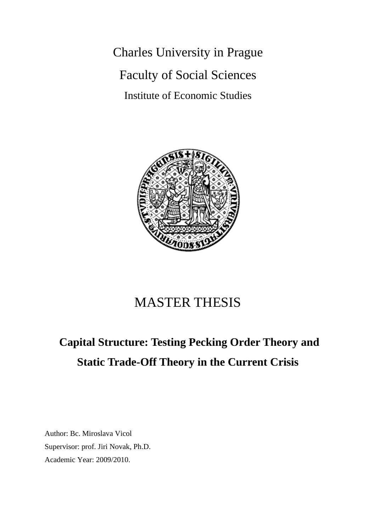Charles University in Prague Faculty of Social Sciences Institute of Economic Studies



### MASTER THESIS

# **Capital Structure: Testing Pecking Order Theory and Static Trade-Off Theory in the Current Crisis**

Author: Bc. Miroslava Vicol Supervisor: prof. Jiri Novak, Ph.D. Academic Year: 2009/2010.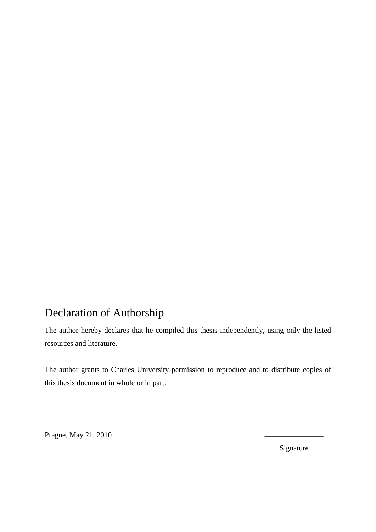### Declaration of Authorship

The author hereby declares that he compiled this thesis independently, using only the listed resources and literature.

The author grants to Charles University permission to reproduce and to distribute copies of this thesis document in whole or in part.

Prague, May 21, 2010

Signature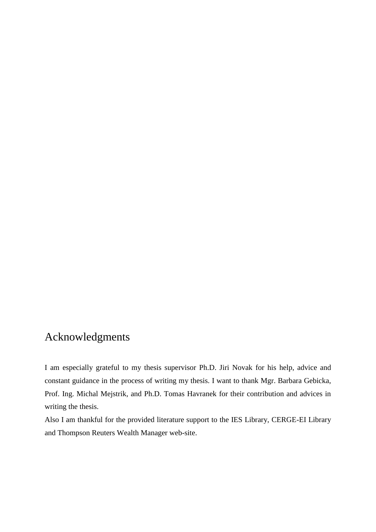### Acknowledgments

I am especially grateful to my thesis supervisor Ph.D. Jiri Novak for his help, advice and constant guidance in the process of writing my thesis. I want to thank Mgr. Barbara Gebicka, Prof. Ing. Michal Mejstrik, and Ph.D. Tomas Havranek for their contribution and advices in writing the thesis.

Also I am thankful for the provided literature support to the IES Library, CERGE-EI Library and Thompson Reuters Wealth Manager web-site.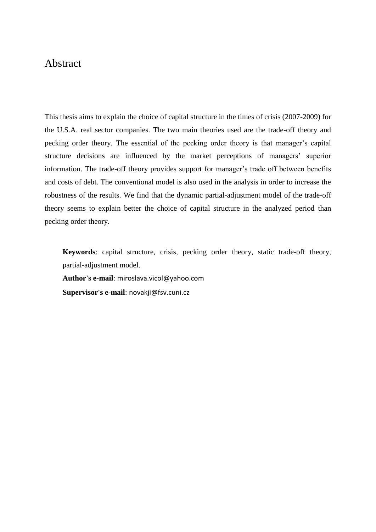#### Abstract

This thesis aims to explain the choice of capital structure in the times of crisis (2007-2009) for the U.S.A. real sector companies. The two main theories used are the trade-off theory and pecking order theory. The essential of the pecking order theory is that manager's capital structure decisions are influenced by the market perceptions of managers' superior information. The trade-off theory provides support for manager's trade off between benefits and costs of debt. The conventional model is also used in the analysis in order to increase the robustness of the results. We find that the dynamic partial-adjustment model of the trade-off theory seems to explain better the choice of capital structure in the analyzed period than pecking order theory.

**Keywords**: capital structure, crisis, pecking order theory, static trade-off theory, partial-adjustment model.

**Author's e-mail**: miroslava.vicol@yahoo.com

**Supervisor's e-mail**: novakji@fsv.cuni.cz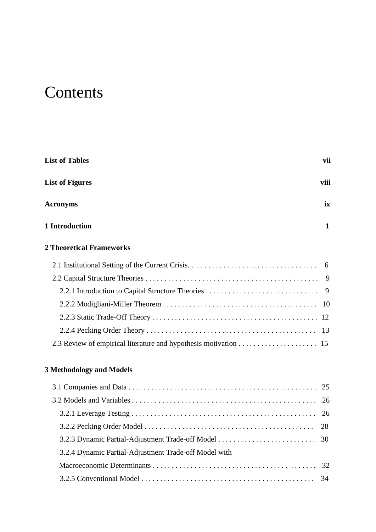# **Contents**

| <b>List of Tables</b>                                 |              |  |
|-------------------------------------------------------|--------------|--|
| <b>List of Figures</b>                                | viii         |  |
| <b>Acronyms</b>                                       | ix           |  |
| 1 Introduction                                        | $\mathbf{1}$ |  |
| <b>2 Theoretical Frameworks</b>                       |              |  |
|                                                       |              |  |
|                                                       |              |  |
|                                                       |              |  |
|                                                       |              |  |
|                                                       |              |  |
|                                                       | -13          |  |
|                                                       |              |  |
| <b>3 Methodology and Models</b>                       |              |  |
|                                                       | 25           |  |
|                                                       | 26           |  |
|                                                       | 26           |  |
|                                                       | 28           |  |
|                                                       | 30           |  |
| 3.2.4 Dynamic Partial-Adjustment Trade-off Model with |              |  |
|                                                       | 32           |  |

3.2.5 Conventional Model . . . . . . . . . . . . . . . . . . . . . . . . . . . . . . . . . . . . . . . . . . . . . . 34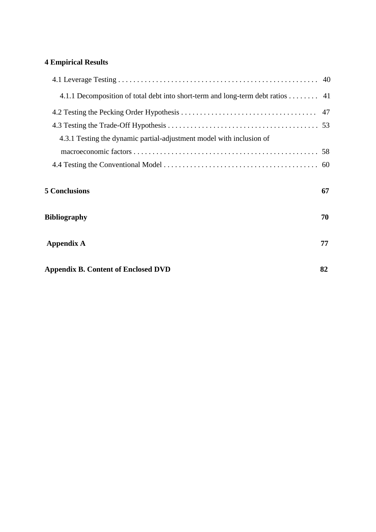### **4 Empirical Results**

| 4.1.1 Decomposition of total debt into short-term and long-term debt ratios 41 |    |
|--------------------------------------------------------------------------------|----|
|                                                                                |    |
|                                                                                |    |
| 4.3.1 Testing the dynamic partial-adjustment model with inclusion of           |    |
|                                                                                |    |
|                                                                                |    |
| <b>5 Conclusions</b>                                                           | 67 |
| <b>Bibliography</b>                                                            | 70 |
|                                                                                |    |
| <b>Appendix A</b>                                                              | 77 |
|                                                                                |    |
| <b>Appendix B. Content of Enclosed DVD</b>                                     | 82 |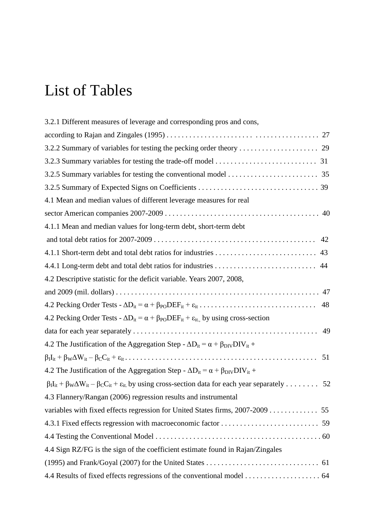# List of Tables

| 3.2.1 Different measures of leverage and corresponding pros and cons,                                                             |
|-----------------------------------------------------------------------------------------------------------------------------------|
|                                                                                                                                   |
|                                                                                                                                   |
|                                                                                                                                   |
|                                                                                                                                   |
|                                                                                                                                   |
| 4.1 Mean and median values of different leverage measures for real                                                                |
|                                                                                                                                   |
| 4.1.1 Mean and median values for long-term debt, short-term debt                                                                  |
|                                                                                                                                   |
|                                                                                                                                   |
|                                                                                                                                   |
| 4.2 Descriptive statistic for the deficit variable. Years 2007, 2008,                                                             |
|                                                                                                                                   |
|                                                                                                                                   |
| 4.2 Pecking Order Tests - $\Delta D_{it} = \alpha + \beta_{PO} DEF_{it} + \varepsilon_{it}$ by using cross-section                |
|                                                                                                                                   |
| 4.2 The Justification of the Aggregation Step - $\Delta D_{it} = \alpha + \beta_{\text{DIV}} DV_{it} +$                           |
|                                                                                                                                   |
| 4.2 The Justification of the Aggregation Step - $\Delta D_{it} = \alpha + \beta_{DIV} DIV_{it} +$                                 |
| $\beta_I I_{it} + \beta_W \Delta W_{it} - \beta_C C_{it} + \epsilon_{it}$ by using cross-section data for each year separately 52 |
| 4.3 Flannery/Rangan (2006) regression results and instrumental                                                                    |
|                                                                                                                                   |
|                                                                                                                                   |
|                                                                                                                                   |
| 4.4 Sign RZ/FG is the sign of the coefficient estimate found in Rajan/Zingales                                                    |
|                                                                                                                                   |
|                                                                                                                                   |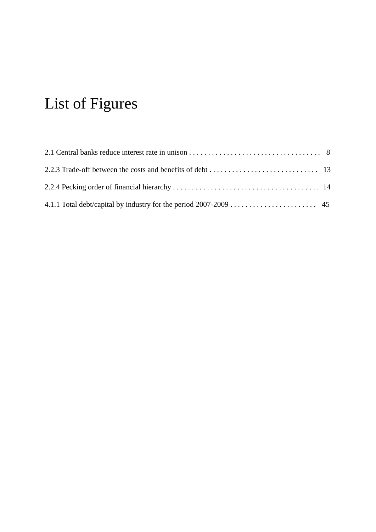# List of Figures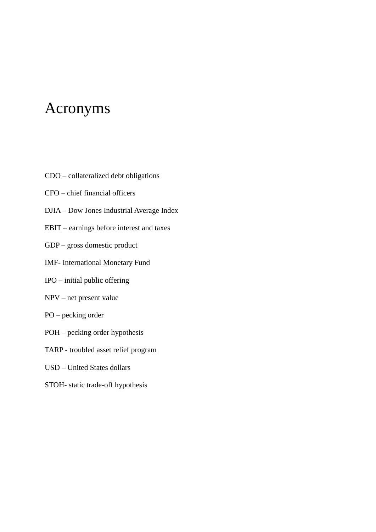### Acronyms

- CDO collateralized debt obligations
- CFO chief financial officers
- DJIA Dow Jones Industrial Average Index
- EBIT earnings before interest and taxes
- GDP gross domestic product
- IMF- International Monetary Fund
- IPO initial public offering
- NPV net present value
- PO pecking order
- POH pecking order hypothesis
- TARP troubled asset relief program
- USD United States dollars
- STOH- static trade-off hypothesis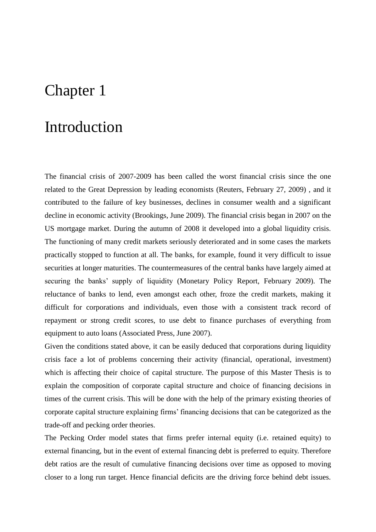# Chapter 1

### Introduction

The financial crisis of 2007-2009 has been called the worst financial crisis since the one related to the Great Depression by leading economists (Reuters, February 27, 2009) , and it contributed to the failure of key businesses, declines in consumer wealth and a significant decline in economic activity (Brookings, June 2009). The financial crisis began in 2007 on the US mortgage market. During the autumn of 2008 it developed into a global liquidity crisis. The functioning of many credit markets seriously deteriorated and in some cases the markets practically stopped to function at all. The banks, for example, found it very difficult to issue securities at longer maturities. The countermeasures of the central banks have largely aimed at securing the banks" supply of liquidity (Monetary Policy Report, February 2009). The reluctance of banks to lend, even amongst each other, froze the credit markets, making it difficult for corporations and individuals, even those with a consistent track record of repayment or strong credit scores, to use debt to finance purchases of everything from equipment to auto loans [\(Associated Press, J](http://ap.google.com/article/ALeqM5iC0SLcGgSi9dd3lGGQeIXOjvH8fwD93UFR380,)une 2007).

Given the conditions stated above, it can be easily deduced that corporations during liquidity crisis face a lot of problems concerning their activity (financial, operational, investment) which is affecting their choice of capital structure. The purpose of this Master Thesis is to explain the composition of corporate capital structure and choice of financing decisions in times of the current crisis. This will be done with the help of the primary existing theories of corporate capital structure explaining firms" financing decisions that can be categorized as the trade-off and pecking order theories.

The Pecking Order model states that firms prefer internal equity (i.e. retained equity) to external financing, but in the event of external financing debt is preferred to equity. Therefore debt ratios are the result of cumulative financing decisions over time as opposed to moving closer to a long run target. Hence financial deficits are the driving force behind debt issues.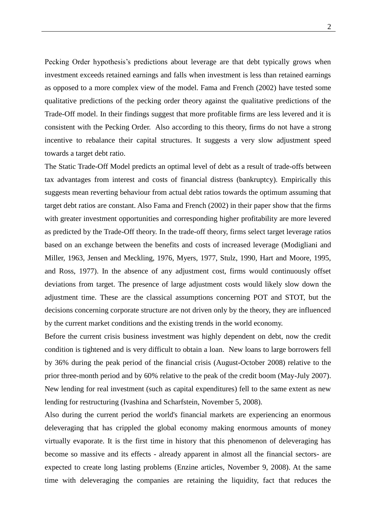Pecking Order hypothesis's predictions about leverage are that debt typically grows when investment exceeds retained earnings and falls when investment is less than retained earnings as opposed to a more complex view of the model. Fama and French (2002) have tested some qualitative predictions of the pecking order theory against the qualitative predictions of the Trade-Off model. In their findings suggest that more profitable firms are less levered and it is consistent with the Pecking Order. Also according to this theory, firms do not have a strong incentive to rebalance their capital structures. It suggests a very slow adjustment speed towards a target debt ratio.

The Static Trade-Off Model predicts an optimal level of debt as a result of trade-offs between tax advantages from interest and costs of financial distress (bankruptcy). Empirically this suggests mean reverting behaviour from actual debt ratios towards the optimum assuming that target debt ratios are constant. Also Fama and French (2002) in their paper show that the firms with greater investment opportunities and corresponding higher profitability are more levered as predicted by the Trade-Off theory. In the trade-off theory, firms select target leverage ratios based on an exchange between the benefits and costs of increased leverage (Modigliani and Miller, 1963, Jensen and Meckling, 1976, Myers, 1977, Stulz, 1990, Hart and Moore, 1995, and Ross, 1977). In the absence of any adjustment cost, firms would continuously offset deviations from target. The presence of large adjustment costs would likely slow down the adjustment time. These are the classical assumptions concerning POT and STOT, but the decisions concerning corporate structure are not driven only by the theory, they are influenced by the current market conditions and the existing trends in the world economy.

Before the current crisis business investment was highly dependent on debt, now the credit condition is tightened and is very difficult to obtain a loan. New loans to large borrowers fell by 36% during the peak period of the financial crisis (August-October 2008) relative to the prior three-month period and by 60% relative to the peak of the credit boom (May-July 2007). New lending for real investment (such as capital expenditures) fell to the same extent as new lending for restructuring (Ivashina and Scharfstein, November 5, 2008).

Also during the current period the world's financial markets are experiencing an enormous deleveraging that has crippled the global economy making enormous amounts of money virtually evaporate. It is the first time in history that this phenomenon of deleveraging has become so massive and its effects - already apparent in almost all the financial sectors- are expected to create long lasting problems (Enzine articles, November 9, 2008). At the same time with deleveraging the companies are retaining the liquidity, fact that reduces the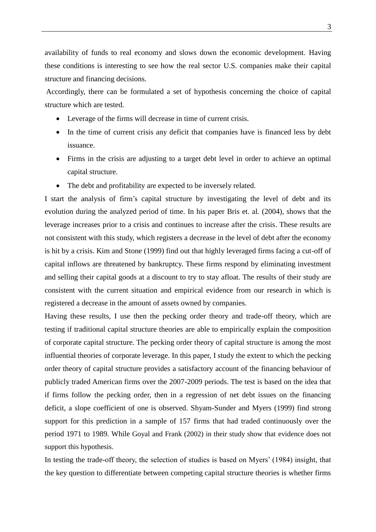availability of funds to real economy and slows down the economic development. Having these conditions is interesting to see how the real sector U.S. companies make their capital structure and financing decisions.

Accordingly, there can be formulated a set of hypothesis concerning the choice of capital structure which are tested.

- Leverage of the firms will decrease in time of current crisis.
- In the time of current crisis any deficit that companies have is financed less by debt issuance.
- Firms in the crisis are adjusting to a target debt level in order to achieve an optimal capital structure.
- The debt and profitability are expected to be inversely related.

I start the analysis of firm"s capital structure by investigating the level of debt and its evolution during the analyzed period of time. In his paper Bris et. al. (2004), shows that the leverage increases prior to a crisis and continues to increase after the crisis. These results are not consistent with this study, which registers a decrease in the level of debt after the economy is hit by a crisis. Kim and Stone (1999) find out that highly leveraged firms facing a cut-off of capital inflows are threatened by bankruptcy. These firms respond by eliminating investment and selling their capital goods at a discount to try to stay afloat. The results of their study are consistent with the current situation and empirical evidence from our research in which is registered a decrease in the amount of assets owned by companies.

Having these results, I use then the pecking order theory and trade-off theory, which are testing if traditional capital structure theories are able to empirically explain the composition of corporate capital structure. The pecking order theory of capital structure is among the most influential theories of corporate leverage. In this paper, I study the extent to which the pecking order theory of capital structure provides a satisfactory account of the financing behaviour of publicly traded American firms over the 2007-2009 periods. The test is based on the idea that if firms follow the pecking order, then in a regression of net debt issues on the financing deficit, a slope coefficient of one is observed. Shyam-Sunder and Myers (1999) find strong support for this prediction in a sample of 157 firms that had traded continuously over the period 1971 to 1989. While Goyal and Frank (2002) in their study show that evidence does not support this hypothesis.

In testing the trade-off theory, the selection of studies is based on Myers' (1984) insight, that the key question to differentiate between competing capital structure theories is whether firms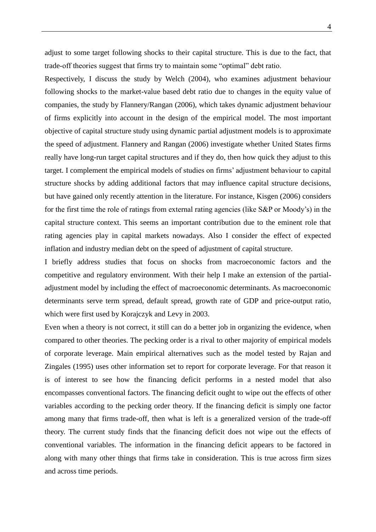adjust to some target following shocks to their capital structure. This is due to the fact, that trade-off theories suggest that firms try to maintain some "optimal" debt ratio.

Respectively, I discuss the study by Welch (2004), who examines adjustment behaviour following shocks to the market-value based debt ratio due to changes in the equity value of companies, the study by Flannery/Rangan (2006), which takes dynamic adjustment behaviour of firms explicitly into account in the design of the empirical model. The most important objective of capital structure study using dynamic partial adjustment models is to approximate the speed of adjustment. Flannery and Rangan (2006) investigate whether United States firms really have long-run target capital structures and if they do, then how quick they adjust to this target. I complement the empirical models of studies on firms" adjustment behaviour to capital structure shocks by adding additional factors that may influence capital structure decisions, but have gained only recently attention in the literature. For instance, Kisgen (2006) considers for the first time the role of ratings from external rating agencies (like S&P or Moody"s) in the capital structure context. This seems an important contribution due to the eminent role that rating agencies play in capital markets nowadays. Also I consider the effect of expected inflation and industry median debt on the speed of adjustment of capital structure.

I briefly address studies that focus on shocks from macroeconomic factors and the competitive and regulatory environment. With their help I make an extension of the partialadjustment model by including the effect of macroeconomic determinants. As macroeconomic determinants serve term spread, default spread, growth rate of GDP and price-output ratio, which were first used by Korajczyk and Levy in 2003.

Even when a theory is not correct, it still can do a better job in organizing the evidence, when compared to other theories. The pecking order is a rival to other majority of empirical models of corporate leverage. Main empirical alternatives such as the model tested by Rajan and Zingales (1995) uses other information set to report for corporate leverage. For that reason it is of interest to see how the financing deficit performs in a nested model that also encompasses conventional factors. The financing deficit ought to wipe out the effects of other variables according to the pecking order theory. If the financing deficit is simply one factor among many that firms trade-off, then what is left is a generalized version of the trade-off theory. The current study finds that the financing deficit does not wipe out the effects of conventional variables. The information in the financing deficit appears to be factored in along with many other things that firms take in consideration. This is true across firm sizes and across time periods.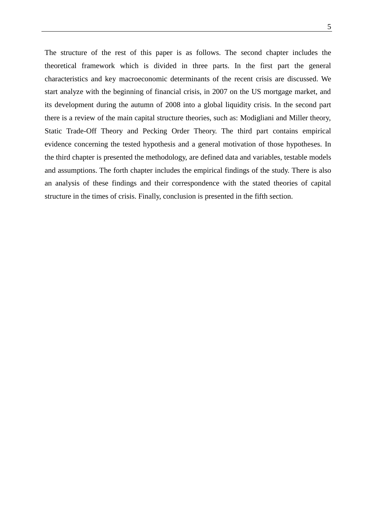The structure of the rest of this paper is as follows. The second chapter includes the theoretical framework which is divided in three parts. In the first part the general characteristics and key macroeconomic determinants of the recent crisis are discussed. We start analyze with the beginning of financial crisis, in 2007 on the US mortgage market, and its development during the autumn of 2008 into a global liquidity crisis. In the second part there is a review of the main capital structure theories, such as: Modigliani and Miller theory, Static Trade-Off Theory and Pecking Order Theory. The third part contains empirical evidence concerning the tested hypothesis and a general motivation of those hypotheses. In the third chapter is presented the methodology, are defined data and variables, testable models and assumptions. The forth chapter includes the empirical findings of the study. There is also an analysis of these findings and their correspondence with the stated theories of capital structure in the times of crisis. Finally, conclusion is presented in the fifth section.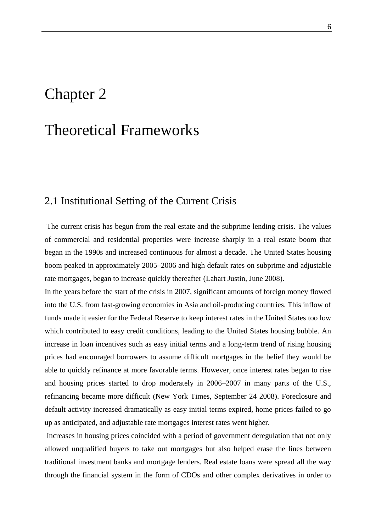# Chapter 2

# Theoretical Frameworks

### 2.1 Institutional Setting of the Current Crisis

The current crisis has begun from the real estate and the subprime lending crisis. The values of commercial and residential properties were increase sharply in a real estate boom that began in the 1990s and increased continuous for almost a decade. The [United States housing](http://en.wikipedia.org/wiki/United_States_housing_bubble)  boom peaked in approximately 2005–2006 and high default rates on [subprime](http://en.wikipedia.org/wiki/Subprime_lending) and [adjustable](http://en.wikipedia.org/wiki/Adjustable_rate_mortgage)  [rate mortgages,](http://en.wikipedia.org/wiki/Adjustable_rate_mortgage) began to increase quickly thereafter (Lahart Justin, June 2008).

In the years before the start of the crisis in 2007, significant amounts of foreign money flowed into the U.S. from fast-growing economies in Asia and oil-producing countries. This inflow of funds made it easier for the [Federal Reserve](http://en.wikipedia.org/wiki/Federal_Reserve) to keep interest rates in the United States too low which contributed to easy credit conditions, leading to the [United States housing bubble.](http://en.wikipedia.org/wiki/United_States_housing_bubble) An increase in loan incentives such as easy initial terms and a long-term trend of rising housing prices had encouraged borrowers to assume difficult mortgages in the belief they would be able to quickly refinance at more favorable terms. However, once interest rates began to rise and housing prices started to drop moderately in 2006–2007 in many parts of the U.S., refinancing became more difficult (New York Times, September 24 2008). [Foreclosure](http://en.wikipedia.org/wiki/Foreclosure) and [default](http://en.wikipedia.org/wiki/Default_%28finance%29) activity increased dramatically as easy initial terms expired, home prices failed to go up as anticipated, and adjustable rate mortgages interest rates went higher.

Increases in housing prices coincided with a period of government deregulation that not only allowed unqualified buyers to take out mortgages but also helped erase the lines between traditional investment banks and mortgage lenders. Real estate loans were spread all the way through the financial system in the form of CDOs and other complex derivatives in order to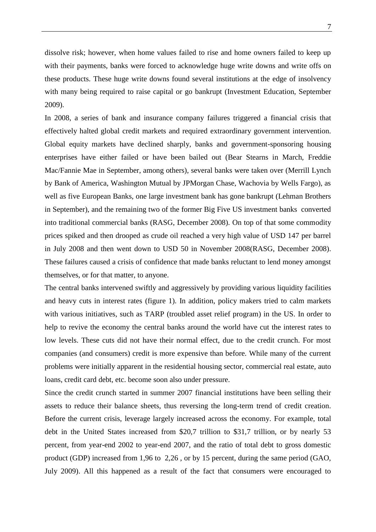dissolve risk; however, when home values failed to rise and home owners failed to keep up with their payments, banks were forced to acknowledge huge write downs and write offs on these products. These huge write downs found several institutions at the edge of insolvency with many being required to raise capital or go bankrupt (Investment Education, September 2009).

In 2008, a series of bank and insurance company failures triggered a financial crisis that effectively halted global credit markets and required extraordinary government intervention. Global equity markets have declined sharply, banks and government-sponsoring housing enterprises have either failed or have been bailed out (Bear Stearns in March, Freddie Mac/Fannie Mae in September, among others), several banks were taken over (Merrill Lynch by Bank of America, Washington Mutual by JPMorgan Chase, Wachovia by Wells Fargo), as well as five European Banks, one large investment bank has gone bankrupt (Lehman Brothers in September), and the remaining two of the former Big Five US investment banks converted into traditional commercial banks (RASG, December 2008). On top of that some commodity prices spiked and then drooped as crude oil reached a very high value of USD 147 per barrel in July 2008 and then went down to USD 50 in November 2008(RASG, December 2008). These failures caused a crisis of confidence that made banks reluctant to lend money amongst themselves, or for that matter, to anyone.

The central banks intervened swiftly and aggressively by providing various liquidity facilities and heavy cuts in interest rates (figure 1). In addition, policy makers tried to calm markets with various initiatives, such as TARP (troubled asset relief program) in the US. In order to help to revive the economy the central banks around the world have cut the interest rates to low levels. These cuts did not have their normal effect, due to the credit crunch. For most companies (and consumers) credit is more expensive than before. While many of the current problems were initially apparent in the residential housing sector, commercial real estate, auto loans, credit card debt, etc. become soon also under pressure.

Since the credit crunch started in summer 2007 financial institutions have been selling their assets to reduce their balance sheets, thus reversing the long-term trend of credit creation. Before the current crisis, leverage largely increased across the economy. For example, total debt in the United States increased from \$20,7 trillion to \$31,7 trillion, or by nearly 53 percent, from year-end 2002 to year-end 2007, and the ratio of total debt to gross domestic product (GDP) increased from 1,96 to 2,26 , or by 15 percent, during the same period (GAO, July 2009). All this happened as a result of the fact that consumers were encouraged to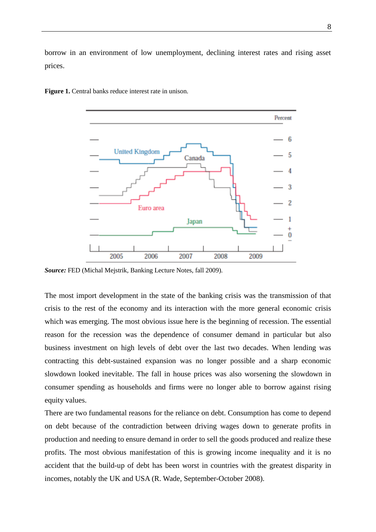borrow in an environment of low unemployment, declining interest rates and rising asset prices.



**Figure 1.** Central banks reduce interest rate in unison.

*Source:* FED (Michal Mejstrik, Banking Lecture Notes, fall 2009).

The most import development in the state of the banking crisis was the transmission of that crisis to the rest of the economy and its interaction with the more general economic crisis which was emerging. The most obvious issue here is the beginning of recession. The essential reason for the recession was the dependence of consumer demand in particular but also business investment on high levels of debt over the last two decades. When lending was contracting this debt-sustained expansion was no longer possible and a sharp economic slowdown looked inevitable. The fall in house prices was also worsening the slowdown in consumer spending as households and firms were no longer able to borrow against rising equity values.

There are two fundamental reasons for the reliance on debt. Consumption has come to depend on debt because of the contradiction between driving wages down to generate profits in production and needing to ensure demand in order to sell the goods produced and realize these profits. The most obvious manifestation of this is growing income inequality and it is no accident that the build-up of debt has been worst in countries with the greatest disparity in incomes, notably the UK and USA (R. Wade, September-October 2008).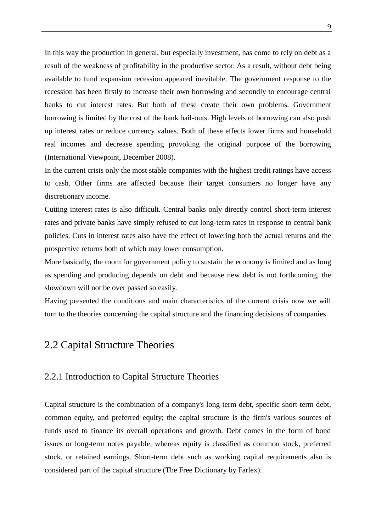In this way the production in general, but especially investment, has come to rely on debt as a result of the weakness of profitability in the productive sector. As a result, without debt being available to fund expansion recession appeared inevitable. The government response to the recession has been firstly to increase their own borrowing and secondly to encourage central banks to cut interest rates. But both of these create their own problems. Government borrowing is limited by the cost of the bank bail-outs. High levels of borrowing can also push up interest rates or reduce currency values. Both of these effects lower firms and household real incomes and decrease spending provoking the original purpose of the borrowing (International Viewpoint, December 2008).

In the current crisis only the most stable companies with the highest credit ratings have access to cash. Other firms are affected because their target consumers no longer have any discretionary income.

Cutting interest rates is also difficult. Central banks only directly control short-term interest rates and private banks have simply refused to cut long-term rates in response to central bank policies. Cuts in interest rates also have the effect of lowering both the actual returns and the prospective returns both of which may lower consumption.

More basically, the room for government policy to sustain the economy is limited and as long as spending and producing depends on debt and because new debt is not forthcoming, the slowdown will not be over passed so easily.

Having presented the conditions and main characteristics of the current crisis now we will turn to the theories concerning the capital structure and the financing decisions of companies.

### 2.2 Capital Structure Theories

#### 2.2.1 Introduction to Capital Structure Theories

Capital structure is the combination of a company's long-term debt, specific short-term debt, common equity, and preferred equity; the capital structure is the firm's various sources of funds used to finance its overall operations and growth. Debt comes in the form of bond issues or long-term notes payable, whereas equity is classified as common stock, preferred stock, or retained earnings. Short-term debt such as working capital requirements also is considered part of the capital structure (The Free Dictionary by Farlex).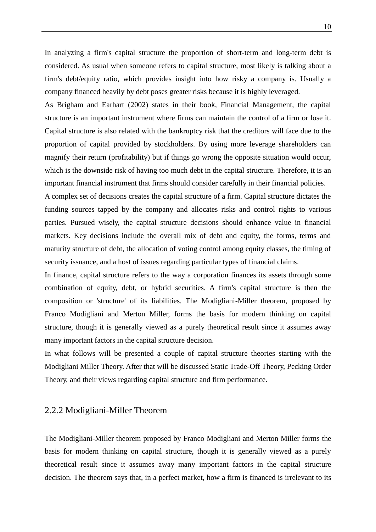In analyzing a firm's capital structure the proportion of short-term and long-term debt is considered. As usual when someone refers to capital structure, most likely is talking about a firm's debt/equity ratio, which provides insight into how risky a company is. Usually a company financed heavily by debt poses greater risks because it is highly leveraged.

As Brigham and Earhart (2002) states in their book, Financial Management, the capital structure is an important instrument where firms can maintain the control of a firm or lose it. Capital structure is also related with the bankruptcy risk that the creditors will face due to the proportion of capital provided by stockholders. By using more leverage shareholders can magnify their return (profitability) but if things go wrong the opposite situation would occur, which is the downside risk of having too much debt in the capital structure. Therefore, it is an important financial instrument that firms should consider carefully in their financial policies.

A complex set of decisions creates the capital structure of a firm. Capital structure dictates the funding sources tapped by the company and allocates risks and control rights to various parties. Pursued wisely, the capital structure decisions should enhance value in financial markets. Key decisions include the overall mix of debt and equity, the forms, terms and maturity structure of debt, the allocation of voting control among equity classes, the timing of security issuance, and a host of issues regarding particular types of financial claims.

In finance, capital structure refers to the way a corporation finances its assets through some combination of equity, debt, or hybrid securities. A firm's capital structure is then the composition or 'structure' of its liabilities. The Modigliani-Miller theorem, proposed by Franco Modigliani and Merton Miller, forms the basis for modern thinking on capital structure, though it is generally viewed as a purely theoretical result since it assumes away many important factors in the capital structure decision.

In what follows will be presented a couple of capital structure theories starting with the Modigliani Miller Theory. After that will be discussed Static Trade-Off Theory, Pecking Order Theory, and their views regarding capital structure and firm performance.

#### 2.2.2 Modigliani-Miller Theorem

The Modigliani-Miller theorem proposed by Franco Modigliani and Merton Miller forms the basis for modern thinking on capital structure, though it is generally viewed as a purely theoretical result since it assumes away many important factors in the capital structure decision. The theorem says that, in a perfect market, how a firm is financed is irrelevant to its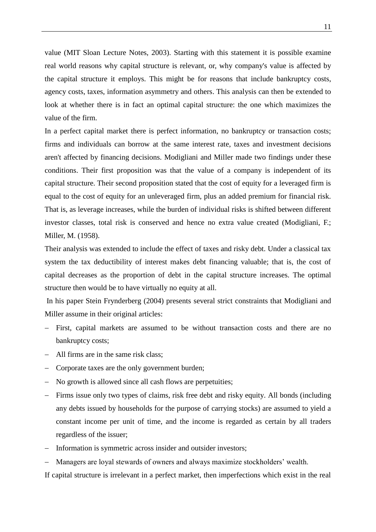value (MIT Sloan Lecture Notes, 2003). Starting with this statement it is possible examine real world reasons why capital structure is relevant, or, why company's value is affected by the capital structure it employs. This might be for reasons that include bankruptcy costs, agency costs, taxes, information asymmetry and others. This analysis can then be extended to look at whether there is in fact an optimal capital structure: the one which maximizes the value of the firm.

In a perfect capital market there is perfect information, no bankruptcy or transaction costs; firms and individuals can borrow at the same interest rate, taxes and investment decisions aren't affected by financing decisions. Modigliani and Miller made two findings under these conditions. Their first proposition was that the value of a company is independent of its capital structure. Their second proposition stated that the cost of equity for a leveraged firm is equal to the cost of equity for an unleveraged firm, plus an added premium for financial risk. That is, as leverage increases, while the burden of individual risks is shifted between different investor classes, total risk is conserved and hence no extra value created (Modigliani, F.; Miller, M. (1958).

Their analysis was extended to include the effect of taxes and risky debt. Under a classical tax system the tax deductibility of interest makes debt financing valuable; that is, the cost of capital decreases as the proportion of debt in the capital structure increases. The optimal structure then would be to have virtually no equity at all.

In his paper Stein Frynderberg (2004) presents several strict constraints that Modigliani and Miller assume in their original articles:

- First, capital markets are assumed to be without transaction costs and there are no bankruptcy costs;
- All firms are in the same risk class;
- Corporate taxes are the only government burden;
- No growth is allowed since all cash flows are perpetuities;
- Firms issue only two types of claims, risk free debt and risky equity. All bonds (including any debts issued by households for the purpose of carrying stocks) are assumed to yield a constant income per unit of time, and the income is regarded as certain by all traders regardless of the issuer;
- Information is symmetric across insider and outsider investors;
- Managers are loyal stewards of owners and always maximize stockholders' wealth.

If capital structure is irrelevant in a perfect market, then imperfections which exist in the real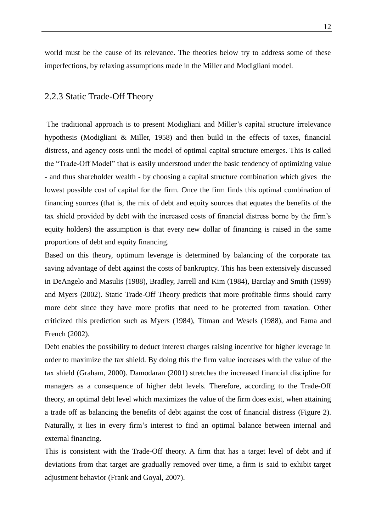world must be the cause of its relevance. The theories below try to address some of these imperfections, by relaxing assumptions made in the Miller and Modigliani model.

#### 2.2.3 Static Trade-Off Theory

The traditional approach is to present Modigliani and Miller"s capital structure irrelevance hypothesis (Modigliani & Miller, 1958) and then build in the effects of taxes, financial distress, and agency costs until the model of optimal capital structure emerges. This is called the "Trade-Off Model" that is easily understood under the basic tendency of optimizing value - and thus shareholder wealth - by choosing a capital structure combination which gives the lowest possible cost of capital for the firm. Once the firm finds this optimal combination of financing sources (that is, the mix of debt and equity sources that equates the benefits of the tax shield provided by debt with the increased costs of financial distress borne by the firm"s equity holders) the assumption is that every new dollar of financing is raised in the same proportions of debt and equity financing.

Based on this theory, optimum leverage is determined by balancing of the corporate tax saving advantage of debt against the costs of bankruptcy. This has been extensively discussed in DeAngelo and Masulis (1988), Bradley, Jarrell and Kim (1984), Barclay and Smith (1999) and Myers (2002). Static Trade-Off Theory predicts that more profitable firms should carry more debt since they have more profits that need to be protected from taxation. Other criticized this prediction such as Myers (1984), Titman and Wesels (1988), and Fama and French (2002).

Debt enables the possibility to deduct interest charges raising incentive for higher leverage in order to maximize the tax shield. By doing this the firm value increases with the value of the tax shield (Graham, 2000). Damodaran (2001) stretches the increased financial discipline for managers as a consequence of higher debt levels. Therefore, according to the Trade-Off theory, an optimal debt level which maximizes the value of the firm does exist, when attaining a trade off as balancing the benefits of debt against the cost of financial distress (Figure 2). Naturally, it lies in every firm"s interest to find an optimal balance between internal and external financing.

This is consistent with the Trade-Off theory. A firm that has a target level of debt and if deviations from that target are gradually removed over time, a firm is said to exhibit target adjustment behavior (Frank and Goyal, 2007).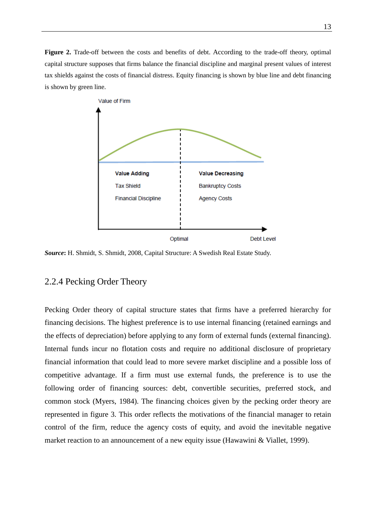**Figure 2.** Trade-off between the costs and benefits of debt. According to the trade-off theory, optimal capital structure supposes that firms balance the financial discipline and marginal present values of interest tax shields against the costs of financial distress. Equity financing is shown by blue line and debt financing is shown by green line.



*Source***:** H. Shmidt, S. Shmidt, 2008, Capital Structure: A Swedish Real Estate Study.

#### 2.2.4 Pecking Order Theory

Pecking Order theory of capital structure states that firms have a preferred hierarchy for financing decisions. The highest preference is to use internal financing (retained earnings and the effects of depreciation) before applying to any form of external funds (external financing). Internal funds incur no flotation costs and require no additional disclosure of proprietary financial information that could lead to more severe market discipline and a possible loss of competitive advantage. If a firm must use external funds, the preference is to use the following order of financing sources: debt, convertible securities, preferred stock, and common stock (Myers, 1984). The financing choices given by the pecking order theory are represented in figure 3. This order reflects the motivations of the financial manager to retain control of the firm, reduce the agency costs of equity, and avoid the inevitable negative market reaction to an announcement of a new equity issue (Hawawini & Viallet, 1999).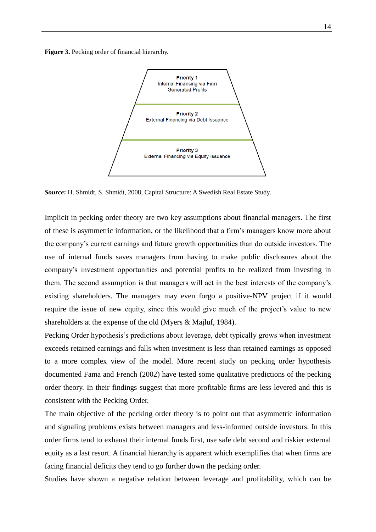**Figure 3.** Pecking order of financial hierarchy.



*Source***:** H. Shmidt, S. Shmidt, 2008, Capital Structure: A Swedish Real Estate Study.

Implicit in pecking order theory are two key assumptions about financial managers. The first of these is asymmetric information, or the likelihood that a firm"s managers know more about the company"s current earnings and future growth opportunities than do outside investors. The use of internal funds saves managers from having to make public disclosures about the company"s investment opportunities and potential profits to be realized from investing in them. The second assumption is that managers will act in the best interests of the company"s existing shareholders. The managers may even forgo a positive-NPV project if it would require the issue of new equity, since this would give much of the project's value to new shareholders at the expense of the old (Myers & Majluf, 1984).

Pecking Order hypothesis's predictions about leverage, debt typically grows when investment exceeds retained earnings and falls when investment is less than retained earnings as opposed to a more complex view of the model. More recent study on pecking order hypothesis documented Fama and French (2002) have tested some qualitative predictions of the pecking order theory. In their findings suggest that more profitable firms are less levered and this is consistent with the Pecking Order.

The main objective of the pecking order theory is to point out that asymmetric information and signaling problems exists between managers and less-informed outside investors. In this order firms tend to exhaust their internal funds first, use safe debt second and riskier external equity as a last resort. A financial hierarchy is apparent which exemplifies that when firms are facing financial deficits they tend to go further down the pecking order.

Studies have shown a negative relation between leverage and profitability, which can be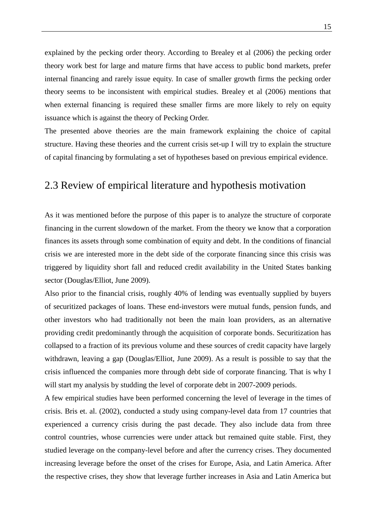explained by the pecking order theory. According to Brealey et al (2006) the pecking order theory work best for large and mature firms that have access to public bond markets, prefer internal financing and rarely issue equity. In case of smaller growth firms the pecking order theory seems to be inconsistent with empirical studies. Brealey et al (2006) mentions that when external financing is required these smaller firms are more likely to rely on equity issuance which is against the theory of Pecking Order.

The presented above theories are the main framework explaining the choice of capital structure. Having these theories and the current crisis set-up I will try to explain the structure of capital financing by formulating a set of hypotheses based on previous empirical evidence.

### 2.3 Review of empirical literature and hypothesis motivation

As it was mentioned before the purpose of this paper is to analyze the structure of corporate financing in the current slowdown of the market. From the theory we know that a corporation finances its assets through some combination of equity and debt. In the conditions of financial crisis we are interested more in the debt side of the corporate financing since this crisis was triggered by liquidity short fall and reduced credit availability in the United States banking sector (Douglas/Elliot, June 2009).

Also prior to the financial crisis, roughly 40% of lending was eventually supplied by buyers of securitized packages of loans. These end-investors were mutual funds, pension funds, and other investors who had traditionally not been the main loan providers, as an alternative providing credit predominantly through the acquisition of corporate bonds. Securitization has collapsed to a fraction of its previous volume and these sources of credit capacity have largely withdrawn, leaving a gap (Douglas/Elliot, June 2009). As a result is possible to say that the crisis influenced the companies more through debt side of corporate financing. That is why I will start my analysis by studding the level of corporate debt in 2007-2009 periods.

A few empirical studies have been performed concerning the level of leverage in the times of crisis. Bris et. al. (2002), conducted a study using company-level data from 17 countries that experienced a currency crisis during the past decade. They also include data from three control countries, whose currencies were under attack but remained quite stable. First, they studied leverage on the company-level before and after the currency crises. They documented increasing leverage before the onset of the crises for Europe, Asia, and Latin America. After the respective crises, they show that leverage further increases in Asia and Latin America but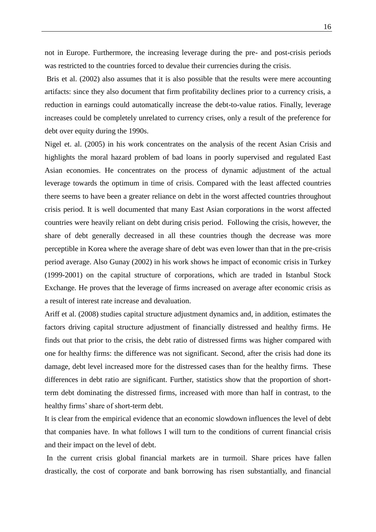not in Europe. Furthermore, the increasing leverage during the pre- and post-crisis periods was restricted to the countries forced to devalue their currencies during the crisis.

Bris et al. (2002) also assumes that it is also possible that the results were mere accounting artifacts: since they also document that firm profitability declines prior to a currency crisis, a reduction in earnings could automatically increase the debt-to-value ratios. Finally, leverage increases could be completely unrelated to currency crises, only a result of the preference for debt over equity during the 1990s.

Nigel et. al. (2005) in his work concentrates on the analysis of the recent Asian Crisis and highlights the moral hazard problem of bad loans in poorly supervised and regulated East Asian economies. He concentrates on the process of dynamic adjustment of the actual leverage towards the optimum in time of crisis. Compared with the least affected countries there seems to have been a greater reliance on debt in the worst affected countries throughout crisis period. It is well documented that many East Asian corporations in the worst affected countries were heavily reliant on debt during crisis period. Following the crisis, however, the share of debt generally decreased in all these countries though the decrease was more perceptible in Korea where the average share of debt was even lower than that in the pre-crisis period average. Also Gunay (2002) in his work shows he impact of economic crisis in Turkey (1999-2001) on the capital structure of corporations, which are traded in Istanbul Stock Exchange. He proves that the leverage of firms increased on average after economic crisis as a result of interest rate increase and devaluation.

Ariff et al. (2008) studies capital structure adjustment dynamics and, in addition, estimates the factors driving capital structure adjustment of financially distressed and healthy firms. He finds out that prior to the crisis, the debt ratio of distressed firms was higher compared with one for healthy firms: the difference was not significant. Second, after the crisis had done its damage, debt level increased more for the distressed cases than for the healthy firms. These differences in debt ratio are significant. Further, statistics show that the proportion of shortterm debt dominating the distressed firms, increased with more than half in contrast, to the healthy firms' share of short-term debt.

It is clear from the empirical evidence that an economic slowdown influences the level of debt that companies have. In what follows I will turn to the conditions of current financial crisis and their impact on the level of debt.

In the current crisis global financial markets are in turmoil. Share prices have fallen drastically, the cost of corporate and bank borrowing has risen substantially, and financial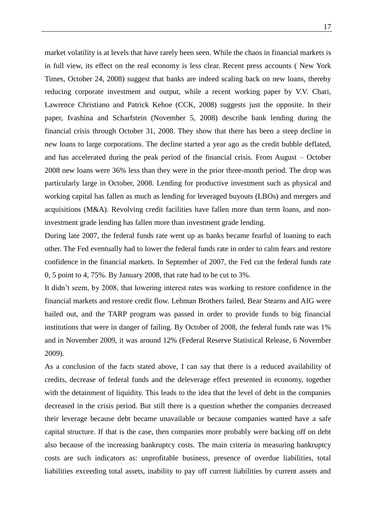market volatility is at levels that have rarely been seen. While the chaos in financial markets is in full view, its effect on the real economy is less clear. Recent press accounts ( New York Times, October 24, 2008) suggest that banks are indeed scaling back on new loans, thereby reducing corporate investment and output, while a recent working paper by V.V. Chari, Lawrence Christiano and Patrick Kehoe (CCK, 2008) suggests just the opposite. In their paper, Ivashina and Scharfstein (November 5, 2008) describe bank lending during the financial crisis through October 31, 2008. They show that there has been a steep decline in new loans to large corporations. The decline started a year ago as the credit bubble deflated, and has accelerated during the peak period of the financial crisis. From August – October 2008 new loans were 36% less than they were in the prior three-month period. The drop was particularly large in October, 2008. Lending for productive investment such as physical and working capital has fallen as much as lending for leveraged buyouts (LBOs) and mergers and acquisitions (M&A). Revolving credit facilities have fallen more than term loans, and noninvestment grade lending has fallen more than investment grade lending.

During late 2007, the federal funds rate went up as banks became fearful of loaning to each other. The Fed eventually had to lower the federal funds rate in order to calm fears and restore confidence in the financial markets. In September of 2007, the Fed cut the federal funds rate 0, 5 point to 4, 75%. By January 2008, that rate had to be cut to 3%.

It didn"t seem, by 2008, that lowering interest rates was working to restore confidence in the financial markets and restore credit flow. Lehman Brothers failed, Bear Stearns and AIG were bailed out, and the TARP program was passed in order to provide funds to big financial institutions that were in danger of failing. By October of 2008, the federal funds rate was 1% and in November 2009, it was around 12% (Federal Reserve Statistical Release, 6 November 2009).

As a conclusion of the facts stated above, I can say that there is a reduced availability of credits, decrease of federal funds and the deleverage effect presented in economy, together with the detainment of liquidity. This leads to the idea that the level of debt in the companies decreased in the crisis period. But still there is a question whether the companies decreased their leverage because debt became unavailable or because companies wanted have a safe capital structure. If that is the case, then companies more probably were backing off on debt also because of the increasing bankruptcy costs. The main criteria in measuring bankruptcy costs are such indicators as: unprofitable business, presence of overdue liabilities, total liabilities exceeding total assets, inability to pay off current liabilities by current assets and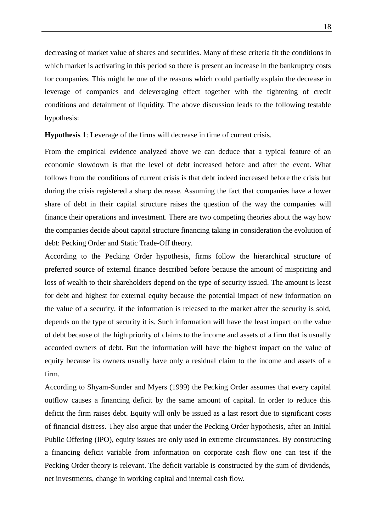decreasing of market value of shares and securities. Many of these criteria fit the conditions in which market is activating in this period so there is present an increase in the bankruptcy costs for companies. This might be one of the reasons which could partially explain the decrease in leverage of companies and deleveraging effect together with the tightening of credit conditions and detainment of liquidity. The above discussion leads to the following testable hypothesis:

**Hypothesis 1**: Leverage of the firms will decrease in time of current crisis.

From the empirical evidence analyzed above we can deduce that a typical feature of an economic slowdown is that the level of debt increased before and after the event. What follows from the conditions of current crisis is that debt indeed increased before the crisis but during the crisis registered a sharp decrease. Assuming the fact that companies have a lower share of debt in their capital structure raises the question of the way the companies will finance their operations and investment. There are two competing theories about the way how the companies decide about capital structure financing taking in consideration the evolution of debt: Pecking Order and Static Trade-Off theory.

According to the Pecking Order hypothesis, firms follow the hierarchical structure of preferred source of external finance described before because the amount of mispricing and loss of wealth to their shareholders depend on the type of security issued. The amount is least for debt and highest for external equity because the potential impact of new information on the value of a security, if the information is released to the market after the security is sold, depends on the type of security it is. Such information will have the least impact on the value of debt because of the high priority of claims to the income and assets of a firm that is usually accorded owners of debt. But the information will have the highest impact on the value of equity because its owners usually have only a residual claim to the income and assets of a firm.

According to Shyam-Sunder and Myers (1999) the Pecking Order assumes that every capital outflow causes a financing deficit by the same amount of capital. In order to reduce this deficit the firm raises debt. Equity will only be issued as a last resort due to significant costs of financial distress. They also argue that under the Pecking Order hypothesis, after an Initial Public Offering (IPO), equity issues are only used in extreme circumstances. By constructing a financing deficit variable from information on corporate cash flow one can test if the Pecking Order theory is relevant. The deficit variable is constructed by the sum of dividends, net investments, change in working capital and internal cash flow.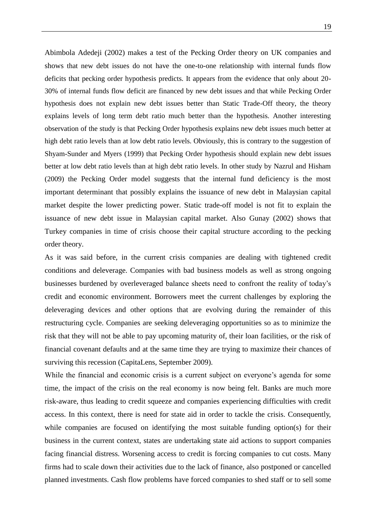Abimbola Adedeji (2002) makes a test of the Pecking Order theory on UK companies and shows that new debt issues do not have the one-to-one relationship with internal funds flow deficits that pecking order hypothesis predicts. It appears from the evidence that only about 20- 30% of internal funds flow deficit are financed by new debt issues and that while Pecking Order hypothesis does not explain new debt issues better than Static Trade-Off theory, the theory explains levels of long term debt ratio much better than the hypothesis. Another interesting observation of the study is that Pecking Order hypothesis explains new debt issues much better at high debt ratio levels than at low debt ratio levels. Obviously, this is contrary to the suggestion of Shyam-Sunder and Myers (1999) that Pecking Order hypothesis should explain new debt issues better at low debt ratio levels than at high debt ratio levels. In other study by Nazrul and Hisham (2009) the Pecking Order model suggests that the internal fund deficiency is the most important determinant that possibly explains the issuance of new debt in Malaysian capital market despite the lower predicting power. Static trade-off model is not fit to explain the issuance of new debt issue in Malaysian capital market. Also Gunay (2002) shows that Turkey companies in time of crisis choose their capital structure according to the pecking order theory.

As it was said before, in the current crisis companies are dealing with tightened credit conditions and deleverage. Companies with bad business models as well as strong ongoing businesses burdened by overleveraged balance sheets need to confront the reality of today"s credit and economic environment. Borrowers meet the current challenges by exploring the deleveraging devices and other options that are evolving during the remainder of this restructuring cycle. Companies are seeking deleveraging opportunities so as to minimize the risk that they will not be able to pay upcoming maturity of, their loan facilities, or the risk of financial covenant defaults and at the same time they are trying to maximize their chances of surviving this recession (CapitaLens, September 2009).

While the financial and economic crisis is a current subject on everyone's agenda for some time, the impact of the crisis on the real economy is now being felt. Banks are much more risk-aware, thus leading to credit squeeze and companies experiencing difficulties with credit access. In this context, there is need for state aid in order to tackle the crisis. Consequently, while companies are focused on identifying the most suitable funding option(s) for their business in the current context, states are undertaking state aid actions to support companies facing financial distress. Worsening access to credit is forcing companies to cut costs. Many firms had to scale down their activities due to the lack of finance, also postponed or cancelled planned investments. Cash flow problems have forced companies to shed staff or to sell some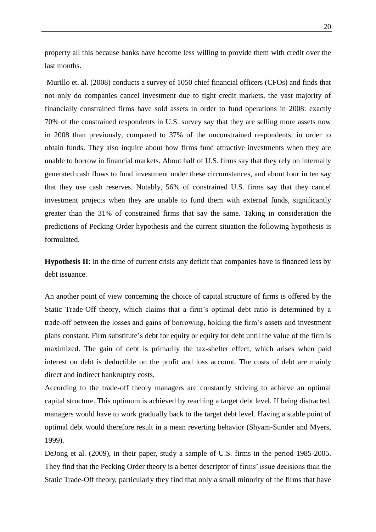property all this because banks have become less willing to provide them with credit over the last months.

Murillo et. al. (2008) conducts a survey of 1050 chief financial officers (CFOs) and finds that not only do companies cancel investment due to tight credit markets, the vast majority of financially constrained firms have sold assets in order to fund operations in 2008: exactly 70% of the constrained respondents in U.S. survey say that they are selling more assets now in 2008 than previously, compared to 37% of the unconstrained respondents, in order to obtain funds. They also inquire about how firms fund attractive investments when they are unable to borrow in financial markets. About half of U.S. firms say that they rely on internally generated cash flows to fund investment under these circumstances, and about four in ten say that they use cash reserves. Notably, 56% of constrained U.S. firms say that they cancel investment projects when they are unable to fund them with external funds, significantly greater than the 31% of constrained firms that say the same. Taking in consideration the predictions of Pecking Order hypothesis and the current situation the following hypothesis is formulated.

**Hypothesis II**: In the time of current crisis any deficit that companies have is financed less by debt issuance.

An another point of view concerning the choice of capital structure of firms is offered by the Static Trade-Off theory, which claims that a firm"s optimal debt ratio is determined by a trade-off between the losses and gains of borrowing, holding the firm"s assets and investment plans constant. Firm substitute's debt for equity or equity for debt until the value of the firm is maximized. The gain of debt is primarily the tax-shelter effect, which arises when paid interest on debt is deductible on the profit and loss account. The costs of debt are mainly direct and indirect bankruptcy costs.

According to the trade-off theory managers are constantly striving to achieve an optimal capital structure. This optimum is achieved by reaching a target debt level. If being distracted, managers would have to work gradually back to the target debt level. Having a stable point of optimal debt would therefore result in a mean reverting behavior (Shyam-Sunder and Myers, 1999).

DeJong et al. (2009), in their paper, study a sample of U.S. firms in the period 1985-2005. They find that the Pecking Order theory is a better descriptor of firms" issue decisions than the Static Trade-Off theory, particularly they find that only a small minority of the firms that have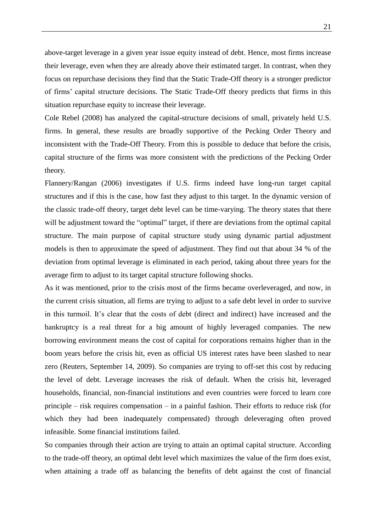above-target leverage in a given year issue equity instead of debt. Hence, most firms increase their leverage, even when they are already above their estimated target. In contrast, when they focus on repurchase decisions they find that the Static Trade-Off theory is a stronger predictor of firms" capital structure decisions. The Static Trade-Off theory predicts that firms in this situation repurchase equity to increase their leverage.

Cole Rebel (2008) has analyzed the capital-structure decisions of small, privately held U.S. firms. In general, these results are broadly supportive of the Pecking Order Theory and inconsistent with the Trade-Off Theory. From this is possible to deduce that before the crisis, capital structure of the firms was more consistent with the predictions of the Pecking Order theory.

Flannery/Rangan (2006) investigates if U.S. firms indeed have long-run target capital structures and if this is the case, how fast they adjust to this target. In the dynamic version of the classic trade-off theory, target debt level can be time-varying. The theory states that there will be adjustment toward the "optimal" target, if there are deviations from the optimal capital structure. The main purpose of capital structure study using dynamic partial adjustment models is then to approximate the speed of adjustment. They find out that about 34 % of the deviation from optimal leverage is eliminated in each period, taking about three years for the average firm to adjust to its target capital structure following shocks.

As it was mentioned, prior to the crisis most of the firms became overleveraged, and now, in the current crisis situation, all firms are trying to adjust to a safe debt level in order to survive in this turmoil. It's clear that the costs of debt (direct and indirect) have increased and the bankruptcy is a real threat for a big amount of highly leveraged companies. The new borrowing environment means the cost of capital for corporations remains higher than in the boom years before the crisis hit, even as official US interest rates have been slashed to near zero (Reuters, September 14, 2009). So companies are trying to off-set this cost by reducing the level of debt. Leverage increases the risk of default. When the crisis hit, leveraged households, financial, non-financial institutions and even countries were forced to learn core principle – risk requires compensation – in a painful fashion. Their efforts to reduce risk (for which they had been inadequately compensated) through deleveraging often proved infeasible. Some financial institutions failed.

So companies through their action are trying to attain an optimal capital structure. According to the trade-off theory, an optimal debt level which maximizes the value of the firm does exist, when attaining a trade off as balancing the benefits of debt against the cost of financial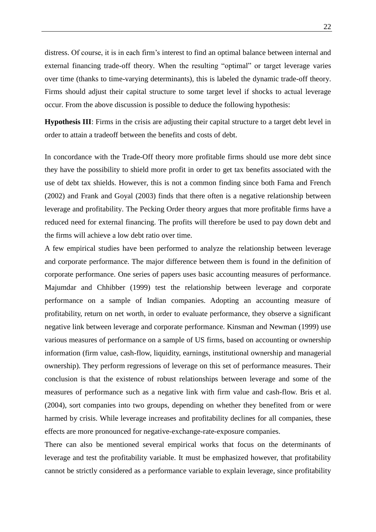distress. Of course, it is in each firm"s interest to find an optimal balance between internal and external financing trade-off theory. When the resulting "optimal" or target leverage varies over time (thanks to time-varying determinants), this is labeled the dynamic trade-off theory. Firms should adjust their capital structure to some target level if shocks to actual leverage occur. From the above discussion is possible to deduce the following hypothesis:

**Hypothesis III**: Firms in the crisis are adjusting their capital structure to a target debt level in order to attain a tradeoff between the benefits and costs of debt.

In concordance with the Trade-Off theory more profitable firms should use more debt since they have the possibility to shield more profit in order to get tax benefits associated with the use of debt tax shields. However, this is not a common finding since both Fama and French (2002) and Frank and Goyal (2003) finds that there often is a negative relationship between leverage and profitability. The Pecking Order theory argues that more profitable firms have a reduced need for external financing. The profits will therefore be used to pay down debt and the firms will achieve a low debt ratio over time.

A few empirical studies have been performed to analyze the relationship between leverage and corporate performance. The major difference between them is found in the definition of corporate performance. One series of papers uses basic accounting measures of performance. Majumdar and Chhibber (1999) test the relationship between leverage and corporate performance on a sample of Indian companies. Adopting an accounting measure of profitability, return on net worth, in order to evaluate performance, they observe a significant negative link between leverage and corporate performance. Kinsman and Newman (1999) use various measures of performance on a sample of US firms, based on accounting or ownership information (firm value, cash-flow, liquidity, earnings, institutional ownership and managerial ownership). They perform regressions of leverage on this set of performance measures. Their conclusion is that the existence of robust relationships between leverage and some of the measures of performance such as a negative link with firm value and cash-flow. Bris et al. (2004), sort companies into two groups, depending on whether they benefited from or were harmed by crisis. While leverage increases and profitability declines for all companies, these effects are more pronounced for negative-exchange-rate-exposure companies.

There can also be mentioned several empirical works that focus on the determinants of leverage and test the profitability variable. It must be emphasized however, that profitability cannot be strictly considered as a performance variable to explain leverage, since profitability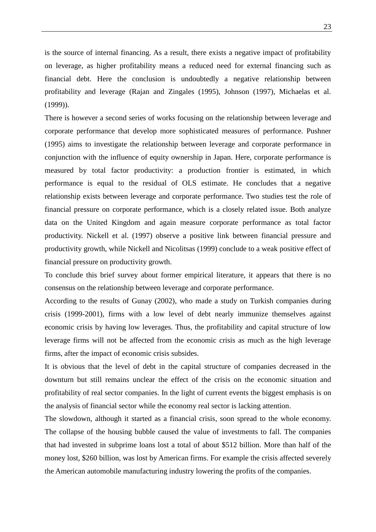is the source of internal financing. As a result, there exists a negative impact of profitability on leverage, as higher profitability means a reduced need for external financing such as financial debt. Here the conclusion is undoubtedly a negative relationship between profitability and leverage (Rajan and Zingales (1995), Johnson (1997), Michaelas et al. (1999)).

There is however a second series of works focusing on the relationship between leverage and corporate performance that develop more sophisticated measures of performance. Pushner (1995) aims to investigate the relationship between leverage and corporate performance in conjunction with the influence of equity ownership in Japan. Here, corporate performance is measured by total factor productivity: a production frontier is estimated, in which performance is equal to the residual of OLS estimate. He concludes that a negative relationship exists between leverage and corporate performance. Two studies test the role of financial pressure on corporate performance, which is a closely related issue. Both analyze data on the United Kingdom and again measure corporate performance as total factor productivity. Nickell et al. (1997) observe a positive link between financial pressure and productivity growth, while Nickell and Nicolitsas (1999) conclude to a weak positive effect of financial pressure on productivity growth.

To conclude this brief survey about former empirical literature, it appears that there is no consensus on the relationship between leverage and corporate performance.

According to the results of Gunay (2002), who made a study on Turkish companies during crisis (1999-2001), firms with a low level of debt nearly immunize themselves against economic crisis by having low leverages. Thus, the profitability and capital structure of low leverage firms will not be affected from the economic crisis as much as the high leverage firms, after the impact of economic crisis subsides.

It is obvious that the level of debt in the capital structure of companies decreased in the downturn but still remains unclear the effect of the crisis on the economic situation and profitability of real sector companies. In the light of current events the biggest emphasis is on the analysis of financial sector while the economy real sector is lacking attention.

The slowdown, although it started as a financial crisis, soon spread to the whole economy. The collapse of the housing bubble caused the value of investments to fall. The companies that had invested in subprime loans lost a total of about \$512 billion. More than half of the money lost, \$260 billion, was lost by American firms. For example the crisis affected severely the American automobile manufacturing industry lowering the profits of the companies.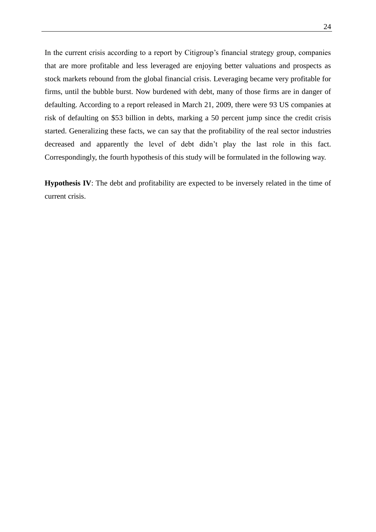In the current crisis according to a report by Citigroup's financial strategy group, companies that are more profitable and less leveraged are enjoying better valuations and prospects as stock markets rebound from the global financial crisis. Leveraging became very profitable for firms, until the bubble burst. Now burdened with debt, many of those firms are in danger of defaulting. According to a report released in March 21, 2009, there were 93 US companies at risk of defaulting on \$53 billion in debts, marking a 50 percent jump since the credit crisis started. Generalizing these facts, we can say that the profitability of the real sector industries decreased and apparently the level of debt didn"t play the last role in this fact. Correspondingly, the fourth hypothesis of this study will be formulated in the following way.

**Hypothesis IV**: The debt and profitability are expected to be inversely related in the time of current crisis.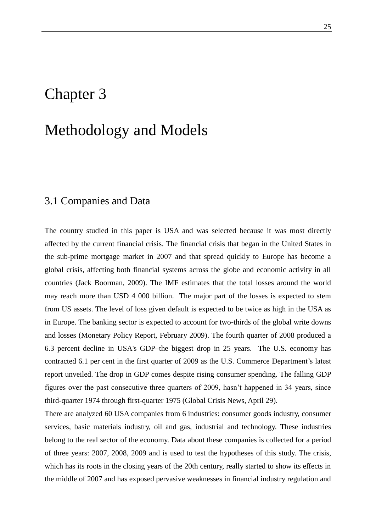## Chapter 3

### Methodology and Models

### 3.1 Companies and Data

The country studied in this paper is USA and was selected because it was most directly affected by the current financial crisis. The financial crisis that began in the United States in the sub-prime mortgage market in 2007 and that spread quickly to Europe has become a global crisis, affecting both financial systems across the globe and economic activity in all countries (Jack Boorman, 2009). The IMF estimates that the total losses around the world may reach more than USD 4 000 billion. The major part of the losses is expected to stem from US assets. The level of loss given default is expected to be twice as high in the USA as in Europe. The banking sector is expected to account for two-thirds of the global write downs and losses (Monetary Policy Report, February 2009). The fourth quarter of 2008 produced a 6.3 percent decline in USA's GDP–the biggest drop in 25 years. The U.S. economy has contracted 6.1 per cent in the first quarter of 2009 as the U.S. Commerce Department"s latest report unveiled. The drop in GDP comes despite rising consumer spending. The falling GDP figures over the past consecutive three quarters of 2009, hasn"t happened in 34 years, since third-quarter 1974 through first-quarter 1975 (Global Crisis News, April 29).

There are analyzed 60 USA companies from 6 industries: consumer goods industry, consumer services, basic materials industry, oil and gas, industrial and technology. These industries belong to the real sector of the economy. Data about these companies is collected for a period of three years: 2007, 2008, 2009 and is used to test the hypotheses of this study. The crisis, which has its roots in the closing years of the 20th century, really started to show its effects in the middle of 2007 and has exposed pervasive weaknesses in financial industry regulation and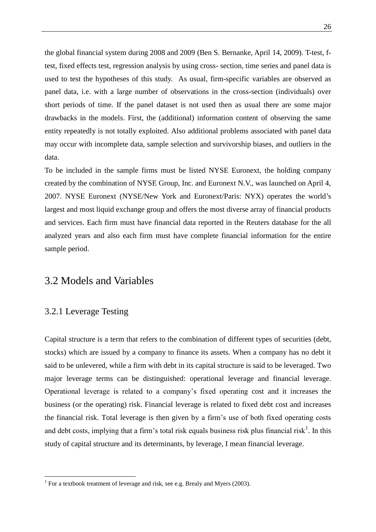the global financial system during 2008 and 2009 (Ben S. Bernanke, April 14, 2009). T-test, ftest, fixed effects test, regression analysis by using cross- section, time series and panel data is used to test the hypotheses of this study. As usual, firm-specific variables are observed as panel data, i.e. with a large number of observations in the cross-section (individuals) over short periods of time. If the panel dataset is not used then as usual there are some major drawbacks in the models. First, the (additional) information content of observing the same entity repeatedly is not totally exploited. Also additional problems associated with panel data may occur with incomplete data, sample selection and survivorship biases, and outliers in the data.

To be included in the sample firms must be listed NYSE Euronext, the holding company created by the combination of NYSE Group, Inc. and Euronext N.V., was launched on April 4, 2007. NYSE Euronext (NYSE/New York and Euronext/Paris: NYX) operates the world"s largest and most liquid exchange group and offers the most diverse array of financial products and services. Each firm must have financial data reported in the Reuters database for the all analyzed years and also each firm must have complete financial information for the entire sample period.

#### 3.2 Models and Variables

#### 3.2.1 Leverage Testing

1

Capital structure is a term that refers to the combination of different types of securities (debt, stocks) which are issued by a company to finance its assets. When a company has no debt it said to be unlevered, while a firm with debt in its capital structure is said to be leveraged. Two major leverage terms can be distinguished: operational leverage and financial leverage. Operational leverage is related to a company"s fixed operating cost and it increases the business (or the operating) risk. Financial leverage is related to fixed debt cost and increases the financial risk. Total leverage is then given by a firm"s use of both fixed operating costs and debt costs, implying that a firm's total risk equals business risk plus financial risk<sup>1</sup>. In this study of capital structure and its determinants, by leverage, I mean financial leverage.

<sup>&</sup>lt;sup>1</sup> For a textbook treatment of leverage and risk, see e.g. Brealy and Myers (2003).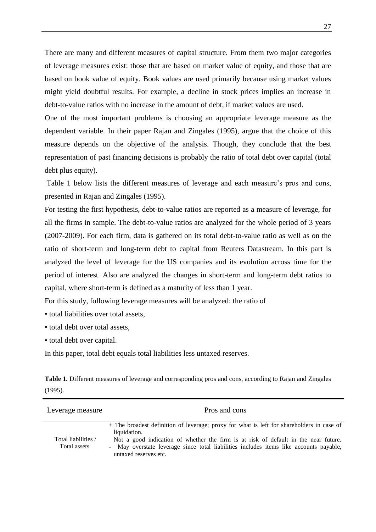There are many and different measures of capital structure. From them two major categories of leverage measures exist: those that are based on market value of equity, and those that are based on book value of equity. Book values are used primarily because using market values might yield doubtful results. For example, a decline in stock prices implies an increase in debt-to-value ratios with no increase in the amount of debt, if market values are used.

One of the most important problems is choosing an appropriate leverage measure as the dependent variable. In their paper Rajan and Zingales (1995), argue that the choice of this measure depends on the objective of the analysis. Though, they conclude that the best representation of past financing decisions is probably the ratio of total debt over capital (total debt plus equity).

Table 1 below lists the different measures of leverage and each measure's pros and cons, presented in Rajan and Zingales (1995).

For testing the first hypothesis, debt-to-value ratios are reported as a measure of leverage, for all the firms in sample. The debt-to-value ratios are analyzed for the whole period of 3 years (2007-2009). For each firm, data is gathered on its total debt-to-value ratio as well as on the ratio of short-term and long-term debt to capital from Reuters Datastream. In this part is analyzed the level of leverage for the US companies and its evolution across time for the period of interest. Also are analyzed the changes in short-term and long-term debt ratios to capital, where short-term is defined as a maturity of less than 1 year.

For this study, following leverage measures will be analyzed: the ratio of

- total liabilities over total assets,
- total debt over total assets,
- total debt over capital.

In this paper, total debt equals total liabilities less untaxed reserves.

**Table 1.** Different measures of leverage and corresponding pros and cons, according to Rajan and Zingales (1995).

| Leverage measure                    | Pros and cons                                                                                                                                                                                                                                                                                                       |
|-------------------------------------|---------------------------------------------------------------------------------------------------------------------------------------------------------------------------------------------------------------------------------------------------------------------------------------------------------------------|
| Total liabilities /<br>Total assets | + The broadest definition of leverage; proxy for what is left for shareholders in case of<br>liquidation.<br>Not a good indication of whether the firm is at risk of default in the near future.<br>- May overstate leverage since total liabilities includes items like accounts payable,<br>untaxed reserves etc. |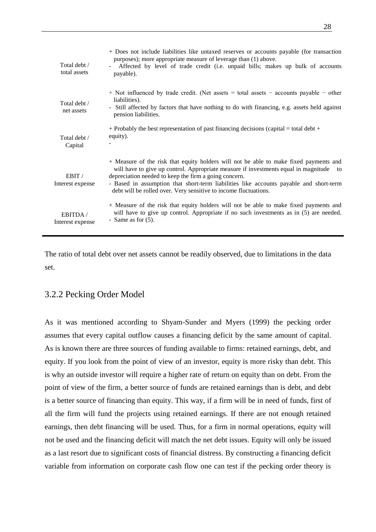| Total debt /<br>total assets | + Does not include liabilities like untaxed reserves or accounts payable (for transaction<br>purposes); more appropriate measure of leverage than (1) above.<br>Affected by level of trade credit (i.e. unpaid bills; makes up bulk of accounts<br>payable).                                                                                                                                           |
|------------------------------|--------------------------------------------------------------------------------------------------------------------------------------------------------------------------------------------------------------------------------------------------------------------------------------------------------------------------------------------------------------------------------------------------------|
| Total debt /<br>net assets   | $+$ Not influenced by trade credit. (Net assets $=$ total assets $-$ accounts payable $-$ other<br>liabilities).<br>- Still affected by factors that have nothing to do with financing, e.g. assets held against<br>pension liabilities.                                                                                                                                                               |
| Total debt /<br>Capital      | + Probably the best representation of past financing decisions (capital = total debt +<br>equity).                                                                                                                                                                                                                                                                                                     |
| EBIT /<br>Interest expense   | + Measure of the risk that equity holders will not be able to make fixed payments and<br>will have to give up control. Appropriate measure if investments equal in magnitude to<br>depreciation needed to keep the firm a going concern.<br>- Based in assumption that short-term liabilities like accounts payable and short-term<br>debt will be rolled over. Very sensitive to income fluctuations. |
| EBITDA/<br>Interest expense  | + Measure of the risk that equity holders will not be able to make fixed payments and<br>will have to give up control. Appropriate if no such investments as in (5) are needed.<br>- Same as for $(5)$ .                                                                                                                                                                                               |

The ratio of total debt over net assets cannot be readily observed, due to limitations in the data set.

#### 3.2.2 Pecking Order Model

As it was mentioned according to Shyam-Sunder and Myers (1999) the pecking order assumes that every capital outflow causes a financing deficit by the same amount of capital. As is known there are three sources of funding available to firms: retained earnings, debt, and equity. If you look from the point of view of an investor, equity is more risky than debt. This is why an outside investor will require a higher rate of return on equity than on debt. From the point of view of the firm, a better source of funds are retained earnings than is debt, and debt is a better source of financing than equity. This way, if a firm will be in need of funds, first of all the firm will fund the projects using retained earnings. If there are not enough retained earnings, then debt financing will be used. Thus, for a firm in normal operations, equity will not be used and the financing deficit will match the net debt issues. Equity will only be issued as a last resort due to significant costs of financial distress. By constructing a financing deficit variable from information on corporate cash flow one can test if the pecking order theory is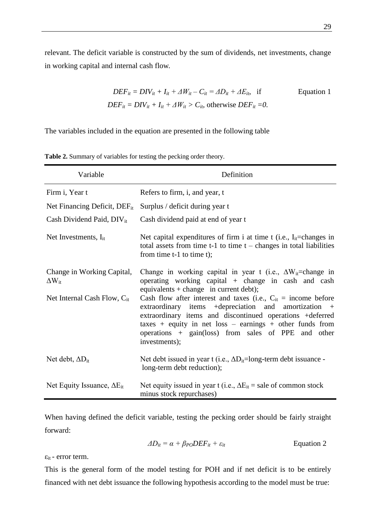relevant. The deficit variable is constructed by the sum of dividends, net investments, change in working capital and internal cash flow.

$$
DEF_{it} = DIV_{it} + I_{it} + \Delta W_{it} - C_{it} = \Delta D_{it} + \Delta E_{it}, \text{ if} \qquad \text{Equation 1}
$$
  

$$
DEF_{it} = DIV_{it} + I_{it} + \Delta W_{it} > C_{it}, \text{ otherwise } DEF_{it} = 0.
$$

The variables included in the equation are presented in the following table

| Variable                                      | Definition                                                                                                                                                                                                                                                                                                                  |
|-----------------------------------------------|-----------------------------------------------------------------------------------------------------------------------------------------------------------------------------------------------------------------------------------------------------------------------------------------------------------------------------|
| Firm i, Year t                                | Refers to firm, i, and year, t                                                                                                                                                                                                                                                                                              |
| Net Financing Deficit, DEF <sub>it</sub>      | Surplus / deficit during year t                                                                                                                                                                                                                                                                                             |
| Cash Dividend Paid, DIV <sub>it</sub>         | Cash dividend paid at end of year t                                                                                                                                                                                                                                                                                         |
| Net Investments, $I_{it}$                     | Net capital expenditures of firm i at time t (i.e., $I_{it}$ =changes in<br>total assets from time $t-1$ to time $t$ – changes in total liabilities<br>from time $t-1$ to time $t$ );                                                                                                                                       |
| Change in Working Capital,<br>$\Delta W_{it}$ | Change in working capital in year t (i.e., $\Delta W_{it}$ =change in<br>operating working capital + change in cash and cash<br>equivalents + change in current debt);                                                                                                                                                      |
| Net Internal Cash Flow, $C_{it}$              | Cash flow after interest and taxes (i.e., $C_{it}$ = income before<br>extraordinary items +depreciation and amortization +<br>extraordinary items and discontinued operations +deferred<br>taxes + equity in net loss - earnings + other funds from<br>operations + gain(loss) from sales of PPE and other<br>investments); |
| Net debt, $\Delta D_{it}$                     | Net debt issued in year t (i.e., $\Delta D_{it}$ =long-term debt issuance -<br>long-term debt reduction);                                                                                                                                                                                                                   |
| Net Equity Issuance, $\Delta E_{it}$          | Net equity issued in year t (i.e., $\Delta E_{it}$ = sale of common stock<br>minus stock repurchases)                                                                                                                                                                                                                       |

**Table 2.** Summary of variables for testing the pecking order theory.

When having defined the deficit variable, testing the pecking order should be fairly straight forward:

$$
\Delta D_{it} = \alpha + \beta_{PO} DEF_{it} + \varepsilon_{it}
$$
 Equation 2

 $\varepsilon_{it}$  - error term.

This is the general form of the model testing for POH and if net deficit is to be entirely financed with net debt issuance the following hypothesis according to the model must be true: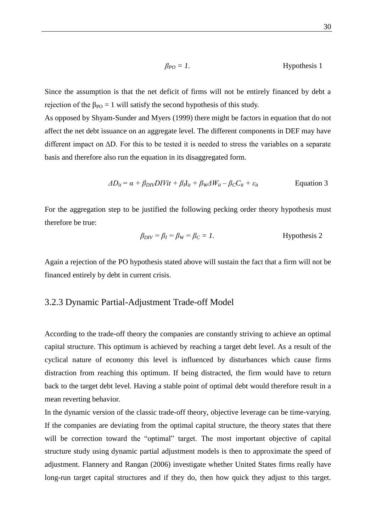$$
\beta_{PO} = 1.
$$
 Hypothesis 1

Since the assumption is that the net deficit of firms will not be entirely financed by debt a rejection of the  $\beta_{PO} = 1$  will satisfy the second hypothesis of this study.

As opposed by Shyam-Sunder and Myers (1999) there might be factors in equation that do not affect the net debt issuance on an aggregate level. The different components in DEF may have different impact on ΔD. For this to be tested it is needed to stress the variables on a separate basis and therefore also run the equation in its disaggregated form.

$$
\Delta D_{it} = \alpha + \beta_{DIV} DIVit + \beta_l I_{it} + \beta_W \Delta W_{it} - \beta_C C_{it} + \varepsilon_{it}
$$
 Equation 3

For the aggregation step to be justified the following pecking order theory hypothesis must therefore be true:

$$
\beta_{DIV} = \beta_I = \beta_W = \beta_C = 1.
$$
 Hypothesis 2

Again a rejection of the PO hypothesis stated above will sustain the fact that a firm will not be financed entirely by debt in current crisis.

#### 3.2.3 Dynamic Partial-Adjustment Trade-off Model

According to the trade-off theory the companies are constantly striving to achieve an optimal capital structure. This optimum is achieved by reaching a target debt level. As a result of the cyclical nature of economy this level is influenced by disturbances which cause firms distraction from reaching this optimum. If being distracted, the firm would have to return back to the target debt level. Having a stable point of optimal debt would therefore result in a mean reverting behavior.

In the dynamic version of the classic trade-off theory, objective leverage can be time-varying. If the companies are deviating from the optimal capital structure, the theory states that there will be correction toward the "optimal" target. The most important objective of capital structure study using dynamic partial adjustment models is then to approximate the speed of adjustment. Flannery and Rangan (2006) investigate whether United States firms really have long-run target capital structures and if they do, then how quick they adjust to this target.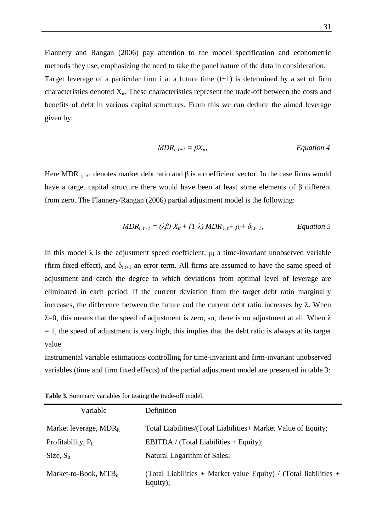Flannery and Rangan (2006) pay attention to the model specification and econometric methods they use, emphasizing the need to take the panel nature of the data in consideration. Target leverage of a particular firm i at a future time  $(t+1)$  is determined by a set of firm characteristics denoted  $X_{it}$ . These characteristics represent the trade-off between the costs and benefits of debt in various capital structures. From this we can deduce the aimed leverage given by:

$$
MDR_{i, t+1} = \beta X_{it}, \qquad \qquad \text{Equation 4}
$$

Here MDR  $_{i,t+1}$  denotes market debt ratio and  $\beta$  is a coefficient vector. In the case firms would have a target capital structure there would have been at least some elements of β different from zero. The Flannery/Rangan (2006) partial adjustment model is the following:

$$
MDR_{i, t+1} = (\lambda \beta) X_{it} + (1-\lambda) MDR_{i, t} + \mu_i + \delta_{i, t+1},
$$
 *Equation 5*

In this model  $\lambda$  is the adjustment speed coefficient,  $\mu_i$  a time-invariant unobserved variable (firm fixed effect), and  $\delta_{i,t+1}$  an error term. All firms are assumed to have the same speed of adjustment and catch the degree to which deviations from optimal level of leverage are eliminated in each period. If the current deviation from the target debt ratio marginally increases, the difference between the future and the current debt ratio increases by λ. When  $\lambda$ =0, this means that the speed of adjustment is zero, so, there is no adjustment at all. When  $\lambda$  $= 1$ , the speed of adjustment is very high, this implies that the debt ratio is always at its target value.

Instrumental variable estimations controlling for time-invariant and firm-invariant unobserved variables (time and firm fixed effects) of the partial adjustment model are presented in table 3:

| Variable                    | Definition                                                                   |
|-----------------------------|------------------------------------------------------------------------------|
| Market leverage, $MDR_{it}$ | Total Liabilities/(Total Liabilities+ Market Value of Equity;                |
| Profitability, $P_{it}$     | EBITDA / (Total Liabilities + Equity);                                       |
| Size, $S_{it}$              | Natural Logarithm of Sales;                                                  |
| Market-to-Book, $MTB_{it}$  | (Total Liabilities + Market value Equity) / (Total liabilities +<br>Equity); |

**Table 3.** Summary variables for testing the trade-off model.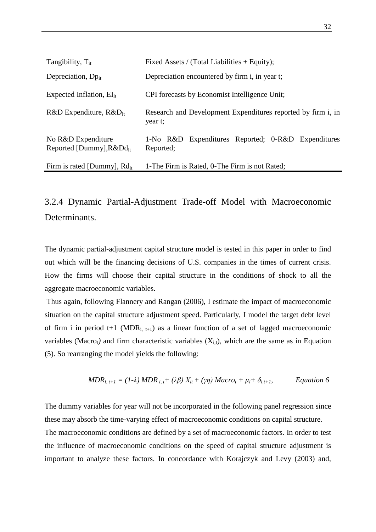| Tangibility, $T_{it}$                                | Fixed Assets / (Total Liabilities $+$ Equity);                          |  |  |  |  |
|------------------------------------------------------|-------------------------------------------------------------------------|--|--|--|--|
| Depreciation, $Dp_{it}$                              | Depreciation encountered by firm i, in year t;                          |  |  |  |  |
| Expected Inflation, $EI_{it}$                        | CPI forecasts by Economist Intelligence Unit;                           |  |  |  |  |
| $R&D$ Expenditure, $R&D_{it}$                        | Research and Development Expenditures reported by firm i, in<br>year t; |  |  |  |  |
| No R&D Expenditure<br>Reported [Dummy], $R\&Dd_{it}$ | 1-No R&D Expenditures Reported; 0-R&D Expenditures<br>Reported;         |  |  |  |  |
| Firm is rated [Dummy], $Rd_{it}$                     | 1-The Firm is Rated, 0-The Firm is not Rated;                           |  |  |  |  |

## 3.2.4 Dynamic Partial-Adjustment Trade-off Model with Macroeconomic Determinants.

The dynamic partial-adjustment capital structure model is tested in this paper in order to find out which will be the financing decisions of U.S. companies in the times of current crisis. How the firms will choose their capital structure in the conditions of shock to all the aggregate macroeconomic variables.

Thus again, following Flannery and Rangan (2006), I estimate the impact of macroeconomic situation on the capital structure adjustment speed. Particularly, I model the target debt level of firm i in period t+1 (MDR<sub>i, t+1</sub>) as a linear function of a set of lagged macroeconomic variables (Macro<sub>t</sub>) and firm characteristic variables  $(X_{i,t})$ , which are the same as in Equation (5). So rearranging the model yields the following:

$$
MDR_{i, t+1} = (1-\lambda) \, MDR_{i, t} + (\lambda \beta) \, X_{it} + (\gamma \eta) \, Macro_t + \mu_i + \delta_{i, t+1}, \qquad \text{Equation 6}
$$

The dummy variables for year will not be incorporated in the following panel regression since these may absorb the time-varying effect of macroeconomic conditions on capital structure. The macroeconomic conditions are defined by a set of macroeconomic factors. In order to test the influence of macroeconomic conditions on the speed of capital structure adjustment is important to analyze these factors. In concordance with Korajczyk and Levy (2003) and,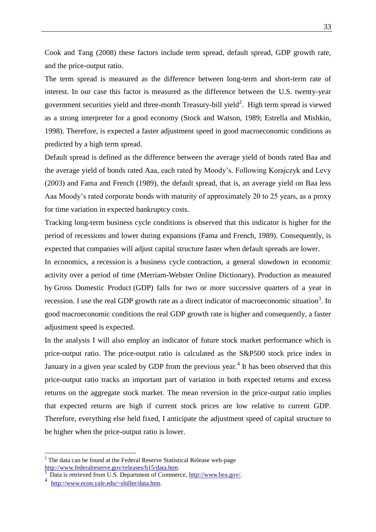Cook and Tang (2008) these factors include term spread, default spread, GDP growth rate, and the price-output ratio.

The term spread is measured as the difference between long-term and short-term rate of interest. In our case this factor is measured as the difference between the U.S. twenty-year government securities yield and three-month Treasury-bill yield<sup>2</sup>. High term spread is viewed as a strong interpreter for a good economy (Stock and Watson, 1989; Estrella and Mishkin, 1998). Therefore, is expected a faster adjustment speed in good macroeconomic conditions as predicted by a high term spread.

Default spread is defined as the difference between the average yield of bonds rated Baa and the average yield of bonds rated Aaa, each rated by Moody"s. Following Korajczyk and Levy (2003) and Fama and French (1989), the default spread, that is, an average yield on Baa less Aaa Moody"s rated corporate bonds with maturity of approximately 20 to 25 years, as a proxy for time variation in expected bankruptcy costs.

Tracking long-term business cycle conditions is observed that this indicator is higher for the period of recessions and lower during expansions (Fama and French, 1989). Consequently, is expected that companies will adjust capital structure faster when default spreads are lower.

In economics, a recession is a [business cycle](http://en.wikipedia.org/wiki/Business_cycle) contraction, a general slowdown in economic activity over a period of time (Merriam-Webster Online Dictionary). Production as measured by [Gross Domestic Product](http://en.wikipedia.org/wiki/Gross_Domestic_Product) (GDP) falls for two or more successive quarters of a year in recession. I use the real GDP growth rate as a direct indicator of macroeconomic situation<sup>3</sup>. In good macroeconomic conditions the real GDP growth rate is higher and consequently, a faster adjustment speed is expected.

In the analysis I will also employ an indicator of future stock market performance which is price-output ratio. The price-output ratio is calculated as the S&P500 stock price index in January in a given year scaled by GDP from the previous year.<sup>4</sup> It has been observed that this price-output ratio tracks an important part of variation in both expected returns and excess returns on the aggregate stock market. The mean reversion in the price-output ratio implies that expected returns are high if current stock prices are low relative to current GDP. Therefore, everything else held fixed, I anticipate the adjustment speed of capital structure to be higher when the price-output ratio is lower.

1

 $2$  The data can be found at the Federal Reserve Statistical Release web-page [http://www.federalreserve.gov/releases/h15/data.htm.](http://www.federalreserve.gov/releases/h15/data.htm)

Data is retrieved from U.S. Department of Commerce, [http://www.bea.gov/.](http://www.bea.gov/)

<sup>4</sup> [http://www.econ.yale.edu/~shiller/data.htm.](http://www.econ.yale.edu/~shiller/data.htm)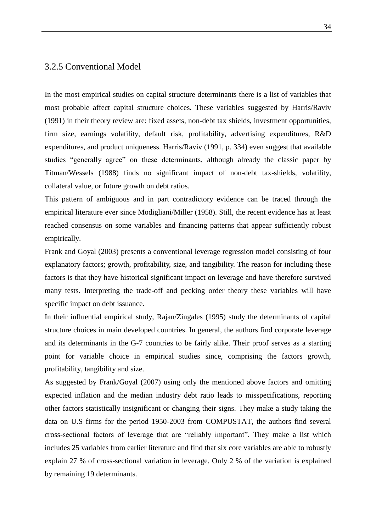#### 3.2.5 Conventional Model

In the most empirical studies on capital structure determinants there is a list of variables that most probable affect capital structure choices. These variables suggested by Harris/Raviv (1991) in their theory review are: fixed assets, non-debt tax shields, investment opportunities, firm size, earnings volatility, default risk, profitability, advertising expenditures, R&D expenditures, and product uniqueness. Harris/Raviv (1991, p. 334) even suggest that available studies "generally agree" on these determinants, although already the classic paper by Titman/Wessels (1988) finds no significant impact of non-debt tax-shields, volatility, collateral value, or future growth on debt ratios.

This pattern of ambiguous and in part contradictory evidence can be traced through the empirical literature ever since Modigliani/Miller (1958). Still, the recent evidence has at least reached consensus on some variables and financing patterns that appear sufficiently robust empirically.

Frank and Goyal (2003) presents a conventional leverage regression model consisting of four explanatory factors; growth, profitability, size, and tangibility. The reason for including these factors is that they have historical significant impact on leverage and have therefore survived many tests. Interpreting the trade-off and pecking order theory these variables will have specific impact on debt issuance.

In their influential empirical study, Rajan/Zingales (1995) study the determinants of capital structure choices in main developed countries. In general, the authors find corporate leverage and its determinants in the G-7 countries to be fairly alike. Their proof serves as a starting point for variable choice in empirical studies since, comprising the factors growth, profitability, tangibility and size.

As suggested by Frank/Goyal (2007) using only the mentioned above factors and omitting expected inflation and the median industry debt ratio leads to misspecifications, reporting other factors statistically insignificant or changing their signs. They make a study taking the data on U.S firms for the period 1950-2003 from COMPUSTAT, the authors find several cross-sectional factors of leverage that are "reliably important". They make a list which includes 25 variables from earlier literature and find that six core variables are able to robustly explain 27 % of cross-sectional variation in leverage. Only 2 % of the variation is explained by remaining 19 determinants.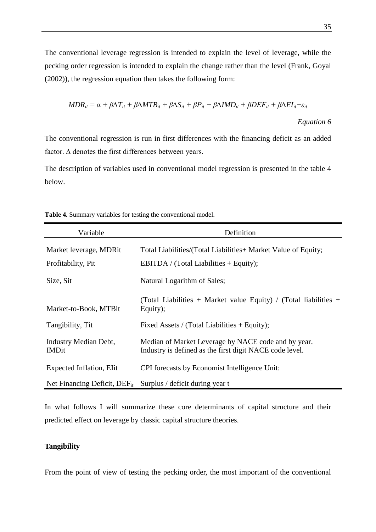The conventional leverage regression is intended to explain the level of leverage, while the pecking order regression is intended to explain the change rather than the level (Frank, Goyal (2002)), the regression equation then takes the following form:

$$
MDR_{it} = \alpha + \beta \Delta T_{it} + \beta \Delta MTB_{it} + \beta \Delta S_{it} + \beta P_{it} + \beta \Delta IMD_{it} + \beta DEF_{it} + \beta \Delta EI_{it} + \varepsilon_{it}
$$

*Equation 6*

The conventional regression is run in first differences with the financing deficit as an added factor. ∆ denotes the first differences between years.

The description of variables used in conventional model regression is presented in the table 4 below.

| Variable                                     | Definition                                                                                                     |
|----------------------------------------------|----------------------------------------------------------------------------------------------------------------|
| Market leverage, MDRit<br>Profitability, Pit | Total Liabilities/(Total Liabilities+ Market Value of Equity;<br>EBITDA / (Total Liabilities + Equity);        |
| Size, Sit                                    | Natural Logarithm of Sales;                                                                                    |
| Market-to-Book, MTBit                        | (Total Liabilities + Market value Equity) / (Total liabilities +<br>Equity);                                   |
| Tangibility, Tit                             | Fixed Assets / (Total Liabilities $+$ Equity);                                                                 |
| <b>Industry Median Debt,</b><br><b>IMDit</b> | Median of Market Leverage by NACE code and by year.<br>Industry is defined as the first digit NACE code level. |
| Expected Inflation, Elit                     | CPI forecasts by Economist Intelligence Unit:                                                                  |
|                                              | Net Financing Deficit, $DEF_{it}$ Surplus / deficit during year t                                              |

**Table 4.** Summary variables for testing the conventional model.

In what follows I will summarize these core determinants of capital structure and their predicted effect on leverage by classic capital structure theories.

#### **Tangibility**

From the point of view of testing the pecking order, the most important of the conventional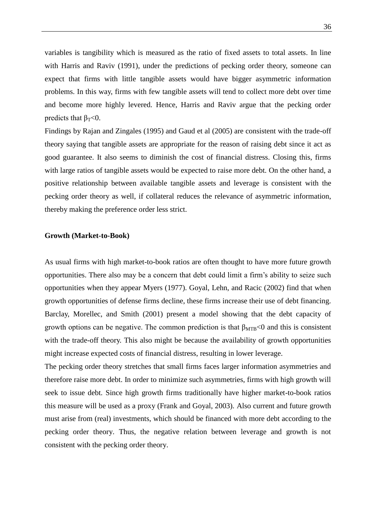variables is tangibility which is measured as the ratio of fixed assets to total assets. In line with Harris and Raviv (1991), under the predictions of pecking order theory, someone can expect that firms with little tangible assets would have bigger asymmetric information problems. In this way, firms with few tangible assets will tend to collect more debt over time and become more highly levered. Hence, Harris and Raviv argue that the pecking order predicts that  $β_T < 0$ .

Findings by Rajan and Zingales (1995) and Gaud et al (2005) are consistent with the trade-off theory saying that tangible assets are appropriate for the reason of raising debt since it act as good guarantee. It also seems to diminish the cost of financial distress. Closing this, firms with large ratios of tangible assets would be expected to raise more debt. On the other hand, a positive relationship between available tangible assets and leverage is consistent with the pecking order theory as well, if collateral reduces the relevance of asymmetric information, thereby making the preference order less strict.

#### **Growth (Market-to-Book)**

As usual firms with high market-to-book ratios are often thought to have more future growth opportunities. There also may be a concern that debt could limit a firm"s ability to seize such opportunities when they appear Myers (1977). Goyal, Lehn, and Racic (2002) find that when growth opportunities of defense firms decline, these firms increase their use of debt financing. Barclay, Morellec, and Smith (2001) present a model showing that the debt capacity of growth options can be negative. The common prediction is that  $\beta_{MTB}$ <0 and this is consistent with the trade-off theory. This also might be because the availability of growth opportunities might increase expected costs of financial distress, resulting in lower leverage.

The pecking order theory stretches that small firms faces larger information asymmetries and therefore raise more debt. In order to minimize such asymmetries, firms with high growth will seek to issue debt. Since high growth firms traditionally have higher market-to-book ratios this measure will be used as a proxy (Frank and Goyal, 2003). Also current and future growth must arise from (real) investments, which should be financed with more debt according to the pecking order theory. Thus, the negative relation between leverage and growth is not consistent with the pecking order theory.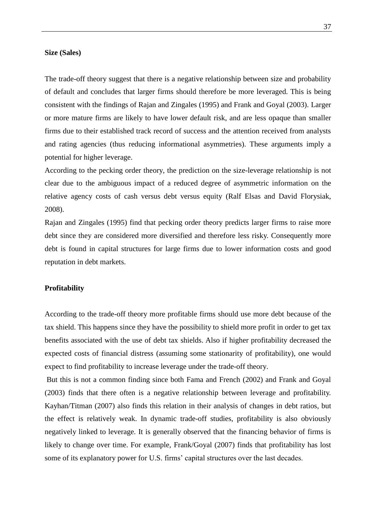#### **Size (Sales)**

The trade-off theory suggest that there is a negative relationship between size and probability of default and concludes that larger firms should therefore be more leveraged. This is being consistent with the findings of Rajan and Zingales (1995) and Frank and Goyal (2003). Larger or more mature firms are likely to have lower default risk, and are less opaque than smaller firms due to their established track record of success and the attention received from analysts and rating agencies (thus reducing informational asymmetries). These arguments imply a potential for higher leverage.

According to the pecking order theory, the prediction on the size-leverage relationship is not clear due to the ambiguous impact of a reduced degree of asymmetric information on the relative agency costs of cash versus debt versus equity (Ralf Elsas and David Florysiak, 2008).

Rajan and Zingales (1995) find that pecking order theory predicts larger firms to raise more debt since they are considered more diversified and therefore less risky. Consequently more debt is found in capital structures for large firms due to lower information costs and good reputation in debt markets.

#### **Profitability**

According to the trade-off theory more profitable firms should use more debt because of the tax shield. This happens since they have the possibility to shield more profit in order to get tax benefits associated with the use of debt tax shields. Also if higher profitability decreased the expected costs of financial distress (assuming some stationarity of profitability), one would expect to find profitability to increase leverage under the trade-off theory.

But this is not a common finding since both Fama and French (2002) and Frank and Goyal (2003) finds that there often is a negative relationship between leverage and profitability. Kayhan/Titman (2007) also finds this relation in their analysis of changes in debt ratios, but the effect is relatively weak. In dynamic trade-off studies, profitability is also obviously negatively linked to leverage. It is generally observed that the financing behavior of firms is likely to change over time. For example, Frank/Goyal (2007) finds that profitability has lost some of its explanatory power for U.S. firms' capital structures over the last decades.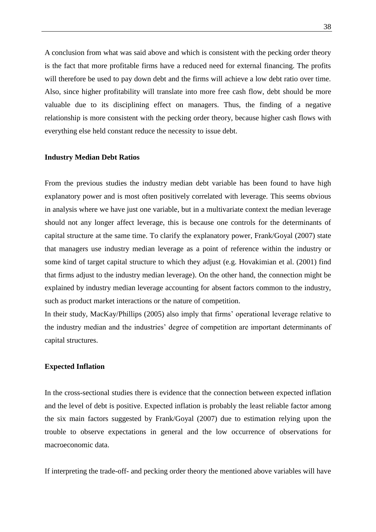A conclusion from what was said above and which is consistent with the pecking order theory is the fact that more profitable firms have a reduced need for external financing. The profits will therefore be used to pay down debt and the firms will achieve a low debt ratio over time. Also, since higher profitability will translate into more free cash flow, debt should be more valuable due to its disciplining effect on managers. Thus, the finding of a negative relationship is more consistent with the pecking order theory, because higher cash flows with everything else held constant reduce the necessity to issue debt.

#### **Industry Median Debt Ratios**

From the previous studies the industry median debt variable has been found to have high explanatory power and is most often positively correlated with leverage. This seems obvious in analysis where we have just one variable, but in a multivariate context the median leverage should not any longer affect leverage, this is because one controls for the determinants of capital structure at the same time. To clarify the explanatory power, Frank/Goyal (2007) state that managers use industry median leverage as a point of reference within the industry or some kind of target capital structure to which they adjust (e.g. Hovakimian et al. (2001) find that firms adjust to the industry median leverage). On the other hand, the connection might be explained by industry median leverage accounting for absent factors common to the industry, such as product market interactions or the nature of competition.

In their study, MacKay/Phillips (2005) also imply that firms" operational leverage relative to the industry median and the industries" degree of competition are important determinants of capital structures.

#### **Expected Inflation**

In the cross-sectional studies there is evidence that the connection between expected inflation and the level of debt is positive. Expected inflation is probably the least reliable factor among the six main factors suggested by Frank/Goyal (2007) due to estimation relying upon the trouble to observe expectations in general and the low occurrence of observations for macroeconomic data.

If interpreting the trade-off- and pecking order theory the mentioned above variables will have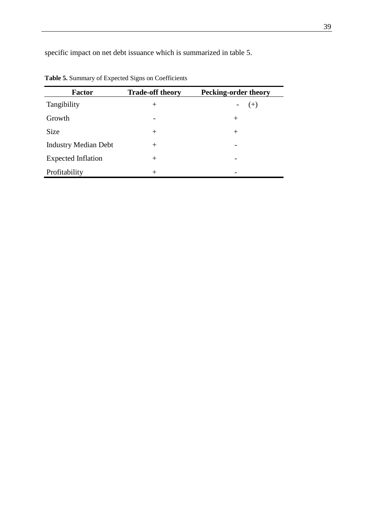specific impact on net debt issuance which is summarized in table 5.

| <b>Factor</b>               | <b>Trade-off theory</b> | <b>Pecking-order theory</b> |
|-----------------------------|-------------------------|-----------------------------|
| Tangibility                 | $^{+}$                  | $(+)$                       |
| Growth                      | -                       | $^+$                        |
| <b>Size</b>                 | $^{+}$                  | $^{+}$                      |
| <b>Industry Median Debt</b> | $^{+}$                  |                             |
| <b>Expected Inflation</b>   | $^{+}$                  |                             |
| Profitability               | $^{+}$                  |                             |

**Table 5.** Summary of Expected Signs on Coefficients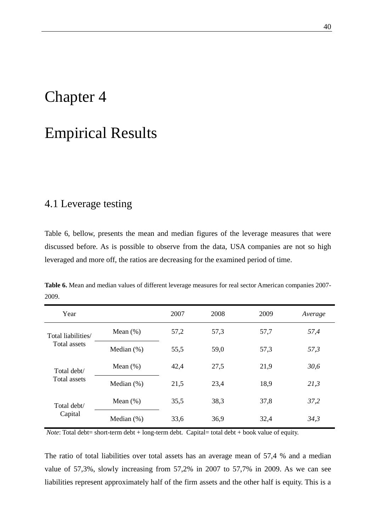# Chapter 4

# Empirical Results

### 4.1 Leverage testing

Table 6, bellow, presents the mean and median figures of the leverage measures that were discussed before. As is possible to observe from the data, USA companies are not so high leveraged and more off, the ratios are decreasing for the examined period of time.

| Year               |               | 2007 | 2008 | 2009 | Average |
|--------------------|---------------|------|------|------|---------|
| Total liabilities/ | Mean $(\%)$   | 57,2 | 57,3 | 57,7 | 57,4    |
| Total assets       | Median $(\%)$ | 55,5 | 59,0 | 57,3 | 57,3    |
| Total debt/        | Mean $(\%)$   | 42,4 | 27,5 | 21,9 | 30,6    |
| Total assets       | Median $(\%)$ | 21,5 | 23,4 | 18,9 | 21,3    |
| Total debt/        | Mean $(\%)$   | 35,5 | 38,3 | 37,8 | 37,2    |
| Capital            | Median $(\%)$ | 33,6 | 36,9 | 32,4 | 34,3    |

**Table 6.** Mean and median values of different leverage measures for real sector American companies 2007- 2009.

*Note*: Total debt= short-term debt + long-term debt. Capital= total debt + book value of equity.

The ratio of total liabilities over total assets has an average mean of 57,4 % and a median value of 57,3%, slowly increasing from 57,2% in 2007 to 57,7% in 2009. As we can see liabilities represent approximately half of the firm assets and the other half is equity. This is a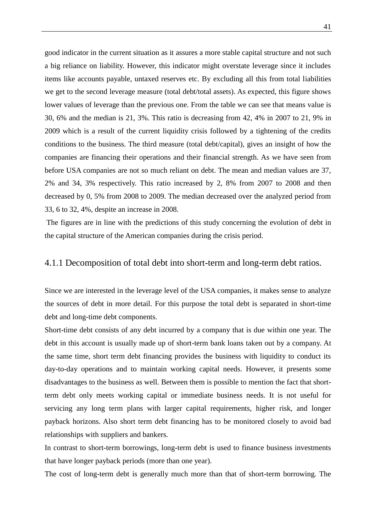good indicator in the current situation as it assures a more stable capital structure and not such a big reliance on liability. However, this indicator might overstate leverage since it includes items like accounts payable, untaxed reserves etc. By excluding all this from total liabilities we get to the second leverage measure (total debt/total assets). As expected, this figure shows lower values of leverage than the previous one. From the table we can see that means value is 30, 6% and the median is 21, 3%. This ratio is decreasing from 42, 4% in 2007 to 21, 9% in 2009 which is a result of the current liquidity crisis followed by a tightening of the credits conditions to the business. The third measure (total debt/capital), gives an insight of how the companies are financing their operations and their financial strength. As we have seen from before USA companies are not so much reliant on debt. The mean and median values are 37, 2% and 34, 3% respectively. This ratio increased by 2, 8% from 2007 to 2008 and then decreased by 0, 5% from 2008 to 2009. The median decreased over the analyzed period from 33, 6 to 32, 4%, despite an increase in 2008.

The figures are in line with the predictions of this study concerning the evolution of debt in the capital structure of the American companies during the crisis period.

#### 4.1.1 Decomposition of total debt into short-term and long-term debt ratios.

Since we are interested in the leverage level of the USA companies, it makes sense to analyze the sources of debt in more detail. For this purpose the total debt is separated in short-time debt and long-time debt components.

Short-time debt consists of any debt incurred by a company that is due within one year. The debt in this account is usually made up of short-term bank loans taken out by a company. At the same time, short term debt financing provides the business with liquidity to conduct its day-to-day operations and to maintain working capital needs. However, it presents some disadvantages to the business as well. Between them is possible to mention the fact that shortterm debt only meets working capital or immediate business needs. It is not useful for servicing any long term plans with larger capital requirements, higher risk, and longer payback horizons. Also short term debt financing has to be monitored closely to avoid bad relationships with suppliers and bankers.

In contrast to short-term borrowings, long-term debt is used to finance business investments that have longer payback periods (more than one year).

The cost of long-term debt is generally much more than that of short-term borrowing. The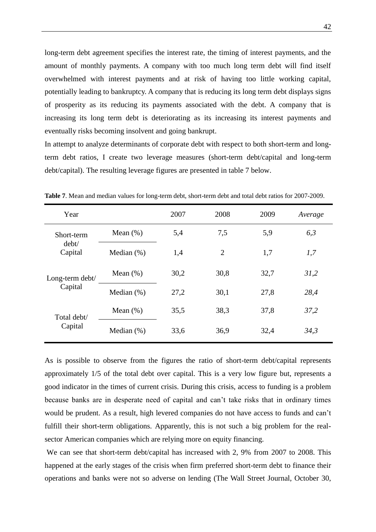long-term debt agreement specifies the interest rate, the timing of interest payments, and the amount of monthly payments. A company with too much long term debt will find itself overwhelmed with interest payments and at risk of having too little working capital, potentially leading to bankruptcy. A company that is reducing its long term debt displays signs of prosperity as its reducing its payments associated with the debt. A company that is increasing its long term debt is deteriorating as its increasing its interest payments and eventually risks becoming insolvent and going [bankrupt.](http://www.wikinvest.com/wiki/Bankruptcy)

In attempt to analyze determinants of corporate debt with respect to both short-term and longterm debt ratios, I create two leverage measures (short-term debt/capital and long-term debt/capital). The resulting leverage figures are presented in table 7 below.

| Year             |                | 2007 | 2008           | 2009 | Average |
|------------------|----------------|------|----------------|------|---------|
| Short-term       | Mean $(\%)$    | 5,4  | 7,5            | 5,9  | 6,3     |
| debt/<br>Capital | Median $(\%)$  | 1,4  | $\overline{2}$ | 1,7  | 1,7     |
| Long-term debt/  | Mean $(\%)$    | 30,2 | 30,8           | 32,7 | 31,2    |
| Capital          | Median $(\%)$  | 27,2 | 30,1           | 27,8 | 28,4    |
| Total debt/      | Mean $(\%)$    | 35,5 | 38,3           | 37,8 | 37,2    |
| Capital          | Median $(\% )$ | 33,6 | 36,9           | 32,4 | 34,3    |

**Table 7**. Mean and median values for long-term debt, short-term debt and total debt ratios for 2007-2009.

As is possible to observe from the figures the ratio of short-term debt/capital represents approximately 1/5 of the total debt over capital. This is a very low figure but, represents a good indicator in the times of current crisis. During this crisis, access to funding is a problem because banks are in desperate need of capital and can"t take risks that in ordinary times would be prudent. As a result, high levered companies do not have access to funds and can"t fulfill their short-term obligations. Apparently, this is not such a big problem for the realsector American companies which are relying more on equity financing.

We can see that short-term debt/capital has increased with 2, 9% from 2007 to 2008. This happened at the early stages of the crisis when firm preferred short-term debt to finance their operations and banks were not so adverse on lending (The Wall Street Journal, October 30,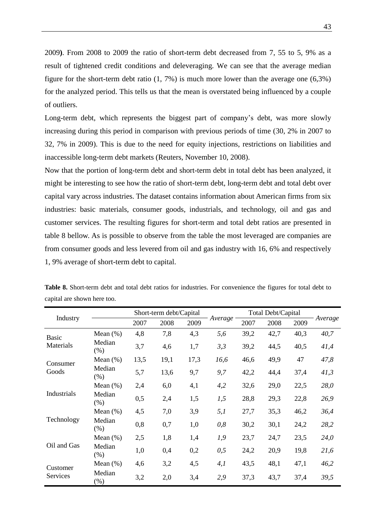2009**)**. From 2008 to 2009 the ratio of short-term debt decreased from 7, 55 to 5, 9% as a result of tightened credit conditions and deleveraging. We can see that the average median figure for the short-term debt ratio  $(1, 7\%)$  is much more lower than the average one  $(6,3\%)$ for the analyzed period. This tells us that the mean is overstated being influenced by a couple of outliers.

Long-term debt, which represents the biggest part of company's debt, was more slowly increasing during this period in comparison with previous periods of time (30, 2% in 2007 to 32, 7% in 2009). This is due to the need for equity injections, restrictions on liabilities and inaccessible long-term debt markets (Reuters, November 10, 2008).

Now that the portion of long-term debt and short-term debt in total debt has been analyzed, it might be interesting to see how the ratio of short-term debt, long-term debt and total debt over capital vary across industries. The dataset contains information about American firms from six industries: basic materials, consumer goods, industrials, and technology, oil and gas and customer services. The resulting figures for short-term and total debt ratios are presented in table 8 bellow. As is possible to observe from the table the most leveraged are companies are from consumer goods and less levered from oil and gas industry with 16, 6% and respectively 1, 9% average of short-term debt to capital.

|              |                |      | Short-term debt/Capital |      |         |      | Total Debt/Capital |      |         |
|--------------|----------------|------|-------------------------|------|---------|------|--------------------|------|---------|
| Industry     |                | 2007 | 2008                    | 2009 | Average | 2007 | 2008               | 2009 | Average |
| <b>Basic</b> | Mean $(\%)$    | 4,8  | 7,8                     | 4,3  | 5,6     | 39,2 | 42,7               | 40,3 | 40,7    |
| Materials    | Median<br>(% ) | 3,7  | 4,6                     | 1,7  | 3,3     | 39,2 | 44,5               | 40,5 | 41,4    |
| Consumer     | Mean $(\%)$    | 13,5 | 19,1                    | 17,3 | 16,6    | 46,6 | 49,9               | 47   | 47,8    |
| Goods        | Median<br>(% ) | 5,7  | 13,6                    | 9,7  | 9,7     | 42,2 | 44,4               | 37,4 | 41,3    |
|              | Mean $(\%)$    | 2,4  | 6,0                     | 4,1  | 4,2     | 32,6 | 29,0               | 22,5 | 28,0    |
| Industrials  | Median<br>(% ) | 0,5  | 2,4                     | 1,5  | 1,5     | 28,8 | 29,3               | 22,8 | 26,9    |
|              | Mean $(\%)$    | 4,5  | 7,0                     | 3,9  | 5,1     | 27,7 | 35,3               | 46,2 | 36,4    |
| Technology   | Median<br>(% ) | 0,8  | 0,7                     | 1,0  | 0,8     | 30,2 | 30,1               | 24,2 | 28,2    |
|              | Mean $(\%)$    | 2,5  | 1,8                     | 1,4  | 1,9     | 23,7 | 24,7               | 23,5 | 24,0    |
| Oil and Gas  | Median<br>(% ) | 1,0  | 0,4                     | 0,2  | 0,5     | 24,2 | 20,9               | 19,8 | 21,6    |
| Customer     | Mean $(\%)$    | 4,6  | 3,2                     | 4,5  | 4,1     | 43,5 | 48,1               | 47,1 | 46,2    |
| Services     | Median<br>(%)  | 3,2  | 2,0                     | 3,4  | 2,9     | 37,3 | 43,7               | 37,4 | 39,5    |

**Table 8.** Short-term debt and total debt ratios for industries. For convenience the figures for total debt to capital are shown here too.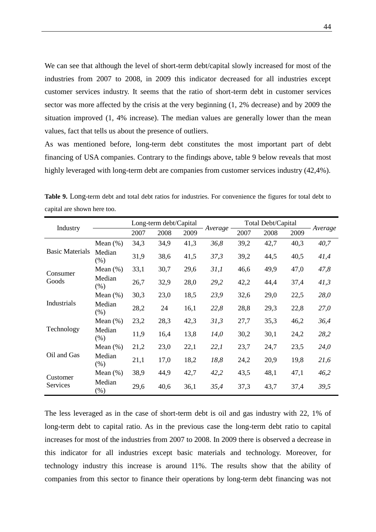We can see that although the level of short-term debt/capital slowly increased for most of the industries from 2007 to 2008, in 2009 this indicator decreased for all industries except customer services industry. It seems that the ratio of short-term debt in customer services sector was more affected by the crisis at the very beginning (1, 2% decrease) and by 2009 the situation improved (1, 4% increase). The median values are generally lower than the mean values, fact that tells us about the presence of outliers.

As was mentioned before, long-term debt constitutes the most important part of debt financing of USA companies. Contrary to the findings above, table 9 below reveals that most highly leveraged with long-term debt are companies from customer services industry (42,4%).

|                        |                   |      | Long-term debt/Capital |      |         |      | Total Debt/Capital |      |         |
|------------------------|-------------------|------|------------------------|------|---------|------|--------------------|------|---------|
| Industry               |                   | 2007 | 2008                   | 2009 | Average | 2007 | 2008               | 2009 | Average |
|                        | Mean $(\%)$       | 34,3 | 34,9                   | 41,3 | 36,8    | 39,2 | 42,7               | 40,3 | 40,7    |
| <b>Basic Materials</b> | Median<br>(% )    | 31,9 | 38,6                   | 41,5 | 37,3    | 39,2 | 44,5               | 40,5 | 41,4    |
| Consumer               | Mean $(\%)$       | 33,1 | 30,7                   | 29,6 | 31,1    | 46,6 | 49,9               | 47,0 | 47,8    |
| Goods                  | Median<br>(% )    | 26,7 | 32,9                   | 28,0 | 29,2    | 42,2 | 44,4               | 37,4 | 41,3    |
|                        | Mean $(\%)$       | 30,3 | 23,0                   | 18,5 | 23,9    | 32,6 | 29,0               | 22,5 | 28,0    |
| Industrials            | Median<br>$(\% )$ | 28,2 | 24                     | 16,1 | 22,8    | 28,8 | 29,3               | 22,8 | 27,0    |
|                        | Mean $(\%)$       | 23,2 | 28,3                   | 42,3 | 31,3    | 27,7 | 35,3               | 46,2 | 36,4    |
| Technology             | Median<br>(% )    | 11,9 | 16,4                   | 13,8 | 14,0    | 30,2 | 30,1               | 24,2 | 28,2    |
|                        | Mean $(\%)$       | 21,2 | 23,0                   | 22,1 | 22,1    | 23,7 | 24,7               | 23,5 | 24,0    |
| Oil and Gas            | Median<br>$(\% )$ | 21,1 | 17,0                   | 18,2 | 18,8    | 24,2 | 20,9               | 19,8 | 21,6    |
| Customer               | Mean $(\%)$       | 38,9 | 44,9                   | 42,7 | 42,2    | 43,5 | 48,1               | 47,1 | 46,2    |
| Services               | Median<br>$(\%)$  | 29,6 | 40,6                   | 36,1 | 35,4    | 37,3 | 43,7               | 37,4 | 39,5    |

**Table 9.** Long-term debt and total debt ratios for industries. For convenience the figures for total debt to capital are shown here too.

The less leveraged as in the case of short-term debt is oil and gas industry with 22, 1% of long-term debt to capital ratio. As in the previous case the long-term debt ratio to capital increases for most of the industries from 2007 to 2008. In 2009 there is observed a decrease in this indicator for all industries except basic materials and technology. Moreover, for technology industry this increase is around 11%. The results show that the ability of companies from this sector to finance their operations by long-term debt financing was not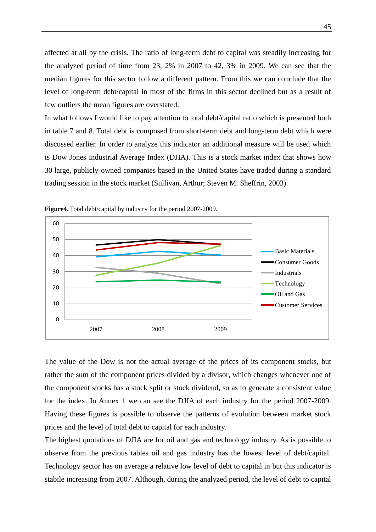affected at all by the crisis. The ratio of long-term debt to capital was steadily increasing for the analyzed period of time from 23, 2% in 2007 to 42, 3% in 2009. We can see that the median figures for this sector follow a different pattern. From this we can conclude that the level of long-term debt/capital in most of the firms in this sector declined but as a result of few outliers the mean figures are overstated.

In what follows I would like to pay attention to total debt/capital ratio which is presented both in table 7 and 8. Total debt is composed from short-term debt and long-term debt which were discussed earlier. In order to analyze this indicator an additional measure will be used which is Dow Jones Industrial Average Index (DJIA). This is a stock market index that shows how 30 large, publicly-owned companies based in the United States have traded during a standard trading session in the [stock market](http://en.wikipedia.org/wiki/Stock_market) (Sullivan, Arthur; Steven M. Sheffrin, 2003).



**Figure4.** Total debt/capital by industry for the period 2007-2009.

The value of the Dow is not the actual [average](http://en.wikipedia.org/wiki/Arithmetic_mean) of the prices of its component stocks, but rather the sum of the component prices divided by a divisor, which changes whenever one of the component stocks has a stock split or stock dividend, so as to generate a consistent value for the index. In Annex 1 we can see the DJIA of each industry for the period 2007-2009. Having these figures is possible to observe the patterns of evolution between market stock prices and the level of total debt to capital for each industry.

The highest quotations of DJIA are for oil and gas and technology industry. As is possible to observe from the previous tables oil and gas industry has the lowest level of debt/capital. Technology sector has on average a relative low level of debt to capital in but this indicator is stabile increasing from 2007. Although, during the analyzed period, the level of debt to capital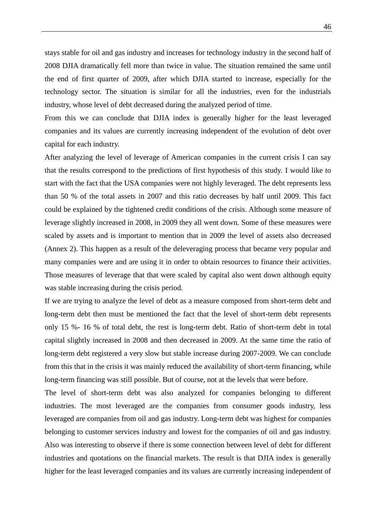stays stable for oil and gas industry and increases for technology industry in the second half of 2008 DJIA dramatically fell more than twice in value. The situation remained the same until the end of first quarter of 2009, after which DJIA started to increase, especially for the technology sector. The situation is similar for all the industries, even for the industrials industry, whose level of debt decreased during the analyzed period of time.

From this we can conclude that DJIA index is generally higher for the least leveraged companies and its values are currently increasing independent of the evolution of debt over capital for each industry.

After analyzing the level of leverage of American companies in the current crisis I can say that the results correspond to the predictions of first hypothesis of this study. I would like to start with the fact that the USA companies were not highly leveraged. The debt represents less than 50 % of the total assets in 2007 and this ratio decreases by half until 2009. This fact could be explained by the tightened credit conditions of the crisis. Although some measure of leverage slightly increased in 2008, in 2009 they all went down. Some of these measures were scaled by assets and is important to mention that in 2009 the level of assets also decreased (Annex 2). This happen as a result of the deleveraging process that became very popular and many companies were and are using it in order to obtain resources to finance their activities. Those measures of leverage that that were scaled by capital also went down although equity was stable increasing during the crisis period.

If we are trying to analyze the level of debt as a measure composed from short-term debt and long-term debt then must be mentioned the fact that the level of short-term debt represents only 15 %- 16 % of total debt, the rest is long-term debt. Ratio of short-term debt in total capital slightly increased in 2008 and then decreased in 2009. At the same time the ratio of long-term debt registered a very slow but stable increase during 2007-2009. We can conclude from this that in the crisis it was mainly reduced the availability of short-term financing, while long-term financing was still possible. But of course, not at the levels that were before.

The level of short-term debt was also analyzed for companies belonging to different industries. The most leveraged are the companies from consumer goods industry, less leveraged are companies from oil and gas industry. Long-term debt was highest for companies belonging to customer services industry and lowest for the companies of oil and gas industry. Also was interesting to observe if there is some connection between level of debt for different industries and quotations on the financial markets. The result is that DJIA index is generally higher for the least leveraged companies and its values are currently increasing independent of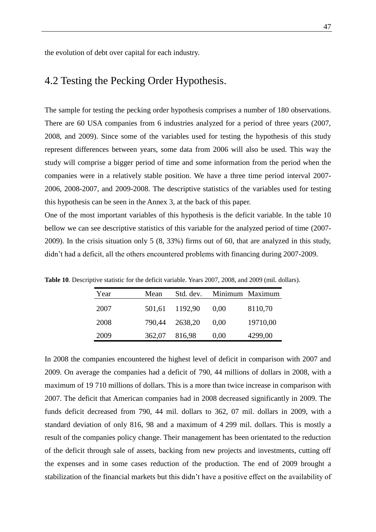### 4.2 Testing the Pecking Order Hypothesis.

The sample for testing the pecking order hypothesis comprises a number of 180 observations. There are 60 USA companies from 6 industries analyzed for a period of three years (2007, 2008, and 2009). Since some of the variables used for testing the hypothesis of this study represent differences between years, some data from 2006 will also be used. This way the study will comprise a bigger period of time and some information from the period when the companies were in a relatively stable position. We have a three time period interval 2007- 2006, 2008-2007, and 2009-2008. The descriptive statistics of the variables used for testing this hypothesis can be seen in the Annex 3, at the back of this paper.

One of the most important variables of this hypothesis is the deficit variable. In the table 10 bellow we can see descriptive statistics of this variable for the analyzed period of time (2007- 2009). In the crisis situation only 5 (8, 33%) firms out of 60, that are analyzed in this study, didn"t had a deficit, all the others encountered problems with financing during 2007-2009.

| Year | Mean   | Std. dev. | Minimum Maximum |          |
|------|--------|-----------|-----------------|----------|
| 2007 | 501,61 | 1192,90   | (0.00)          | 8110,70  |
| 2008 | 790,44 | 2638,20   | 0.00            | 19710,00 |
| 2009 | 362,07 | 816,98    | 0,00            | 4299,00  |

**Table 10**. Descriptive statistic for the deficit variable. Years 2007, 2008, and 2009 (mil. dollars).

In 2008 the companies encountered the highest level of deficit in comparison with 2007 and 2009. On average the companies had a deficit of 790, 44 millions of dollars in 2008, with a maximum of 19 710 millions of dollars. This is a more than twice increase in comparison with 2007. The deficit that American companies had in 2008 decreased significantly in 2009. The funds deficit decreased from 790, 44 mil. dollars to 362, 07 mil. dollars in 2009, with a standard deviation of only 816, 98 and a maximum of 4 299 mil. dollars. This is mostly a result of the companies policy change. Their management has been orientated to the reduction of the deficit through sale of assets, backing from new projects and investments, cutting off the expenses and in some cases reduction of the production. The end of 2009 brought a stabilization of the financial markets but this didn"t have a positive effect on the availability of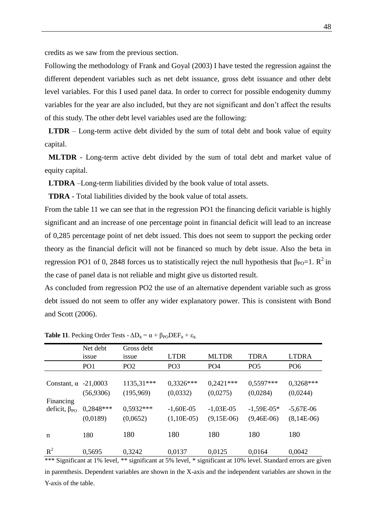credits as we saw from the previous section.

Following the methodology of Frank and Goyal (2003) I have tested the regression against the different dependent variables such as net debt issuance, gross debt issuance and other debt level variables. For this I used panel data. In order to correct for possible endogenity dummy variables for the year are also included, but they are not significant and don"t affect the results of this study. The other debt level variables used are the following:

**LTDR** – Long-term active debt divided by the sum of total debt and book value of equity capital.

**MLTDR** - Long-term active debt divided by the sum of total debt and market value of equity capital.

**LTDRA** –Long-term liabilities divided by the book value of total assets.

**TDRA** - Total liabilities divided by the book value of total assets.

From the table 11 we can see that in the regression PO1 the financing deficit variable is highly significant and an increase of one percentage point in financial deficit will lead to an increase of 0,285 percentage point of net debt issued. This does not seem to support the pecking order theory as the financial deficit will not be financed so much by debt issue. Also the beta in regression PO1 of 0, 2848 forces us to statistically reject the null hypothesis that  $\beta_{\text{PO}}=1$ .  $R^2$  in the case of panel data is not reliable and might give us distorted result.

As concluded from regression PO2 the use of an alternative dependent variable such as gross debt issued do not seem to offer any wider explanatory power. This is consistent with Bond and Scott (2006).

|                             | Net debt<br>1SSue | Gross debt<br>issue | <b>LTDR</b>     | <b>MLTDR</b>    | <b>TDRA</b>     | <b>LTDRA</b>    |
|-----------------------------|-------------------|---------------------|-----------------|-----------------|-----------------|-----------------|
|                             | PO <sub>1</sub>   | PO <sub>2</sub>     | PO <sub>3</sub> | PO <sub>4</sub> | PO <sub>5</sub> | PO <sub>6</sub> |
|                             |                   |                     |                 |                 |                 |                 |
| Constant, $\alpha$ -21,0003 |                   | 1135,31***          | $0,3326***$     | $0,2421***$     | $0.5597***$     | $0.3268***$     |
|                             | (56,9306)         | (195,969)           | (0,0332)        | (0,0275)        | (0,0284)        | (0,0244)        |
| Financing                   |                   |                     |                 |                 |                 |                 |
| deficit, $\beta_{PO}$       | $0.2848***$       | $0.5932***$         | $-1,60E-05$     | $-1,03E-05$     | $-1,59E-05*$    | $-5,67E-06$     |
|                             | (0,0189)          | (0,0652)            | $(1,10E-05)$    | $(9,15E-06)$    | $(9,46E-06)$    | $(8,14E-06)$    |
| $\mathbf n$                 | 180               | 180                 | 180             | 180             | 180             | 180             |
| $R^2$                       | 0,5695            | 0,3242              | 0,0137          | 0,0125          | 0,0164          | 0,0042          |

**Table 11.** Pecking Order Tests -  $\Delta D_{it} = \alpha + \beta_{PO} \text{DEF}_{it} + \varepsilon_{it}$ .

in parenthesis. Dependent variables are shown in the X-axis and the independent variables are shown in the Y-axis of the table.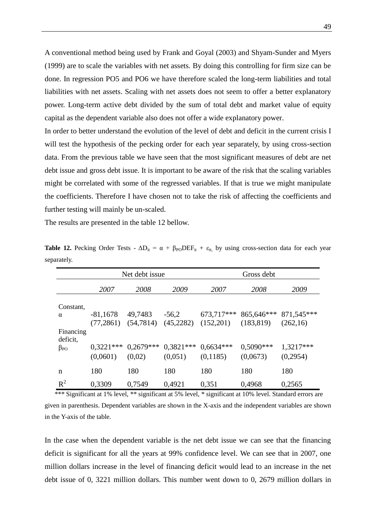A conventional method being used by Frank and Goyal (2003) and Shyam-Sunder and Myers (1999) are to scale the variables with net assets. By doing this controlling for firm size can be done. In regression PO5 and PO6 we have therefore scaled the long-term liabilities and total liabilities with net assets. Scaling with net assets does not seem to offer a better explanatory power. Long-term active debt divided by the sum of total debt and market value of equity capital as the dependent variable also does not offer a wide explanatory power.

In order to better understand the evolution of the level of debt and deficit in the current crisis I will test the hypothesis of the pecking order for each year separately, by using cross-section data. From the previous table we have seen that the most significant measures of debt are net debt issue and gross debt issue. It is important to be aware of the risk that the scaling variables might be correlated with some of the regressed variables. If that is true we might manipulate the coefficients. Therefore I have chosen not to take the risk of affecting the coefficients and further testing will mainly be un-scaled.

The results are presented in the table 12 bellow.

|                       | Net debt issue |             |             | Gross debt  |             |            |
|-----------------------|----------------|-------------|-------------|-------------|-------------|------------|
|                       | 2007           | 2008        | 2009        | 2007        | 2008        | 2009       |
| Constant,             |                |             |             |             |             |            |
| $\alpha$              | $-81,1678$     | 49,7483     | $-56,2$     | 673,717***  | 865,646***  | 871,545*** |
|                       | (77, 2861)     | (54, 7814)  | (45,2282)   | (152,201)   | (183, 819)  | (262,16)   |
| Financing<br>deficit, |                |             |             |             |             |            |
| $\beta_{PO}$          | $0.3221***$    | $0,2679***$ | $0.3821***$ | $0,6634***$ | $0.5090***$ | 1,3217***  |
|                       | (0,0601)       | (0,02)      | (0,051)     | (0,1185)    | (0,0673)    | (0,2954)   |
| n                     | 180            | 180         | 180         | 180         | 180         | 180        |
| $R^2$                 | 0,3309         | 0,7549      | 0,4921      | 0,351       | 0,4968      | 0,2565     |

**Table 12.** Pecking Order Tests -  $\Delta D_{it} = \alpha + \beta_{PO}$ DEF<sub>it</sub> +  $\varepsilon_{it}$  by using cross-section data for each year separately.

given in parenthesis. Dependent variables are shown in the X-axis and the independent variables are shown in the Y-axis of the table.

\*\*\* Significant at 1% level, \*\* significant at 5% level, \* significant at 10% level. Standard errors are

In the case when the dependent variable is the net debt issue we can see that the financing deficit is significant for all the years at 99% confidence level. We can see that in 2007, one million dollars increase in the level of financing deficit would lead to an increase in the net debt issue of 0, 3221 million dollars. This number went down to 0, 2679 million dollars in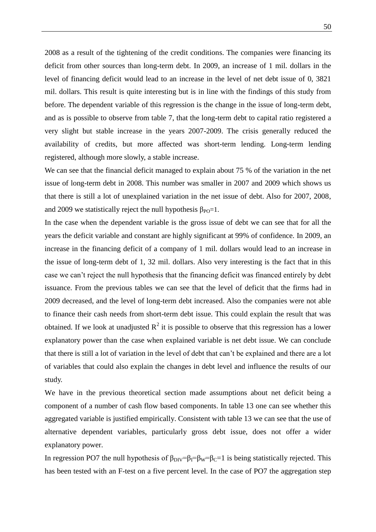2008 as a result of the tightening of the credit conditions. The companies were financing its deficit from other sources than long-term debt. In 2009, an increase of 1 mil. dollars in the level of financing deficit would lead to an increase in the level of net debt issue of 0, 3821 mil. dollars. This result is quite interesting but is in line with the findings of this study from before. The dependent variable of this regression is the change in the issue of long-term debt, and as is possible to observe from table 7, that the long-term debt to capital ratio registered a very slight but stable increase in the years 2007-2009. The crisis generally reduced the availability of credits, but more affected was short-term lending. Long-term lending registered, although more slowly, a stable increase.

We can see that the financial deficit managed to explain about 75 % of the variation in the net issue of long-term debt in 2008. This number was smaller in 2007 and 2009 which shows us that there is still a lot of unexplained variation in the net issue of debt. Also for 2007, 2008, and 2009 we statistically reject the null hypothesis  $\beta_{PQ}=1$ .

In the case when the dependent variable is the gross issue of debt we can see that for all the years the deficit variable and constant are highly significant at 99% of confidence. In 2009, an increase in the financing deficit of a company of 1 mil. dollars would lead to an increase in the issue of long-term debt of 1, 32 mil. dollars. Also very interesting is the fact that in this case we can"t reject the null hypothesis that the financing deficit was financed entirely by debt issuance. From the previous tables we can see that the level of deficit that the firms had in 2009 decreased, and the level of long-term debt increased. Also the companies were not able to finance their cash needs from short-term debt issue. This could explain the result that was obtained. If we look at unadjusted  $R^2$  it is possible to observe that this regression has a lower explanatory power than the case when explained variable is net debt issue. We can conclude that there is still a lot of variation in the level of debt that can"t be explained and there are a lot of variables that could also explain the changes in debt level and influence the results of our study.

We have in the previous theoretical section made assumptions about net deficit being a component of a number of cash flow based components. In table 13 one can see whether this aggregated variable is justified empirically. Consistent with table 13 we can see that the use of alternative dependent variables, particularly gross debt issue, does not offer a wider explanatory power.

In regression PO7 the null hypothesis of  $\beta_{\text{DIV}} = \beta_{\text{I}} = \beta_{\text{W}} = \beta_{\text{C}} = 1$  is being statistically rejected. This has been tested with an F-test on a five percent level. In the case of PO7 the aggregation step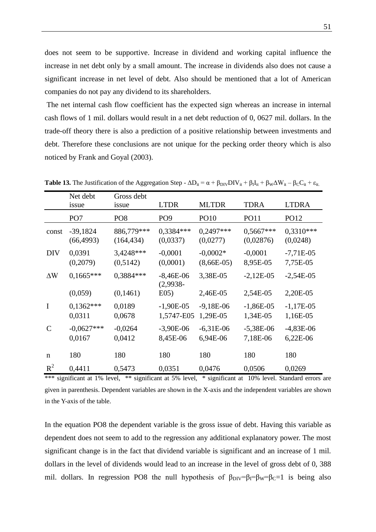does not seem to be supportive. Increase in dividend and working capital influence the increase in net debt only by a small amount. The increase in dividends also does not cause a significant increase in net level of debt. Also should be mentioned that a lot of American companies do not pay any dividend to its shareholders.

The net internal cash flow coefficient has the expected sign whereas an increase in internal cash flows of 1 mil. dollars would result in a net debt reduction of 0, 0627 mil. dollars. In the trade-off theory there is also a prediction of a positive relationship between investments and debt. Therefore these conclusions are not unique for the pecking order theory which is also noticed by Frank and Goyal (2003).

|               | Net debt<br>issue        | Gross debt<br>issue      | <b>LTDR</b>               | <b>MLTDR</b>               | <b>TDRA</b>              | <b>LTDRA</b>            |
|---------------|--------------------------|--------------------------|---------------------------|----------------------------|--------------------------|-------------------------|
|               | PO <sub>7</sub>          | PO <sub>8</sub>          | PO <sub>9</sub>           | <b>PO10</b>                | <b>PO11</b>              | PO12                    |
| const         | $-39,1824$<br>(66, 4993) | 886,779***<br>(164, 434) | $0,3384***$<br>(0,0337)   | $0,2497***$<br>(0,0277)    | $0,5667***$<br>(0,02876) | $0,3310***$<br>(0,0248) |
| <b>DIV</b>    | 0,0391<br>(0,2079)       | 3,4248***<br>(0,5142)    | $-0,0001$<br>(0,0001)     | $-0,0002*$<br>$(8,66E-05)$ | $-0,0001$<br>8,95E-05    | $-7,71E-05$<br>7,75E-05 |
| $\Delta W$    | $0,1665***$              | 0,3884 ***               | $-8,46E-06$<br>$(2,9938-$ | 3,38E-05                   | $-2,12E-05$              | $-2,54E-05$             |
|               | (0,059)                  | (0,1461)                 | E(05)                     | 2,46E-05                   | 2,54E-05                 | 2,20E-05                |
| $\mathbf I$   | $0,1362***$<br>0,0311    | 0,0189<br>0,0678         | $-1,90E-05$<br>1,5747-E05 | $-9,18E-06$<br>1,29E-05    | $-1,86E-05$<br>1,34E-05  | $-1,17E-05$<br>1,16E-05 |
| $\mathcal{C}$ | $-0.0627***$<br>0,0167   | $-0,0264$<br>0,0412      | $-3,90E-06$<br>8,45E-06   | $-6,31E-06$<br>6,94E-06    | $-5,38E-06$<br>7,18E-06  | $-4,83E-06$<br>6,22E-06 |
| $\mathbf n$   | 180                      | 180                      | 180                       | 180                        | 180                      | 180                     |
| $R^2$         | 0,4411                   | 0,5473                   | 0,0351                    | 0,0476                     | 0,0506                   | 0,0269                  |

**Table 13.** The Justification of the Aggregation Step -  $\Delta D_{it} = \alpha + \beta_{\text{DIV}}DIV_{it} + \beta_{I}I_{it} + \beta_{\text{W}}\Delta W_{it} - \beta_{\text{C}}C_{it} + \epsilon_{it}$ .

\*\*\* significant at 1% level, \*\* significant at 5% level, \* significant at 10% level. Standard errors are given in parenthesis. Dependent variables are shown in the X-axis and the independent variables are shown in the Y-axis of the table.

In the equation PO8 the dependent variable is the gross issue of debt. Having this variable as dependent does not seem to add to the regression any additional explanatory power. The most significant change is in the fact that dividend variable is significant and an increase of 1 mil. dollars in the level of dividends would lead to an increase in the level of gross debt of 0, 388 mil. dollars. In regression PO8 the null hypothesis of  $\beta_{\text{DIV}} = \beta_1 = \beta_w = \beta_C = 1$  is being also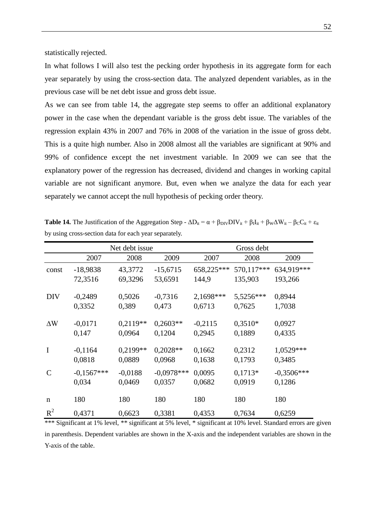statistically rejected.

In what follows I will also test the pecking order hypothesis in its aggregate form for each year separately by using the cross-section data. The analyzed dependent variables, as in the previous case will be net debt issue and gross debt issue.

As we can see from table 14, the aggregate step seems to offer an additional explanatory power in the case when the dependant variable is the gross debt issue. The variables of the regression explain 43% in 2007 and 76% in 2008 of the variation in the issue of gross debt. This is a quite high number. Also in 2008 almost all the variables are significant at 90% and 99% of confidence except the net investment variable. In 2009 we can see that the explanatory power of the regression has decreased, dividend and changes in working capital variable are not significant anymore. But, even when we analyze the data for each year separately we cannot accept the null hypothesis of pecking order theory.

|               | Net debt issue        |                      |                        | Gross debt          |                     |                        |
|---------------|-----------------------|----------------------|------------------------|---------------------|---------------------|------------------------|
|               | 2007                  | 2008                 | 2009                   | 2007                | 2008                | 2009                   |
| const         | $-18,9838$            | 43,3772              | $-15,6715$             | 658,225***          | 570,117***          | 634,919***             |
|               | 72,3516               | 69,3296              | 53,6591                | 144,9               | 135,903             | 193,266                |
| <b>DIV</b>    | $-0,2489$<br>0,3352   | 0,5026<br>0,389      | $-0,7316$<br>0,473     | 2,1698***<br>0,6713 | 5,5256***<br>0,7625 | 0,8944<br>1,7038       |
| $\Delta W$    | $-0,0171$<br>0,147    | $0,2119**$<br>0,0964 | $0,2603**$<br>0,1204   | $-0,2115$<br>0,2945 | $0,3510*$<br>0,1889 | 0,0927<br>0,4335       |
| $\mathbf I$   | $-0,1164$<br>0,0818   | 0,2199**<br>0,0889   | $0,2028**$<br>0,0968   | 0,1662<br>0,1638    | 0,2312<br>0,1793    | 1,0529***<br>0,3485    |
| $\mathcal{C}$ | $-0,1567***$<br>0,034 | $-0,0188$<br>0,0469  | $-0,0978***$<br>0,0357 | 0,0095<br>0,0682    | $0,1713*$<br>0,0919 | $-0,3506***$<br>0,1286 |
| $\mathbf n$   | 180                   | 180                  | 180                    | 180                 | 180                 | 180                    |
| $R^2$         | 0,4371                | 0,6623               | 0,3381                 | 0,4353              | 0,7634              | 0,6259                 |

**Table 14.** The Justification of the Aggregation Step -  $\Delta D_{it} = \alpha + \beta_{DIV}DV_{it} + \beta_{I}I_{it} + \beta_{W}\Delta W_{it} - \beta_{C}C_{it} + \epsilon_{it}$ by using cross-section data for each year separately.

\*\*\* Significant at 1% level, \*\* significant at 5% level, \* significant at 10% level. Standard errors are given in parenthesis. Dependent variables are shown in the X-axis and the independent variables are shown in the Y-axis of the table.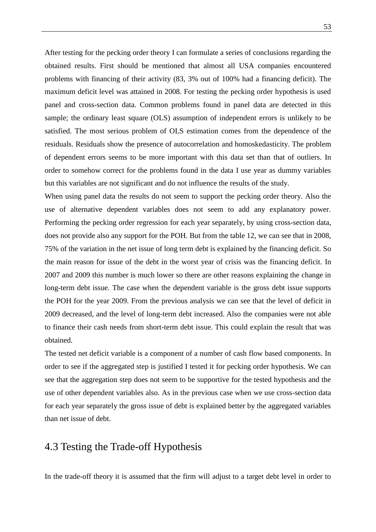After testing for the pecking order theory I can formulate a series of conclusions regarding the obtained results. First should be mentioned that almost all USA companies encountered problems with financing of their activity (83, 3% out of 100% had a financing deficit). The maximum deficit level was attained in 2008. For testing the pecking order hypothesis is used panel and cross-section data. Common problems found in panel data are detected in this sample; the ordinary least square (OLS) assumption of independent errors is unlikely to be satisfied. The most serious problem of OLS estimation comes from the dependence of the residuals. Residuals show the presence of autocorrelation and homoskedasticity. The problem of dependent errors seems to be more important with this data set than that of outliers. In order to somehow correct for the problems found in the data I use year as dummy variables but this variables are not significant and do not influence the results of the study.

When using panel data the results do not seem to support the pecking order theory. Also the use of alternative dependent variables does not seem to add any explanatory power. Performing the pecking order regression for each year separately, by using cross-section data, does not provide also any support for the POH. But from the table 12, we can see that in 2008, 75% of the variation in the net issue of long term debt is explained by the financing deficit. So the main reason for issue of the debt in the worst year of crisis was the financing deficit. In 2007 and 2009 this number is much lower so there are other reasons explaining the change in long-term debt issue. The case when the dependent variable is the gross debt issue supports the POH for the year 2009. From the previous analysis we can see that the level of deficit in 2009 decreased, and the level of long-term debt increased. Also the companies were not able to finance their cash needs from short-term debt issue. This could explain the result that was obtained.

The tested net deficit variable is a component of a number of cash flow based components. In order to see if the aggregated step is justified I tested it for pecking order hypothesis. We can see that the aggregation step does not seem to be supportive for the tested hypothesis and the use of other dependent variables also. As in the previous case when we use cross-section data for each year separately the gross issue of debt is explained better by the aggregated variables than net issue of debt.

### 4.3 Testing the Trade-off Hypothesis

In the trade-off theory it is assumed that the firm will adjust to a target debt level in order to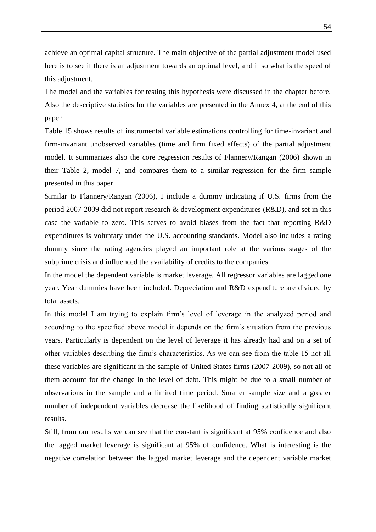achieve an optimal capital structure. The main objective of the partial adjustment model used here is to see if there is an adjustment towards an optimal level, and if so what is the speed of this adjustment.

The model and the variables for testing this hypothesis were discussed in the chapter before. Also the descriptive statistics for the variables are presented in the Annex 4, at the end of this paper.

Table 15 shows results of instrumental variable estimations controlling for time-invariant and firm-invariant unobserved variables (time and firm fixed effects) of the partial adjustment model. It summarizes also the core regression results of Flannery/Rangan (2006) shown in their Table 2, model 7, and compares them to a similar regression for the firm sample presented in this paper.

Similar to Flannery/Rangan (2006), I include a dummy indicating if U.S. firms from the period 2007-2009 did not report research & development expenditures (R&D), and set in this case the variable to zero. This serves to avoid biases from the fact that reporting R&D expenditures is voluntary under the U.S. accounting standards. Model also includes a rating dummy since the rating agencies played an important role at the various stages of the subprime crisis and influenced the availability of credits to the companies.

In the model the dependent variable is market leverage. All regressor variables are lagged one year. Year dummies have been included. Depreciation and R&D expenditure are divided by total assets.

In this model I am trying to explain firm's level of leverage in the analyzed period and according to the specified above model it depends on the firm"s situation from the previous years. Particularly is dependent on the level of leverage it has already had and on a set of other variables describing the firm"s characteristics. As we can see from the table 15 not all these variables are significant in the sample of United States firms (2007-2009), so not all of them account for the change in the level of debt. This might be due to a small number of observations in the sample and a limited time period. Smaller sample size and a greater number of independent variables decrease the likelihood of finding statistically significant results.

Still, from our results we can see that the constant is significant at 95% confidence and also the lagged market leverage is significant at 95% of confidence. What is interesting is the negative correlation between the lagged market leverage and the dependent variable market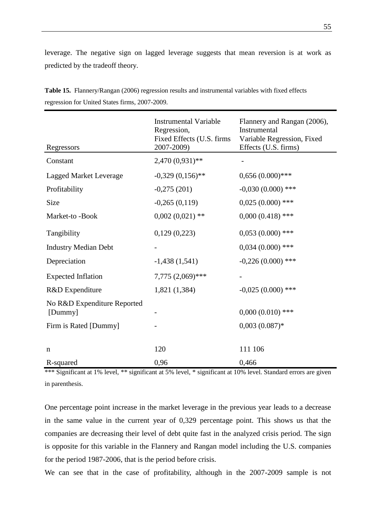leverage. The negative sign on lagged leverage suggests that mean reversion is at work as predicted by the tradeoff theory.

| Regressors                             | <b>Instrumental Variable</b><br>Regression,<br>Fixed Effects (U.S. firms<br>2007-2009) | Flannery and Rangan (2006),<br>Instrumental<br>Variable Regression, Fixed<br>Effects (U.S. firms) |
|----------------------------------------|----------------------------------------------------------------------------------------|---------------------------------------------------------------------------------------------------|
| Constant                               | 2,470 (0,931)**                                                                        |                                                                                                   |
| <b>Lagged Market Leverage</b>          | $-0,329(0,156)$ **                                                                     | $0,656(0.000)$ ***                                                                                |
| Profitability                          | $-0,275(201)$                                                                          | $-0,030(0.000)$ ***                                                                               |
| Size                                   | $-0,265(0,119)$                                                                        | $0,025(0.000)$ ***                                                                                |
| Market-to-Book                         | $0,002(0,021)$ **                                                                      | $0,000(0.418)$ ***                                                                                |
| Tangibility                            | 0,129(0,223)                                                                           | $0,053(0.000)$ ***                                                                                |
| <b>Industry Median Debt</b>            |                                                                                        | $0,034(0.000)$ ***                                                                                |
| Depreciation                           | $-1,438(1,541)$                                                                        | $-0,226(0.000)$ ***                                                                               |
| <b>Expected Inflation</b>              | $7,775(2,069)$ ***                                                                     |                                                                                                   |
| R&D Expenditure                        | 1,821 (1,384)                                                                          | $-0.025(0.000)$ ***                                                                               |
| No R&D Expenditure Reported<br>[Dummy] |                                                                                        | $0,000(0.010)$ ***                                                                                |
| Firm is Rated [Dummy]                  |                                                                                        | $0,003(0.087)$ *                                                                                  |
|                                        |                                                                                        |                                                                                                   |
| $\mathbf n$                            | 120                                                                                    | 111 106                                                                                           |
| R-squared                              | 0,96                                                                                   | 0,466                                                                                             |

**Table 15.** Flannery/Rangan (2006) regression results and instrumental variables with fixed effects regression for United States firms, 2007-2009.

\*\*\* Significant at 1% level, \*\* significant at 5% level, \* significant at 10% level. Standard errors are given in parenthesis.

One percentage point increase in the market leverage in the previous year leads to a decrease in the same value in the current year of 0,329 percentage point. This shows us that the companies are decreasing their level of debt quite fast in the analyzed crisis period. The sign is opposite for this variable in the Flannery and Rangan model including the U.S. companies for the period 1987-2006, that is the period before crisis.

We can see that in the case of profitability, although in the 2007-2009 sample is not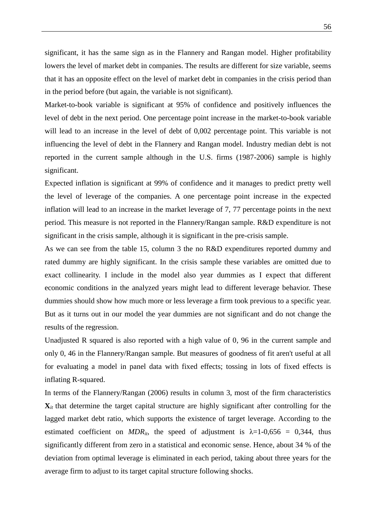significant, it has the same sign as in the Flannery and Rangan model. Higher profitability lowers the level of market debt in companies. The results are different for size variable, seems that it has an opposite effect on the level of market debt in companies in the crisis period than in the period before (but again, the variable is not significant).

Market-to-book variable is significant at 95% of confidence and positively influences the level of debt in the next period. One percentage point increase in the market-to-book variable will lead to an increase in the level of debt of 0,002 percentage point. This variable is not influencing the level of debt in the Flannery and Rangan model. Industry median debt is not reported in the current sample although in the U.S. firms (1987-2006) sample is highly significant.

Expected inflation is significant at 99% of confidence and it manages to predict pretty well the level of leverage of the companies. A one percentage point increase in the expected inflation will lead to an increase in the market leverage of 7, 77 percentage points in the next period. This measure is not reported in the Flannery/Rangan sample. R&D expenditure is not significant in the crisis sample, although it is significant in the pre-crisis sample.

As we can see from the table 15, column 3 the no R&D expenditures reported dummy and rated dummy are highly significant. In the crisis sample these variables are omitted due to exact collinearity. I include in the model also year dummies as I expect that different economic conditions in the analyzed years might lead to different leverage behavior. These dummies should show how much more or less leverage a firm took previous to a specific year. But as it turns out in our model the year dummies are not significant and do not change the results of the regression.

Unadjusted R squared is also reported with a high value of 0, 96 in the current sample and only 0, 46 in the Flannery/Rangan sample. But measures of goodness of fit aren't useful at all for evaluating a model in panel data with fixed effects; tossing in lots of fixed effects is inflating R-squared.

In terms of the Flannery/Rangan (2006) results in column 3, most of the firm characteristics  $\mathbf{X}_{it}$  that determine the target capital structure are highly significant after controlling for the lagged market debt ratio, which supports the existence of target leverage. According to the estimated coefficient on  $MDR_{it}$ , the speed of adjustment is  $\lambda = 1-0.656 = 0.344$ , thus significantly different from zero in a statistical and economic sense. Hence, about 34 % of the deviation from optimal leverage is eliminated in each period, taking about three years for the average firm to adjust to its target capital structure following shocks.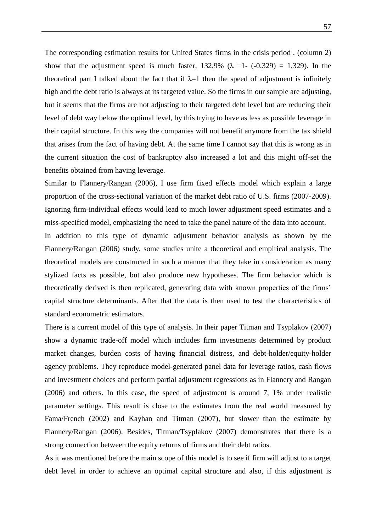The corresponding estimation results for United States firms in the crisis period , (column 2) show that the adjustment speed is much faster,  $132,9\%$  ( $\lambda =1$ - (-0,329) = 1,329). In the theoretical part I talked about the fact that if  $\lambda=1$  then the speed of adjustment is infinitely high and the debt ratio is always at its targeted value. So the firms in our sample are adjusting, but it seems that the firms are not adjusting to their targeted debt level but are reducing their level of debt way below the optimal level, by this trying to have as less as possible leverage in their capital structure. In this way the companies will not benefit anymore from the tax shield that arises from the fact of having debt. At the same time I cannot say that this is wrong as in the current situation the cost of bankruptcy also increased a lot and this might off-set the benefits obtained from having leverage.

Similar to Flannery/Rangan (2006), I use firm fixed effects model which explain a large proportion of the cross-sectional variation of the market debt ratio of U.S. firms (2007-2009). Ignoring firm-individual effects would lead to much lower adjustment speed estimates and a miss-specified model, emphasizing the need to take the panel nature of the data into account.

In addition to this type of dynamic adjustment behavior analysis as shown by the Flannery/Rangan (2006) study, some studies unite a theoretical and empirical analysis. The theoretical models are constructed in such a manner that they take in consideration as many stylized facts as possible, but also produce new hypotheses. The firm behavior which is theoretically derived is then replicated, generating data with known properties of the firms" capital structure determinants. After that the data is then used to test the characteristics of standard econometric estimators.

There is a current model of this type of analysis. In their paper Titman and Tsyplakov (2007) show a dynamic trade-off model which includes firm investments determined by product market changes, burden costs of having financial distress, and debt-holder/equity-holder agency problems. They reproduce model-generated panel data for leverage ratios, cash flows and investment choices and perform partial adjustment regressions as in Flannery and Rangan (2006) and others. In this case, the speed of adjustment is around 7, 1% under realistic parameter settings. This result is close to the estimates from the real world measured by Fama/French (2002) and Kayhan and Titman (2007), but slower than the estimate by Flannery/Rangan (2006). Besides, Titman/Tsyplakov (2007) demonstrates that there is a strong connection between the equity returns of firms and their debt ratios.

As it was mentioned before the main scope of this model is to see if firm will adjust to a target debt level in order to achieve an optimal capital structure and also, if this adjustment is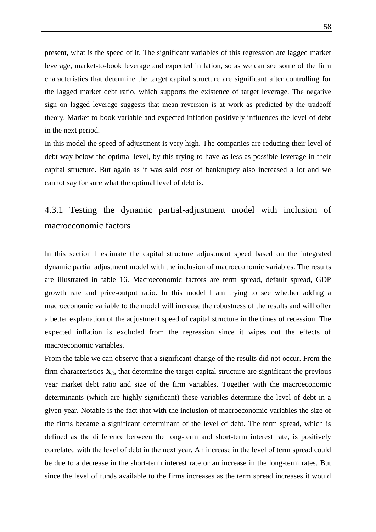present, what is the speed of it. The significant variables of this regression are lagged market leverage, market-to-book leverage and expected inflation, so as we can see some of the firm characteristics that determine the target capital structure are significant after controlling for the lagged market debt ratio, which supports the existence of target leverage. The negative sign on lagged leverage suggests that mean reversion is at work as predicted by the tradeoff theory. Market-to-book variable and expected inflation positively influences the level of debt in the next period.

In this model the speed of adjustment is very high. The companies are reducing their level of debt way below the optimal level, by this trying to have as less as possible leverage in their capital structure. But again as it was said cost of bankruptcy also increased a lot and we cannot say for sure what the optimal level of debt is.

## 4.3.1 Testing the dynamic partial-adjustment model with inclusion of macroeconomic factors

In this section I estimate the capital structure adjustment speed based on the integrated dynamic partial adjustment model with the inclusion of macroeconomic variables. The results are illustrated in table 16. Macroeconomic factors are term spread, default spread, GDP growth rate and price-output ratio. In this model I am trying to see whether adding a macroeconomic variable to the model will increase the robustness of the results and will offer a better explanation of the adjustment speed of capital structure in the times of recession. The expected inflation is excluded from the regression since it wipes out the effects of macroeconomic variables.

From the table we can observe that a significant change of the results did not occur. From the firm characteristics  $\mathbf{X}_{it}$ , that determine the target capital structure are significant the previous year market debt ratio and size of the firm variables. Together with the macroeconomic determinants (which are highly significant) these variables determine the level of debt in a given year. Notable is the fact that with the inclusion of macroeconomic variables the size of the firms became a significant determinant of the level of debt. The term spread, which is defined as the difference between the long-term and short-term interest rate, is positively correlated with the level of debt in the next year. An increase in the level of term spread could be due to a decrease in the short-term interest rate or an increase in the long-term rates. But since the level of funds available to the firms increases as the term spread increases it would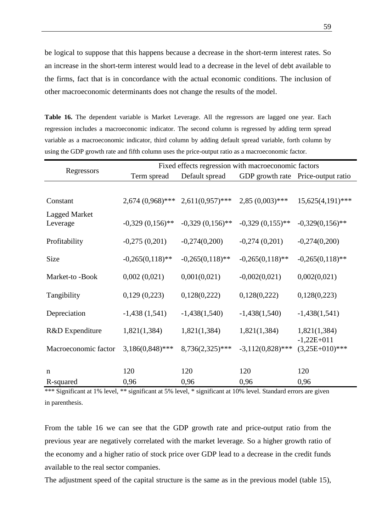be logical to suppose that this happens because a decrease in the short-term interest rates. So an increase in the short-term interest would lead to a decrease in the level of debt available to the firms, fact that is in concordance with the actual economic conditions. The inclusion of other macroeconomic determinants does not change the results of the model.

**Table 16.** The dependent variable is Market Leverage. All the regressors are lagged one year. Each regression includes a macroeconomic indicator. The second column is regressed by adding term spread variable as a macroeconomic indicator, third column by adding default spread variable, forth column by using the GDP growth rate and fifth column uses the price-output ratio as a macroeconomic factor.

|                                  | Fixed effects regression with macroeconomic factors |                    |                     |                                    |  |
|----------------------------------|-----------------------------------------------------|--------------------|---------------------|------------------------------------|--|
| Regressors                       | Term spread                                         | Default spread     |                     | GDP growth rate Price-output ratio |  |
|                                  |                                                     |                    |                     |                                    |  |
| Constant                         | $2,674(0,968)$ ***                                  | $2,611(0,957)$ *** | $2,85(0,003)$ ***   | $15,625(4,191)$ ***                |  |
| <b>Lagged Market</b><br>Leverage | $-0,329(0,156)$ **                                  | $-0,329(0,156)$ ** | $-0,329(0,155)$ **  | $-0,329(0,156)$ **                 |  |
| Profitability                    | $-0,275(0,201)$                                     | $-0,274(0,200)$    | $-0,274(0,201)$     | $-0,274(0,200)$                    |  |
| Size                             | $-0,265(0,118)$ **                                  | $-0,265(0,118)$ ** | $-0,265(0,118)$ **  | $-0,265(0,118)$ **                 |  |
| Market-to-Book                   | 0,002(0,021)                                        | 0,001(0,021)       | $-0,002(0,021)$     | 0,002(0,021)                       |  |
| Tangibility                      | 0,129(0,223)                                        | 0,128(0,222)       | 0,128(0,222)        | 0,128(0,223)                       |  |
| Depreciation                     | $-1,438(1,541)$                                     | $-1,438(1,540)$    | $-1,438(1,540)$     | $-1,438(1,541)$                    |  |
| R&D Expenditure                  | 1,821(1,384)                                        | 1,821(1,384)       | 1,821(1,384)        | 1,821(1,384)<br>$-1,22E+011$       |  |
| Macroeconomic factor             | $3,186(0,848)$ ***                                  | 8,736(2,325)***    | $-3,112(0,828)$ *** | $(3,25E+010)$ ***                  |  |
| $\mathbf n$                      | 120                                                 | 120                | 120                 | 120                                |  |
| R-squared                        | 0,96                                                | 0,96               | 0,96                | 0,96                               |  |

\*\*\* Significant at 1% level, \*\* significant at 5% level, \* significant at 10% level. Standard errors are given in parenthesis.

From the table 16 we can see that the GDP growth rate and price-output ratio from the previous year are negatively correlated with the market leverage. So a higher growth ratio of the economy and a higher ratio of stock price over GDP lead to a decrease in the credit funds available to the real sector companies.

The adjustment speed of the capital structure is the same as in the previous model (table 15),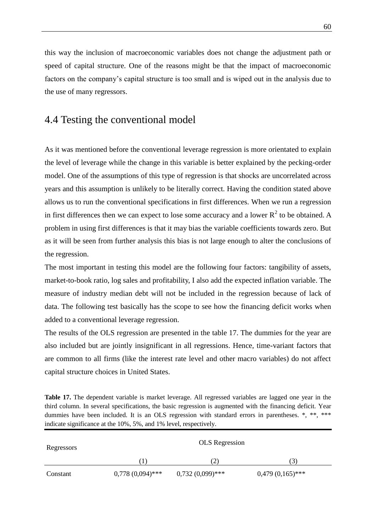this way the inclusion of macroeconomic variables does not change the adjustment path or speed of capital structure. One of the reasons might be that the impact of macroeconomic factors on the company's capital structure is too small and is wiped out in the analysis due to the use of many regressors.

### 4.4 Testing the conventional model

As it was mentioned before the conventional leverage regression is more orientated to explain the level of leverage while the change in this variable is better explained by the pecking-order model. One of the assumptions of this type of regression is that shocks are uncorrelated across years and this assumption is unlikely to be literally correct. Having the condition stated above allows us to run the conventional specifications in first differences. When we run a regression in first differences then we can expect to lose some accuracy and a lower  $R^2$  to be obtained. A problem in using first differences is that it may bias the variable coefficients towards zero. But as it will be seen from further analysis this bias is not large enough to alter the conclusions of the regression.

The most important in testing this model are the following four factors: tangibility of assets, market-to-book ratio, log sales and profitability, I also add the expected inflation variable. The measure of industry median debt will not be included in the regression because of lack of data. The following test basically has the scope to see how the financing deficit works when added to a conventional leverage regression.

The results of the OLS regression are presented in the table 17. The dummies for the year are also included but are jointly insignificant in all regressions. Hence, time-variant factors that are common to all firms (like the interest rate level and other macro variables) do not affect capital structure choices in United States.

**Table 17.** The dependent variable is market leverage. All regressed variables are lagged one year in the third column. In several specifications, the basic regression is augmented with the financing deficit. Year dummies have been included. It is an OLS regression with standard errors in parentheses. \*, \*\*, \*\*\* indicate significance at the 10%, 5%, and 1% level, respectively.

| Regressors |                    | <b>OLS</b> Regression |                    |
|------------|--------------------|-----------------------|--------------------|
|            |                    | (2)                   | 3)                 |
| Constant   | $0,778(0,094)$ *** | $0,732(0,099)$ ***    | $0,479(0,165)$ *** |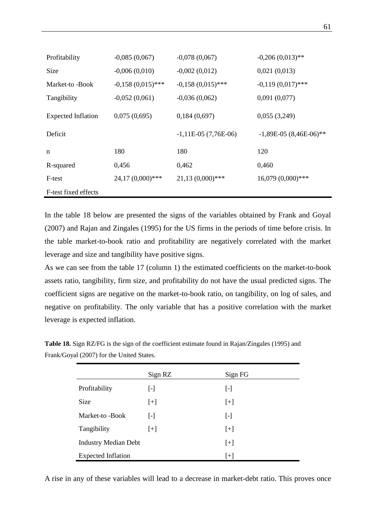| Profitability             | $-0,085(0,067)$     | $-0,078(0,067)$       | $-0,206(0,013)$ **       |
|---------------------------|---------------------|-----------------------|--------------------------|
| Size                      | $-0,006(0,010)$     | $-0,002(0,012)$       | 0,021(0,013)             |
| Market-to-Book            | $-0,158(0,015)$ *** | $-0,158(0,015)$ ***   | $-0,119(0,017)$ ***      |
| Tangibility               | $-0,052(0,061)$     | $-0,036(0,062)$       | 0,091(0,077)             |
| <b>Expected Inflation</b> | 0,075(0,695)        | 0,184(0,697)          | 0,055(3,249)             |
| Deficit                   |                     | $-1,11E-05(7,76E-06)$ | $-1,89E-05(8,46E-06)$ ** |
| n                         | 180                 | 180                   | 120                      |
| R-squared                 | 0,456               | 0,462                 | 0,460                    |
| F-test                    | 24,17 (0,000)***    | $21,13(0,000)$ ***    | 16,079 (0,000)***        |
| F-test fixed effects      |                     |                       |                          |

In the table 18 below are presented the signs of the variables obtained by Frank and Goyal (2007) and Rajan and Zingales (1995) for the US firms in the periods of time before crisis. In the table market-to-book ratio and profitability are negatively correlated with the market leverage and size and tangibility have positive signs.

As we can see from the table 17 (column 1) the estimated coefficients on the market-to-book assets ratio, tangibility, firm size, and profitability do not have the usual predicted signs. The coefficient signs are negative on the market-to-book ratio, on tangibility, on log of sales, and negative on profitability. The only variable that has a positive correlation with the market leverage is expected inflation.

| <b>Table 18.</b> Sign RZ/FG is the sign of the coefficient estimate found in Rajan/Zingales (1995) and |
|--------------------------------------------------------------------------------------------------------|
| Frank/Goyal (2007) for the United States.                                                              |

|                             | Sign RZ                 | Sign FG   |
|-----------------------------|-------------------------|-----------|
| Profitability               | [-]                     | $[\cdot]$ |
| <b>Size</b>                 | $[+]$                   | $[+]$     |
| Market-to -Book             | $\lbrack \cdot \rbrack$ | $[\cdot]$ |
| Tangibility                 | $[+]$                   | $[+]$     |
| <b>Industry Median Debt</b> |                         | $[+]$     |
| <b>Expected Inflation</b>   |                         | $[+]$     |

A rise in any of these variables will lead to a decrease in market-debt ratio. This proves once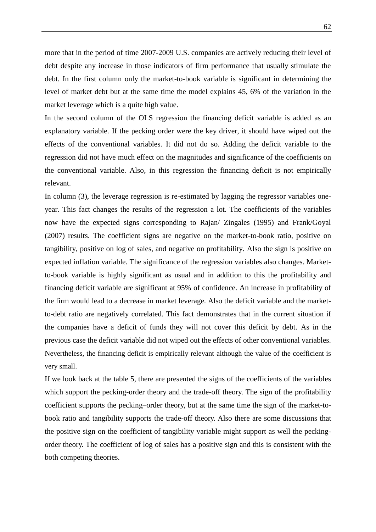more that in the period of time 2007-2009 U.S. companies are actively reducing their level of debt despite any increase in those indicators of firm performance that usually stimulate the debt. In the first column only the market-to-book variable is significant in determining the level of market debt but at the same time the model explains 45, 6% of the variation in the market leverage which is a quite high value.

In the second column of the OLS regression the financing deficit variable is added as an explanatory variable. If the pecking order were the key driver, it should have wiped out the effects of the conventional variables. It did not do so. Adding the deficit variable to the regression did not have much effect on the magnitudes and significance of the coefficients on the conventional variable. Also, in this regression the financing deficit is not empirically relevant.

In column (3), the leverage regression is re-estimated by lagging the regressor variables oneyear. This fact changes the results of the regression a lot. The coefficients of the variables now have the expected signs corresponding to Rajan/ Zingales (1995) and Frank/Goyal (2007) results. The coefficient signs are negative on the market-to-book ratio, positive on tangibility, positive on log of sales, and negative on profitability. Also the sign is positive on expected inflation variable. The significance of the regression variables also changes. Marketto-book variable is highly significant as usual and in addition to this the profitability and financing deficit variable are significant at 95% of confidence. An increase in profitability of the firm would lead to a decrease in market leverage. Also the deficit variable and the marketto-debt ratio are negatively correlated. This fact demonstrates that in the current situation if the companies have a deficit of funds they will not cover this deficit by debt. As in the previous case the deficit variable did not wiped out the effects of other conventional variables. Nevertheless, the financing deficit is empirically relevant although the value of the coefficient is very small.

If we look back at the table 5, there are presented the signs of the coefficients of the variables which support the pecking-order theory and the trade-off theory. The sign of the profitability coefficient supports the pecking–order theory, but at the same time the sign of the market-tobook ratio and tangibility supports the trade-off theory. Also there are some discussions that the positive sign on the coefficient of tangibility variable might support as well the peckingorder theory. The coefficient of log of sales has a positive sign and this is consistent with the both competing theories.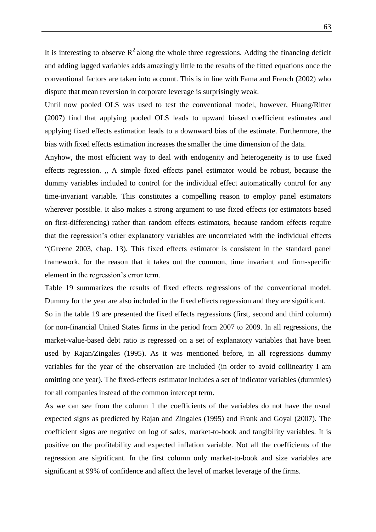It is interesting to observe  $\mathbb{R}^2$  along the whole three regressions. Adding the financing deficit and adding lagged variables adds amazingly little to the results of the fitted equations once the conventional factors are taken into account. This is in line with Fama and French (2002) who dispute that mean reversion in corporate leverage is surprisingly weak.

Until now pooled OLS was used to test the conventional model, however, Huang/Ritter (2007) find that applying pooled OLS leads to upward biased coefficient estimates and applying fixed effects estimation leads to a downward bias of the estimate. Furthermore, the bias with fixed effects estimation increases the smaller the time dimension of the data.

Anyhow, the most efficient way to deal with endogenity and heterogeneity is to use fixed effects regression. ,, A simple fixed effects panel estimator would be robust, because the dummy variables included to control for the individual effect automatically control for any time-invariant variable. This constitutes a compelling reason to employ panel estimators wherever possible. It also makes a strong argument to use fixed effects (or estimators based on first-differencing) rather than random effects estimators, because random effects require that the regression"s other explanatory variables are uncorrelated with the individual effects "(Greene 2003, chap. 13). This fixed effects estimator is consistent in the standard panel framework, for the reason that it takes out the common, time invariant and firm-specific element in the regression"s error term.

Table 19 summarizes the results of fixed effects regressions of the conventional model. Dummy for the year are also included in the fixed effects regression and they are significant.

So in the table 19 are presented the fixed effects regressions (first, second and third column) for non-financial United States firms in the period from 2007 to 2009. In all regressions, the market-value-based debt ratio is regressed on a set of explanatory variables that have been used by Rajan/Zingales (1995). As it was mentioned before, in all regressions dummy variables for the year of the observation are included (in order to avoid collinearity I am omitting one year). The fixed-effects estimator includes a set of indicator variables (dummies) for all companies instead of the common intercept term.

As we can see from the column 1 the coefficients of the variables do not have the usual expected signs as predicted by Rajan and Zingales (1995) and Frank and Goyal (2007). The coefficient signs are negative on log of sales, market-to-book and tangibility variables. It is positive on the profitability and expected inflation variable. Not all the coefficients of the regression are significant. In the first column only market-to-book and size variables are significant at 99% of confidence and affect the level of market leverage of the firms.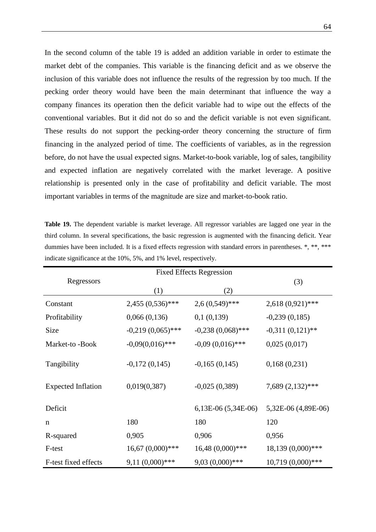In the second column of the table 19 is added an addition variable in order to estimate the market debt of the companies. This variable is the financing deficit and as we observe the inclusion of this variable does not influence the results of the regression by too much. If the pecking order theory would have been the main determinant that influence the way a company finances its operation then the deficit variable had to wipe out the effects of the conventional variables. But it did not do so and the deficit variable is not even significant. These results do not support the pecking-order theory concerning the structure of firm financing in the analyzed period of time. The coefficients of variables, as in the regression before, do not have the usual expected signs. Market-to-book variable, log of sales, tangibility and expected inflation are negatively correlated with the market leverage. A positive relationship is presented only in the case of profitability and deficit variable. The most important variables in terms of the magnitude are size and market-to-book ratio.

| indicate significance at the 10%, 5%, and 1% level, respectively. |                                 |                         |                     |  |
|-------------------------------------------------------------------|---------------------------------|-------------------------|---------------------|--|
|                                                                   | <b>Fixed Effects Regression</b> |                         |                     |  |
| Regressors                                                        | (1)                             | (2)                     | (3)                 |  |
| Constant                                                          | $2,455(0,536)$ ***              | $2,6(0,549)$ ***        | $2,618(0,921)$ ***  |  |
| Profitability                                                     | 0,066(0,136)                    | 0,1(0,139)              | $-0,239(0,185)$     |  |
| Size                                                              | $-0,219(0,065)$ ***             | $-0,238(0,068)$ ***     | $-0,311(0,121)$ **  |  |
| Market-to-Book                                                    | $-0,09(0,016)$ ***              | $-0.09(0.016)$ ***      | 0,025(0,017)        |  |
| Tangibility                                                       | $-0,172(0,145)$                 | $-0,165(0,145)$         | 0,168(0,231)        |  |
| <b>Expected Inflation</b>                                         | 0,019(0,387)                    | $-0,025(0,389)$         | 7,689 (2,132)***    |  |
| Deficit                                                           |                                 | $6,13E-06$ $(5,34E-06)$ | 5,32E-06 (4,89E-06) |  |
| $\mathbf n$                                                       | 180                             | 180                     | 120                 |  |
| R-squared                                                         | 0,905                           | 0,906                   | 0,956               |  |
| F-test                                                            | $16,67(0,000)$ ***              | $16,48(0,000)$ ***      | 18,139 (0,000)***   |  |
| F-test fixed effects                                              | $9,11(0,000)$ ***               | $9,03(0,000)$ ***       | 10,719 (0,000)***   |  |

**Table 19.** The dependent variable is market leverage. All regressor variables are lagged one year in the third column. In several specifications, the basic regression is augmented with the financing deficit. Year dummies have been included. It is a fixed effects regression with standard errors in parentheses. \*, \*\*, \*\*\*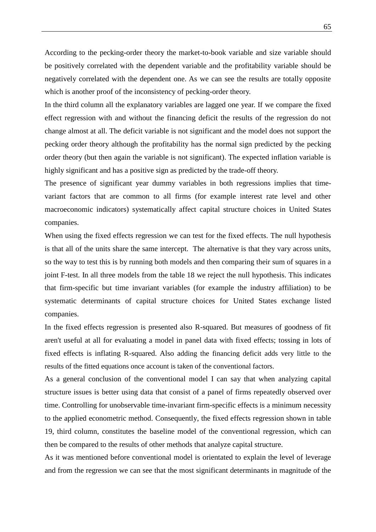According to the pecking-order theory the market-to-book variable and size variable should be positively correlated with the dependent variable and the profitability variable should be negatively correlated with the dependent one. As we can see the results are totally opposite which is another proof of the inconsistency of pecking-order theory.

In the third column all the explanatory variables are lagged one year. If we compare the fixed effect regression with and without the financing deficit the results of the regression do not change almost at all. The deficit variable is not significant and the model does not support the pecking order theory although the profitability has the normal sign predicted by the pecking order theory (but then again the variable is not significant). The expected inflation variable is highly significant and has a positive sign as predicted by the trade-off theory.

The presence of significant year dummy variables in both regressions implies that timevariant factors that are common to all firms (for example interest rate level and other macroeconomic indicators) systematically affect capital structure choices in United States companies.

When using the fixed effects regression we can test for the fixed effects. The null hypothesis is that all of the units share the same intercept. The alternative is that they vary across units, so the way to test this is by running both models and then comparing their sum of squares in a joint F-test. In all three models from the table 18 we reject the null hypothesis. This indicates that firm-specific but time invariant variables (for example the industry affiliation) to be systematic determinants of capital structure choices for United States exchange listed companies.

In the fixed effects regression is presented also R-squared. But measures of goodness of fit aren't useful at all for evaluating a model in panel data with fixed effects; tossing in lots of fixed effects is inflating R-squared. Also adding the financing deficit adds very little to the results of the fitted equations once account is taken of the conventional factors.

As a general conclusion of the conventional model I can say that when analyzing capital structure issues is better using data that consist of a panel of firms repeatedly observed over time. Controlling for unobservable time-invariant firm-specific effects is a minimum necessity to the applied econometric method. Consequently, the fixed effects regression shown in table 19, third column, constitutes the baseline model of the conventional regression, which can then be compared to the results of other methods that analyze capital structure.

As it was mentioned before conventional model is orientated to explain the level of leverage and from the regression we can see that the most significant determinants in magnitude of the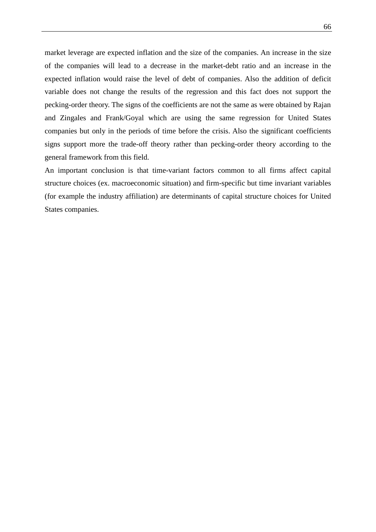market leverage are expected inflation and the size of the companies. An increase in the size of the companies will lead to a decrease in the market-debt ratio and an increase in the expected inflation would raise the level of debt of companies. Also the addition of deficit variable does not change the results of the regression and this fact does not support the pecking-order theory. The signs of the coefficients are not the same as were obtained by Rajan and Zingales and Frank/Goyal which are using the same regression for United States companies but only in the periods of time before the crisis. Also the significant coefficients signs support more the trade-off theory rather than pecking-order theory according to the general framework from this field.

An important conclusion is that time-variant factors common to all firms affect capital structure choices (ex. macroeconomic situation) and firm-specific but time invariant variables (for example the industry affiliation) are determinants of capital structure choices for United States companies.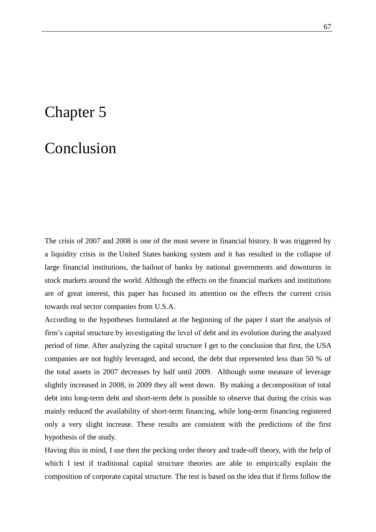### Chapter 5

### Conclusion

The crisis of 2007 and 2008 is one of the most severe in financial history. It was triggered by a liquidity crisis in the [United States](http://en.wikipedia.org/wiki/United_States) banking system and it has resulted in the collapse of large financial institutions, the [bailout](http://en.wikipedia.org/wiki/Bailout) of banks by national governments and downturns in stock markets around the world. Although the effects on the financial markets and institutions are of great interest, this paper has focused its attention on the effects the current crisis towards real sector companies from U.S.A.

According to the hypotheses formulated at the beginning of the paper I start the analysis of firm"s capital structure by investigating the level of debt and its evolution during the analyzed period of time. After analyzing the capital structure I get to the conclusion that first, the USA companies are not highly leveraged, and second, the debt that represented less than 50 % of the total assets in 2007 decreases by half until 2009. Although some measure of leverage slightly increased in 2008, in 2009 they all went down. By making a decomposition of total debt into long-term debt and short-term debt is possible to observe that during the crisis was mainly reduced the availability of short-term financing, while long-term financing registered only a very slight increase. These results are consistent with the predictions of the first hypothesis of the study.

Having this in mind, I use then the pecking order theory and trade-off theory, with the help of which I test if traditional capital structure theories are able to empirically explain the composition of corporate capital structure. The test is based on the idea that if firms follow the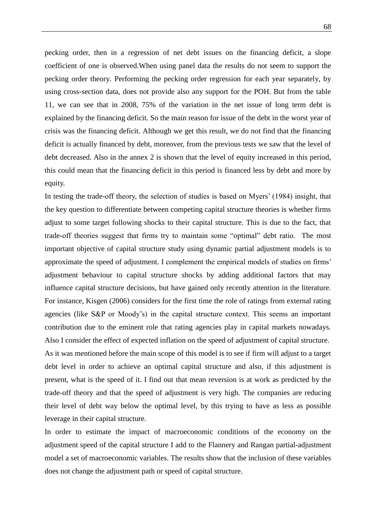pecking order, then in a regression of net debt issues on the financing deficit, a slope coefficient of one is observed.When using panel data the results do not seem to support the pecking order theory. Performing the pecking order regression for each year separately, by using cross-section data, does not provide also any support for the POH. But from the table 11, we can see that in 2008, 75% of the variation in the net issue of long term debt is explained by the financing deficit. So the main reason for issue of the debt in the worst year of crisis was the financing deficit. Although we get this result, we do not find that the financing deficit is actually financed by debt, moreover, from the previous tests we saw that the level of debt decreased. Also in the annex 2 is shown that the level of equity increased in this period, this could mean that the financing deficit in this period is financed less by debt and more by equity.

In testing the trade-off theory, the selection of studies is based on Myers' (1984) insight, that the key question to differentiate between competing capital structure theories is whether firms adjust to some target following shocks to their capital structure. This is due to the fact, that trade-off theories suggest that firms try to maintain some "optimal" debt ratio. The most important objective of capital structure study using dynamic partial adjustment models is to approximate the speed of adjustment. I complement the empirical models of studies on firms" adjustment behaviour to capital structure shocks by adding additional factors that may influence capital structure decisions, but have gained only recently attention in the literature. For instance, Kisgen (2006) considers for the first time the role of ratings from external rating agencies (like S&P or Moody"s) in the capital structure context. This seems an important contribution due to the eminent role that rating agencies play in capital markets nowadays. Also I consider the effect of expected inflation on the speed of adjustment of capital structure.

As it was mentioned before the main scope of this model is to see if firm will adjust to a target debt level in order to achieve an optimal capital structure and also, if this adjustment is present, what is the speed of it. I find out that mean reversion is at work as predicted by the trade-off theory and that the speed of adjustment is very high. The companies are reducing their level of debt way below the optimal level, by this trying to have as less as possible leverage in their capital structure.

In order to estimate the impact of macroeconomic conditions of the economy on the adjustment speed of the capital structure I add to the Flannery and Rangan partial-adjustment model a set of macroeconomic variables. The results show that the inclusion of these variables does not change the adjustment path or speed of capital structure.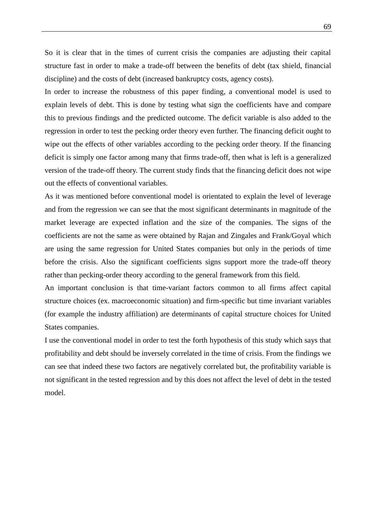So it is clear that in the times of current crisis the companies are adjusting their capital structure fast in order to make a trade-off between the benefits of debt (tax shield, financial discipline) and the costs of debt (increased bankruptcy costs, agency costs).

In order to increase the robustness of this paper finding, a conventional model is used to explain levels of debt. This is done by testing what sign the coefficients have and compare this to previous findings and the predicted outcome. The deficit variable is also added to the regression in order to test the pecking order theory even further. The financing deficit ought to wipe out the effects of other variables according to the pecking order theory. If the financing deficit is simply one factor among many that firms trade-off, then what is left is a generalized version of the trade-off theory. The current study finds that the financing deficit does not wipe out the effects of conventional variables.

As it was mentioned before conventional model is orientated to explain the level of leverage and from the regression we can see that the most significant determinants in magnitude of the market leverage are expected inflation and the size of the companies. The signs of the coefficients are not the same as were obtained by Rajan and Zingales and Frank/Goyal which are using the same regression for United States companies but only in the periods of time before the crisis. Also the significant coefficients signs support more the trade-off theory rather than pecking-order theory according to the general framework from this field.

An important conclusion is that time-variant factors common to all firms affect capital structure choices (ex. macroeconomic situation) and firm-specific but time invariant variables (for example the industry affiliation) are determinants of capital structure choices for United States companies.

I use the conventional model in order to test the forth hypothesis of this study which says that profitability and debt should be inversely correlated in the time of crisis. From the findings we can see that indeed these two factors are negatively correlated but, the profitability variable is not significant in the tested regression and by this does not affect the level of debt in the tested model.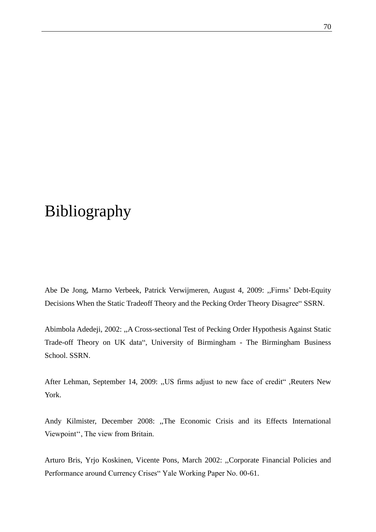# Bibliography

Abe De Jong, Marno Verbeek, Patrick Verwijmeren, August 4, 2009: ,,Firms" Debt-Equity Decisions When the Static Tradeoff Theory and the Pecking Order Theory Disagree" SSRN.

Abimbola Adedeji, 2002: ,,A Cross-sectional Test of Pecking Order Hypothesis Against Static Trade-off Theory on UK data", University of Birmingham - The Birmingham Business School. SSRN.

After Lehman, September 14, 2009: ,,US firms adjust to new face of credit" ,Reuters New York.

Andy Kilmister, December 2008: ,,The Economic Crisis and its Effects International Viewpoint", The view from Britain.

Arturo Bris, Yrjo Koskinen, Vicente Pons, March 2002: ,,Corporate Financial Policies and Performance around Currency Crises" Yale Working Paper No. 00-61.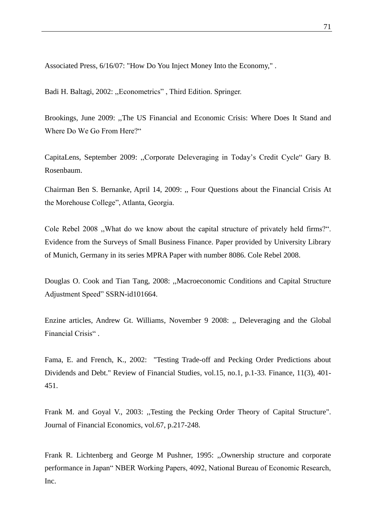Associated Press, 6/16/07: ["How Do You Inject Money Into the Economy," .](http://ap.google.com/article/ALeqM5iC0SLcGgSi9dd3lGGQeIXOjvH8fwD93UFR380,)

Badi H. Baltagi, 2002: ,,Econometrics" , Third Edition. Springer.

Brookings, June 2009: ,,The US Financial and Economic Crisis: Where Does It Stand and Where Do We Go From Here?"

CapitaLens, September 2009: ,,Corporate Deleveraging in Today"s Credit Cycle" Gary B. Rosenbaum.

Chairman Ben S. Bernanke, April 14, 2009: ,, Four Questions about the Financial Crisis At the Morehouse College", Atlanta, Georgia.

Cole Rebel 2008 ,,What do we know about the capital structure of privately held firms?". Evidence from the Surveys of Small Business Finance. Paper provided by University Library of Munich, Germany in its series [MPRA Paper](http://ideas.repec.org/s/pra/mprapa.html) with number 8086. Cole Rebel 2008.

Douglas O. Cook and Tian Tang, 2008: ,,Macroeconomic Conditions and Capital Structure Adjustment Speed" SSRN-id101664.

Enzine articles, Andrew Gt. Williams, November 9 2008: ,, Deleveraging and the Global Financial Crisis" .

Fama, E. and French, K., 2002: "Testing Trade-off and Pecking Order Predictions about Dividends and Debt." Review of Financial Studies, vol.15, no.1, p.1-33. Finance, 11(3), 401- 451.

Frank M. and Goyal V., 2003: ,,Testing the Pecking Order Theory of Capital Structure". Journal of Financial Economics, vol.67, p.217-248.

Frank R. Lichtenberg and George M Pushner, 1995: ,,Ownership structure and corporate performance in Japan" NBER Working Papers, 4092, National Bureau of Economic Research, Inc.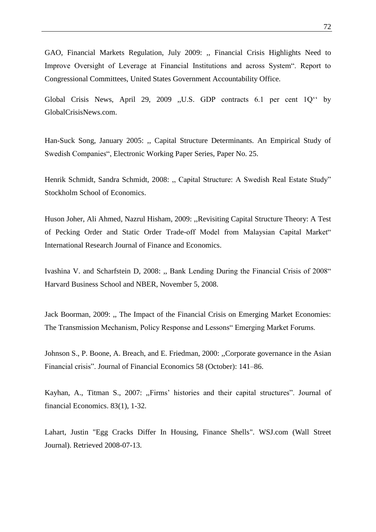GAO, Financial Markets Regulation, July 2009: ,, Financial Crisis Highlights Need to Improve Oversight of Leverage at Financial Institutions and across System". Report to Congressional Committees, United States Government Accountability Office.

Global Crisis News, April 29, 2009 ,,U.S. GDP contracts 6.1 per cent 1Q"" by [GlobalCrisisNews.com.](http://www.globalcrisisnews.com/author/admin/)

Han-Suck Song, January 2005: ,, Capital Structure Determinants. An Empirical Study of Swedish Companies", Electronic Working Paper Series, Paper No. 25.

Henrik Schmidt, Sandra Schmidt, 2008: ,, Capital Structure: A Swedish Real Estate Study" Stockholm School of Economics.

Huson Joher, Ali Ahmed, Nazrul Hisham, 2009: ,,Revisiting Capital Structure Theory: A Test of Pecking Order and Static Order Trade-off Model from Malaysian Capital Market" International Research Journal of Finance and Economics.

Ivashina V. and Scharfstein D, 2008: ,, Bank Lending During the Financial Crisis of 2008" Harvard Business School and NBER, November 5, 2008.

Jack Boorman, 2009: ,, The Impact of the Financial Crisis on Emerging Market Economies: The Transmission Mechanism, Policy Response and Lessons" Emerging Market Forums.

Johnson S., P. Boone, A. Breach, and E. Friedman, 2000: ,,Corporate governance in the Asian Financial crisis". Journal of Financial Economics 58 (October): 141–86.

Kayhan, A., Titman S., 2007: "Firms' histories and their capital structures". Journal of financial Economics. 83(1), 1-32.

Lahart, Justin ["Egg Cracks Differ In Housing, Finance Shells"](http://online.wsj.com/article/SB119845906460548071.html?mod=googlenews_wsj). [WSJ.com](http://en.wikipedia.org/wiki/WSJ.com) (Wall Street Journal). Retrieved 2008-07-13.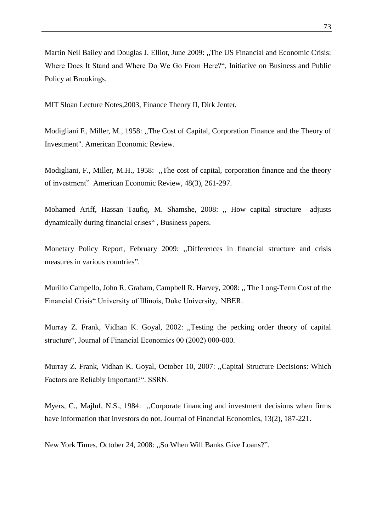Martin Neil Bailey and Douglas J. Elliot, June 2009: ,,The US Financial and Economic Crisis: Where Does It Stand and Where Do We Go From Here?", Initiative on Business and Public Policy at Brookings.

MIT Sloan Lecture Notes,2003, Finance Theory II, Dirk Jenter.

Modigliani F., Miller, M., 1958: [,,The Cost of Capital, Corporation Finance and the Theory of](http://www.jstor.org/stable/1809766)  [Investment".](http://www.jstor.org/stable/1809766) American Economic Review.

Modigliani, F., Miller, M.H., 1958: ,,The cost of capital, corporation finance and the theory of investment" American Economic Review, 48(3), 261-297.

Mohamed Ariff, Hassan Taufiq, M. Shamshe, 2008: ,, How capital structure adjusts dynamically during financial crises" , Business papers.

Monetary Policy Report, February 2009: ,,Differences in financial structure and crisis measures in various countries".

Murillo Campello, John R. Graham, Campbell R. Harvey, 2008: ,, The Long-Term Cost of the Financial Crisis" University of Illinois, Duke University, NBER.

Murray Z. Frank, Vidhan K. Goyal, 2002: ,,Testing the pecking order theory of capital structure", Journal of Financial Economics 00 (2002) 000-000.

Murray Z. Frank, Vidhan K. Goyal, October 10, 2007: ,,Capital Structure Decisions: Which Factors are Reliably Important?". SSRN.

Myers, C., Majluf, N.S., 1984: "Corporate financing and investment decisions when firms have information that investors do not. Journal of Financial Economics, 13(2), 187-221.

New York Times, October 24, 2008: ,,So When Will Banks Give Loans?".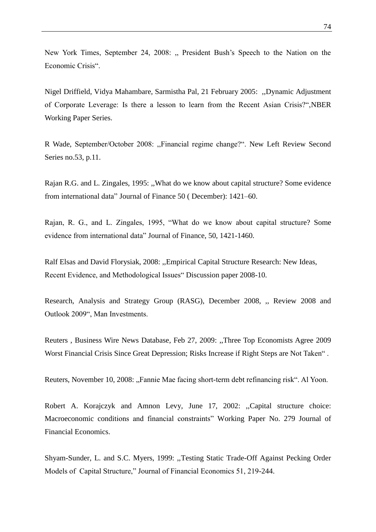New York Times, September 24, 2008: "President Bush's Speech to the Nation on the Economic Crisis".

Nigel Driffield, Vidya Mahambare, Sarmistha Pal, 21 February 2005: ,,Dynamic Adjustment of Corporate Leverage: Is there a lesson to learn from the Recent Asian Crisis?",NBER Working Paper Series.

R Wade, September/October 2008: ,,Financial regime change?". New Left Review Second Series no.53, p.11.

Rajan R.G. and L. Zingales, 1995: ,,What do we know about capital structure? Some evidence from international data" Journal of Finance 50 ( December): 1421–60.

Rajan, R. G., and L. Zingales, 1995, "What do we know about capital structure? Some evidence from international data" Journal of Finance, 50, 1421-1460.

Ralf Elsas and David Florysiak, 2008: ,,Empirical Capital Structure Research: New Ideas, Recent Evidence, and Methodological Issues" Discussion paper 2008-10.

Research, Analysis and Strategy Group (RASG), December 2008, ,, Review 2008 and Outlook 2009", Man Investments.

Reuters , Business Wire News Database, Feb 27, 2009: ,,Three Top Economists Agree 2009 Worst Financial Crisis Since Great Depression; Risks Increase if Right Steps are Not Taken" .

Reuters, November 10, 2008: "Fannie Mae facing short-term debt refinancing risk". Al Yoon.

Robert A. Korajczyk and Amnon Levy, June 17, 2002: ,,Capital structure choice: Macroeconomic conditions and financial constraints" Working Paper No. 279 Journal of Financial Economics.

Shyam-Sunder, L. and S.C. Myers, 1999: ,,Testing Static Trade-Off Against Pecking Order Models of Capital Structure," Journal of Financial Economics 51, 219-244.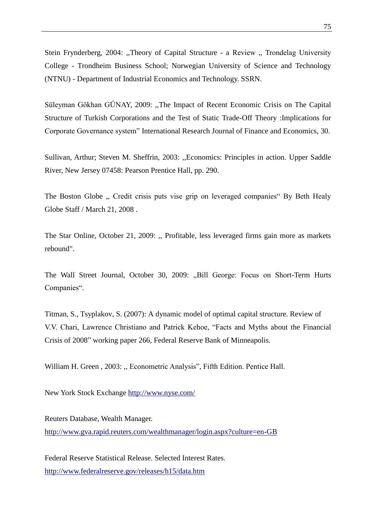Stein Frynderberg, 2004: "Theory of Capital Structure - a Review " Trondelag University College - Trondheim Business School; Norwegian University of Science and Technology (NTNU) - Department of Industrial Economics and Technology. SSRN.

Süleyman Gökhan GÜNAY, 2009: ,,The Impact of Recent Economic Crisis on The Capital Structure of Turkish Corporations and the Test of Static Trade-Off Theory :Implications for Corporate Governance system" International Research Journal of Finance and Economics, 30.

Sullivan, Arthur; Steven M. Sheffrin, 2003: ,[,Economics: Principles in action.](http://www.pearsonschool.com/index.cfm?locator=PSZ3R9&PMDbSiteId=2781&PMDbSolutionId=6724&PMDbCategoryId=&PMDbProgramId=12881&level=4) Upper Saddle River, New Jersey 07458: Pearson Prentice Hall, pp. 290.

The Boston Globe ,, Credit crisis puts vise grip on leveraged companies" By Beth Healy Globe Staff / March 21, 2008 .

The Star Online, October 21, 2009: ,, Profitable, less leveraged firms gain more as markets rebound".

The Wall Street Journal, October 30, 2009: "Bill George: Focus on Short-Term Hurts Companies".

Titman, S., Tsyplakov, S. (2007): A dynamic model of optimal capital structure. Review of V.V. Chari, Lawrence Christiano and Patrick Kehoe, "Facts and Myths about the Financial Crisis of 2008" working paper 266, Federal Reserve Bank of Minneapolis.

William H. Green, 2003: "Econometric Analysis", Fifth Edition. Pentice Hall.

New York Stock Exchange<http://www.nyse.com/>

Reuters Database, Wealth Manager. <http://www.gva.rapid.reuters.com/wealthmanager/login.aspx?culture=en-GB>

Federal Reserve Statistical Release. Selected Interest Rates. <http://www.federalreserve.gov/releases/h15/data.htm>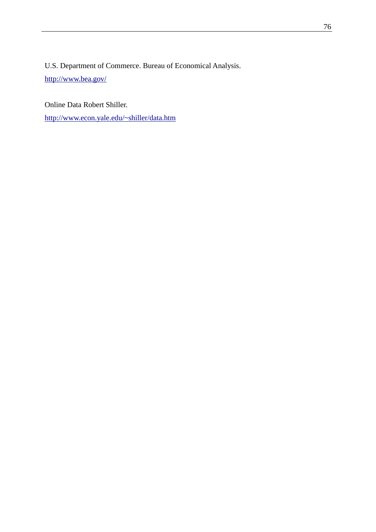U.S. Department of Commerce. Bureau of Economical Analysis. <http://www.bea.gov/>

Online Data Robert Shiller.

<http://www.econ.yale.edu/~shiller/data.htm>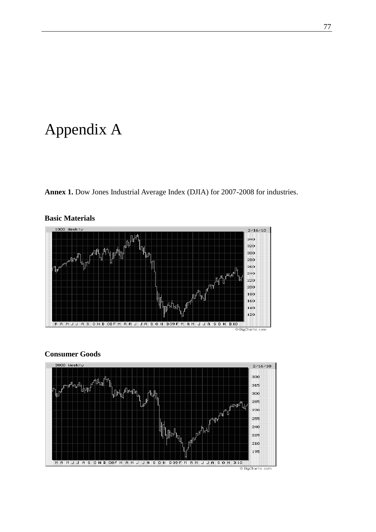## Appendix A

**Annex 1.** Dow Jones Industrial Average Index (DJIA) for 2007-2008 for industries.



### **Basic Materials**

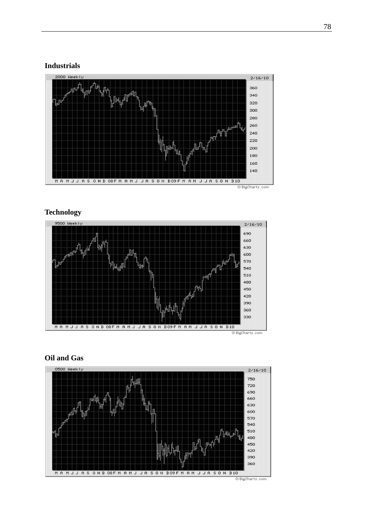#### **Industrials**



#### **Technology**



© BigCharts.com

#### **Oil and Gas**

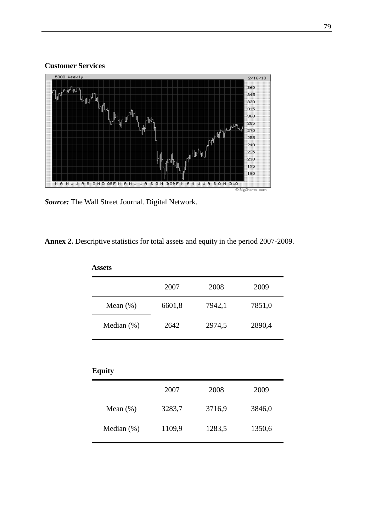#### **Customer Services**



*Source:* The Wall Street Journal. Digital Network.

**Annex 2.** Descriptive statistics for total assets and equity in the period 2007-2009.

| <b>Assets</b>  |        |        |        |
|----------------|--------|--------|--------|
|                | 2007   | 2008   | 2009   |
| Mean $(\%)$    | 6601,8 | 7942,1 | 7851,0 |
| Median $(\% )$ | 2642   | 2974,5 | 2890,4 |
|                |        |        |        |

| <b>Equity</b> |        |        |        |
|---------------|--------|--------|--------|
|               | 2007   | 2008   | 2009   |
| Mean $(\%)$   | 3283,7 | 3716,9 | 3846,0 |
| Median $(\%)$ | 1109,9 | 1283,5 | 1350,6 |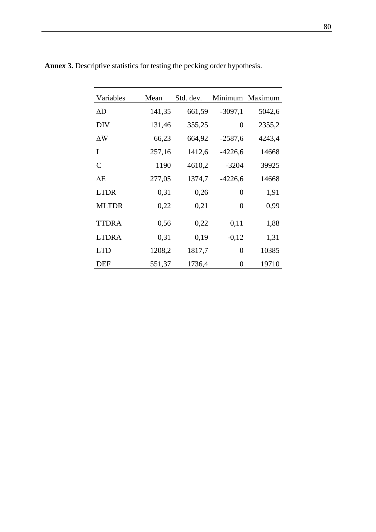| Variables    | Mean   | Std. dev. |                  | Minimum Maximum |
|--------------|--------|-----------|------------------|-----------------|
| ΔD           | 141,35 | 661,59    | $-3097,1$        | 5042,6          |
| <b>DIV</b>   | 131,46 | 355,25    | $\overline{0}$   | 2355,2          |
| $\Delta W$   | 66,23  | 664,92    | $-2587,6$        | 4243,4          |
| I            | 257,16 | 1412,6    | $-4226,6$        | 14668           |
| C            | 1190   | 4610,2    | $-3204$          | 39925           |
| ΔE           | 277,05 | 1374,7    | $-4226,6$        | 14668           |
| <b>LTDR</b>  | 0,31   | 0,26      | $\boldsymbol{0}$ | 1,91            |
| <b>MLTDR</b> | 0,22   | 0,21      | $\overline{0}$   | 0,99            |
| <b>TTDRA</b> | 0,56   | 0,22      | 0,11             | 1,88            |
| <b>LTDRA</b> | 0,31   | 0,19      | $-0,12$          | 1,31            |
| <b>LTD</b>   | 1208,2 | 1817,7    | $\boldsymbol{0}$ | 10385           |
| DEF          | 551,37 | 1736,4    | $\boldsymbol{0}$ | 19710           |

**Annex 3.** Descriptive statistics for testing the pecking order hypothesis.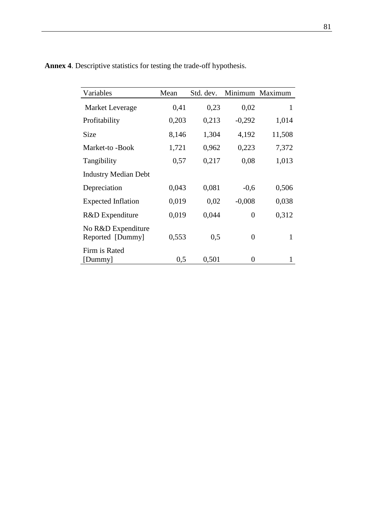| Variables                              | Mean  | Std. dev. | Minimum        | Maximum |
|----------------------------------------|-------|-----------|----------------|---------|
| Market Leverage                        | 0,41  | 0,23      | 0,02           | 1       |
| Profitability                          | 0,203 | 0,213     | $-0,292$       | 1,014   |
| Size                                   | 8,146 | 1,304     | 4,192          | 11,508  |
| Market-to -Book                        | 1,721 | 0,962     | 0,223          | 7,372   |
| Tangibility                            | 0,57  | 0,217     | 0,08           | 1,013   |
| <b>Industry Median Debt</b>            |       |           |                |         |
| Depreciation                           | 0,043 | 0,081     | $-0,6$         | 0,506   |
| <b>Expected Inflation</b>              | 0,019 | 0,02      | $-0,008$       | 0,038   |
| R&D Expenditure                        | 0,019 | 0,044     | 0              | 0,312   |
| No R&D Expenditure<br>Reported [Dummy] | 0,553 | 0,5       | $\overline{0}$ | 1       |
| Firm is Rated<br>[Dummy]               | 0,5   | 0,501     | $\overline{0}$ |         |

**Annex 4**. Descriptive statistics for testing the trade-off hypothesis.